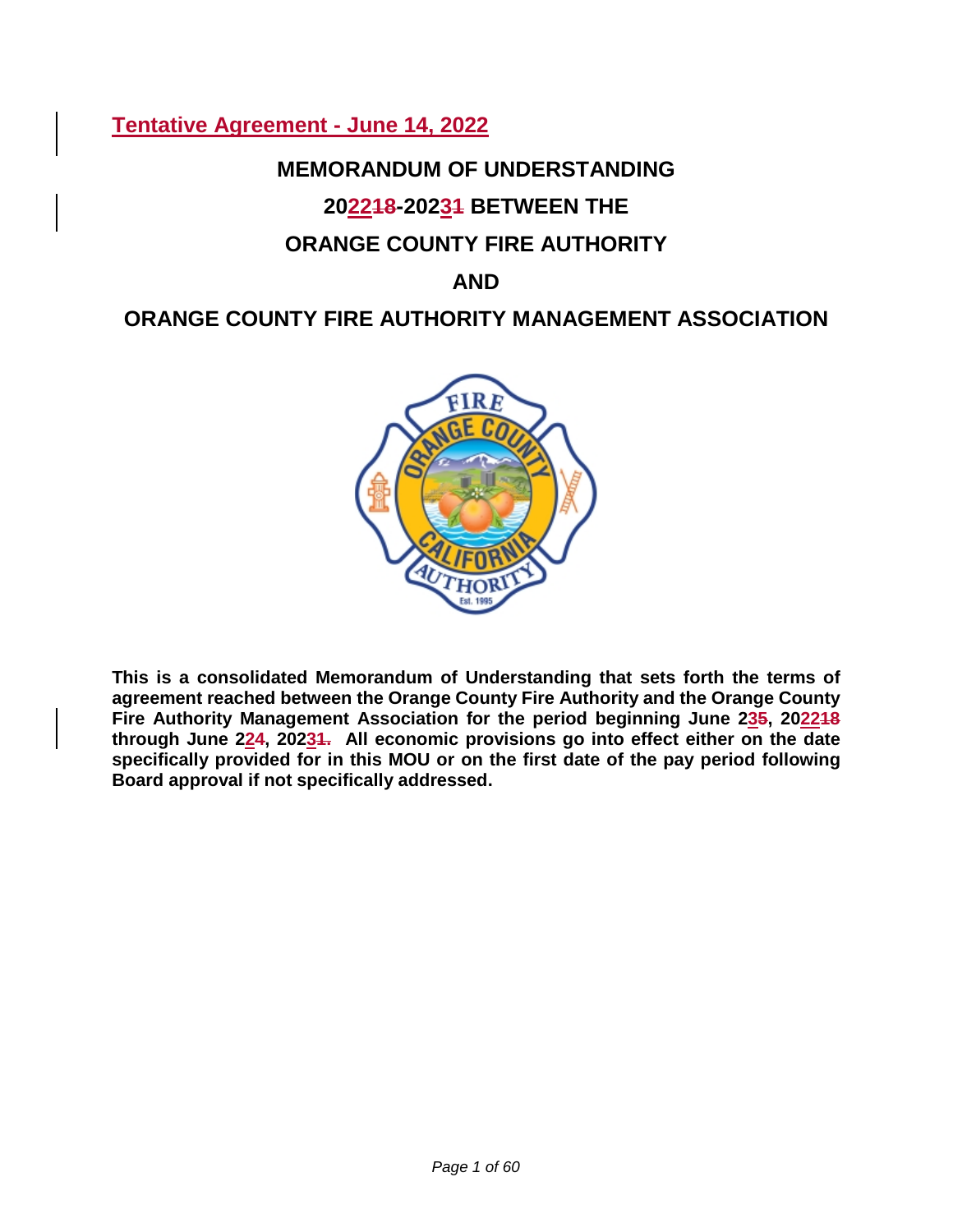# **Tentative Agreement - June 14, 2022**

# **MEMORANDUM OF UNDERSTANDING**

# **202218-20231 BETWEEN THE**

# **ORANGE COUNTY FIRE AUTHORITY**

# **AND**

# **ORANGE COUNTY FIRE AUTHORITY MANAGEMENT ASSOCIATION**



**This is a consolidated Memorandum of Understanding that sets forth the terms of agreement reached between the Orange County Fire Authority and the Orange County Fire Authority Management Association for the period beginning June 235, 202218 through June 224, 20231. All economic provisions go into effect either on the date specifically provided for in this MOU or on the first date of the pay period following Board approval if not specifically addressed.**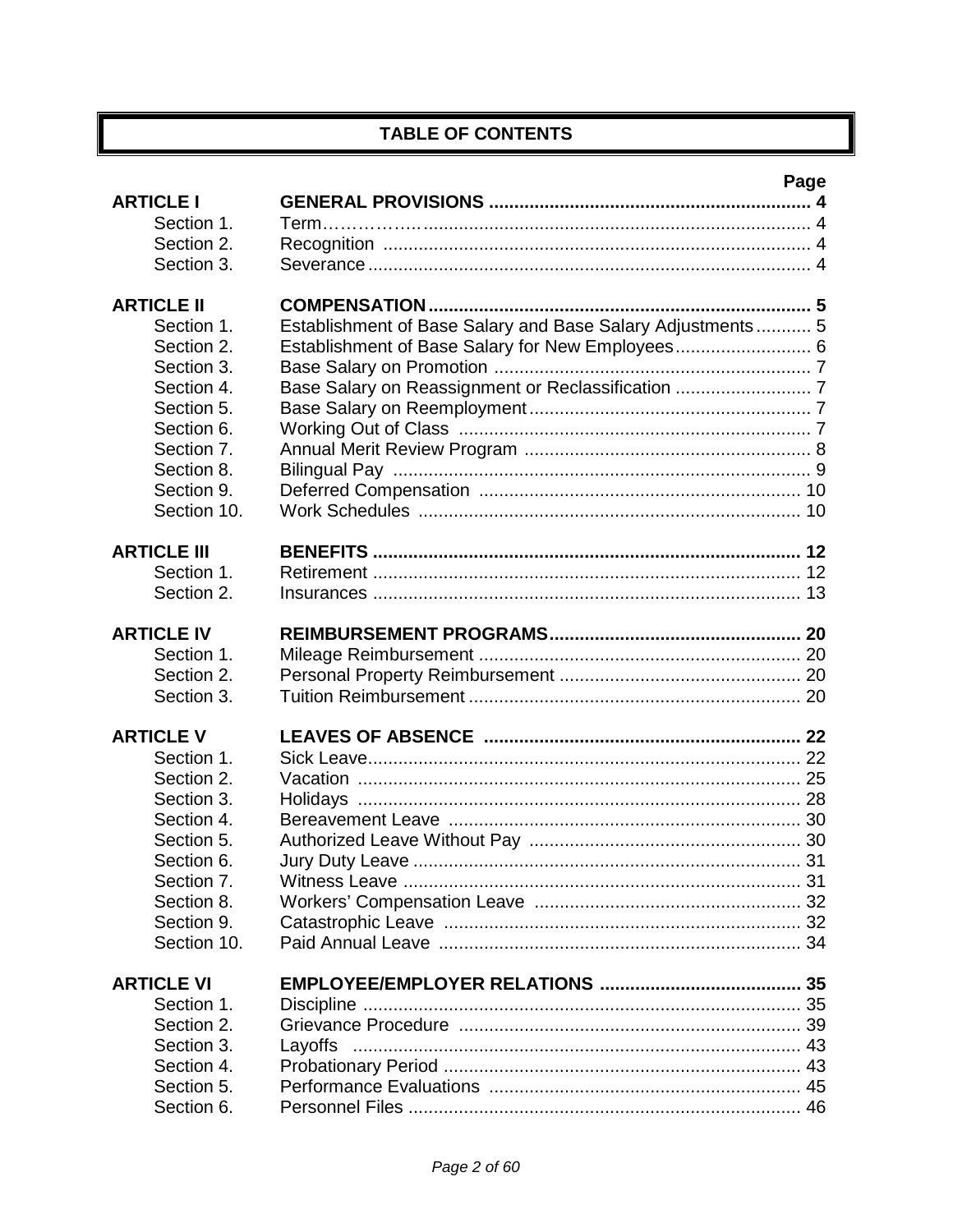# **TABLE OF CONTENTS**

|                          |                                                            | Page |
|--------------------------|------------------------------------------------------------|------|
| <b>ARTICLE I</b>         |                                                            |      |
| Section 1.               |                                                            |      |
| Section 2.               |                                                            |      |
| Section 3.               |                                                            |      |
| <b>ARTICLE II</b>        |                                                            |      |
| Section 1.               | Establishment of Base Salary and Base Salary Adjustments 5 |      |
| Section 2.               | Establishment of Base Salary for New Employees 6           |      |
| Section 3.               |                                                            |      |
| Section 4.               |                                                            |      |
| Section 5.               |                                                            |      |
| Section 6.               |                                                            |      |
| Section 7.               |                                                            |      |
| Section 8.               |                                                            |      |
| Section 9.               |                                                            |      |
| Section 10.              |                                                            |      |
|                          |                                                            |      |
| <b>ARTICLE III</b>       |                                                            |      |
| Section 1.               |                                                            |      |
| Section 2.               |                                                            |      |
|                          |                                                            |      |
| <b>ARTICLE IV</b>        |                                                            |      |
| Section 1.               |                                                            |      |
| Section 2.               |                                                            |      |
| Section 3.               |                                                            |      |
| <b>ARTICLE V</b>         |                                                            |      |
| Section 1.               |                                                            |      |
| Section 2.               |                                                            |      |
| Section 3.               |                                                            |      |
| Section 4.               |                                                            |      |
| Section 5.               |                                                            |      |
| Section 6.               |                                                            |      |
| Section 7.               |                                                            |      |
| Section 8.               |                                                            |      |
| Section 9.               |                                                            |      |
| Section 10.              |                                                            |      |
|                          |                                                            |      |
| <b>ARTICLE VI</b>        |                                                            |      |
| Section 1.               |                                                            |      |
| Section 2.               |                                                            |      |
| Section 3.               | Layoffs                                                    |      |
| Section 4.<br>Section 5. |                                                            |      |
| Section 6.               |                                                            |      |
|                          |                                                            |      |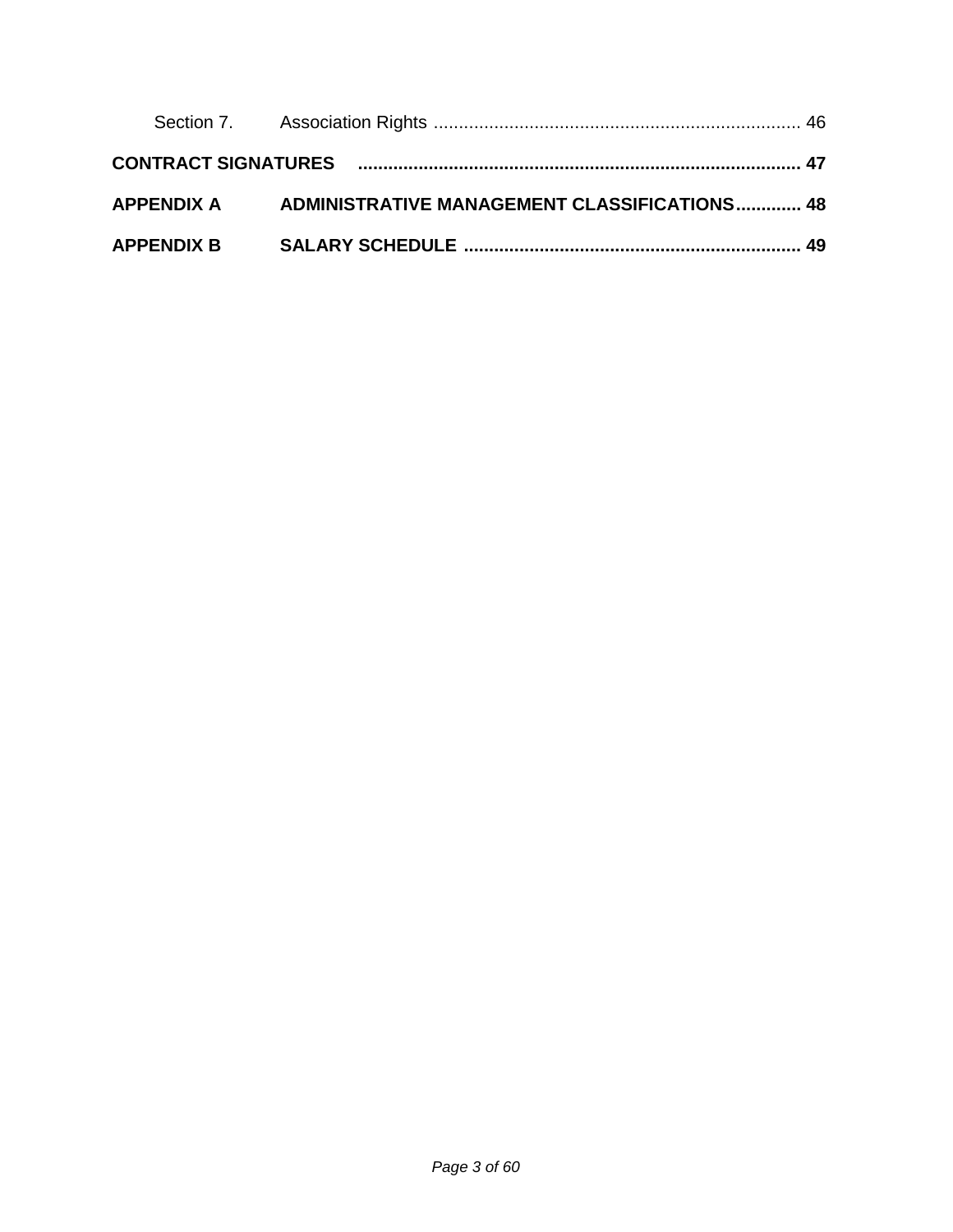|                   | APPENDIX A ADMINISTRATIVE MANAGEMENT CLASSIFICATIONS 48 |  |
|-------------------|---------------------------------------------------------|--|
| <b>APPENDIX B</b> |                                                         |  |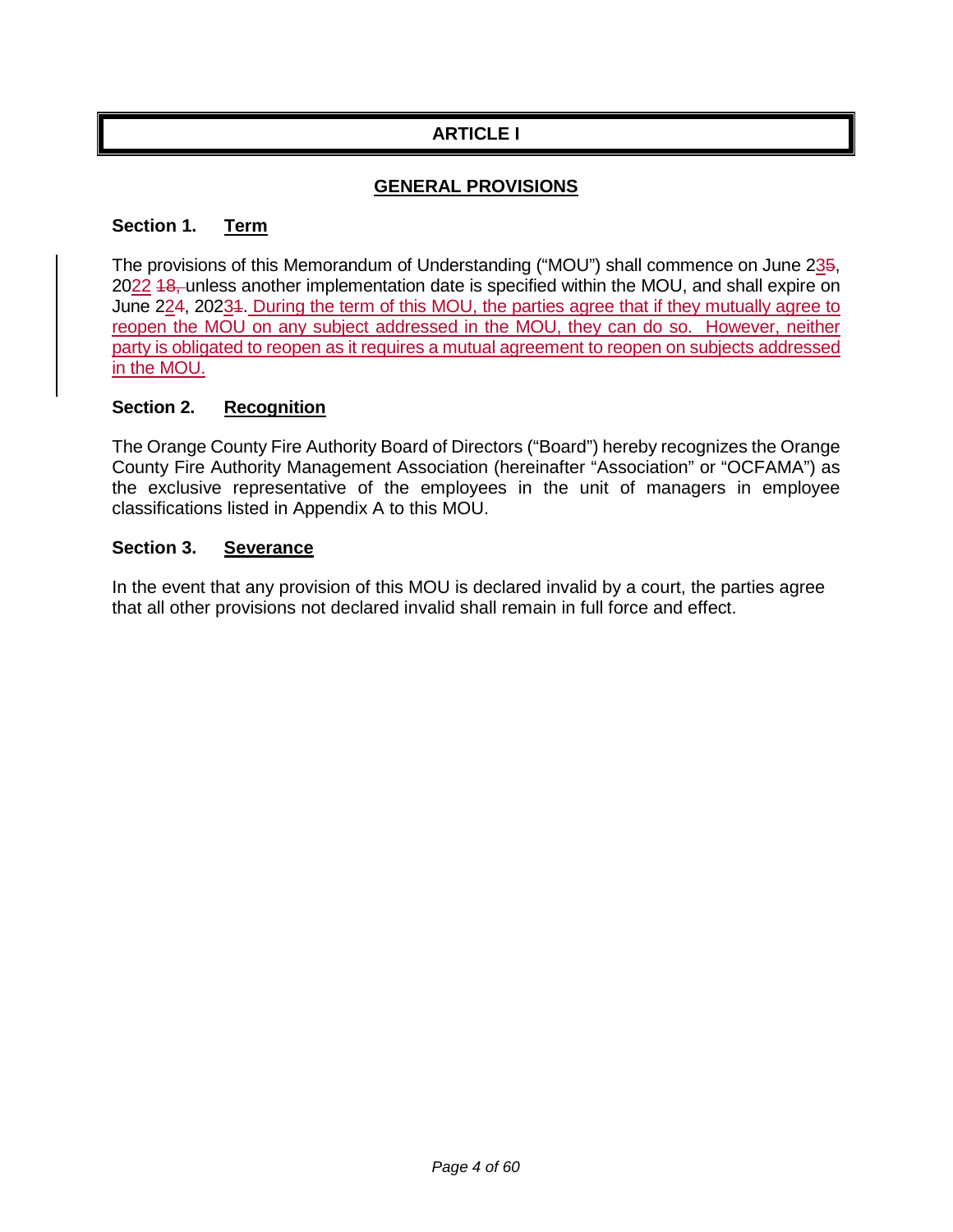# **ARTICLE I**

## **GENERAL PROVISIONS**

#### **Section 1. Term**

The provisions of this Memorandum of Understanding ("MOU") shall commence on June 235, 2022 <del>18, unless another implementation date is specified within the MOU, and shall expire on</del> June 224, 20234. During the term of this MOU, the parties agree that if they mutually agree to reopen the MOU on any subject addressed in the MOU, they can do so. However, neither party is obligated to reopen as it requires a mutual agreement to reopen on subjects addressed in the MOU.

#### **Section 2. Recognition**

The Orange County Fire Authority Board of Directors ("Board") hereby recognizes the Orange County Fire Authority Management Association (hereinafter "Association" or "OCFAMA") as the exclusive representative of the employees in the unit of managers in employee classifications listed in Appendix A to this MOU.

#### **Section 3. Severance**

In the event that any provision of this MOU is declared invalid by a court, the parties agree that all other provisions not declared invalid shall remain in full force and effect.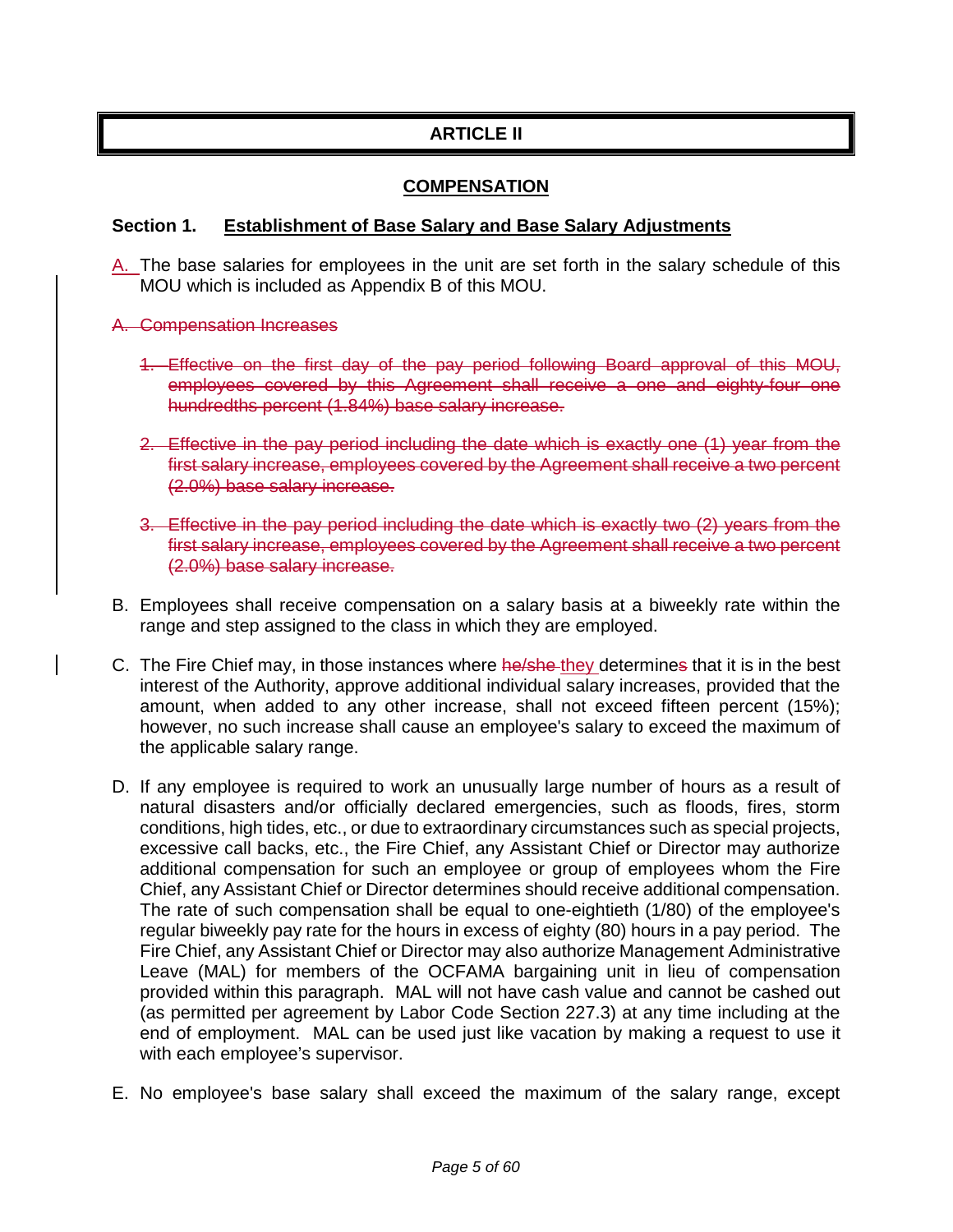## **ARTICLE II**

### **COMPENSATION**

#### **Section 1. Establishment of Base Salary and Base Salary Adjustments**

- A. The base salaries for employees in the unit are set forth in the salary schedule of this MOU which is included as Appendix B of this MOU.
- A. Compensation Increases
	- 1. Effective on the first day of the pay period following Board approval of this MOU, employees covered by this Agreement shall receive a one and eighty-four one hundredths percent (1.84%) base salary increase.
	- 2. Effective in the pay period including the date which is exactly one (1) year from the first salary increase, employees covered by the Agreement shall receive a two percent (2.0%) base salary increase.
	- 3. Effective in the pay period including the date which is exactly two (2) years from the first salary increase, employees covered by the Agreement shall receive a two percent (2.0%) base salary increase.
- B. Employees shall receive compensation on a salary basis at a biweekly rate within the range and step assigned to the class in which they are employed.
- C. The Fire Chief may, in those instances where he/she they determines that it is in the best interest of the Authority, approve additional individual salary increases, provided that the amount, when added to any other increase, shall not exceed fifteen percent (15%); however, no such increase shall cause an employee's salary to exceed the maximum of the applicable salary range.
- D. If any employee is required to work an unusually large number of hours as a result of natural disasters and/or officially declared emergencies, such as floods, fires, storm conditions, high tides, etc., or due to extraordinary circumstances such as special projects, excessive call backs, etc., the Fire Chief, any Assistant Chief or Director may authorize additional compensation for such an employee or group of employees whom the Fire Chief, any Assistant Chief or Director determines should receive additional compensation. The rate of such compensation shall be equal to one-eightieth (1/80) of the employee's regular biweekly pay rate for the hours in excess of eighty (80) hours in a pay period. The Fire Chief, any Assistant Chief or Director may also authorize Management Administrative Leave (MAL) for members of the OCFAMA bargaining unit in lieu of compensation provided within this paragraph. MAL will not have cash value and cannot be cashed out (as permitted per agreement by Labor Code Section 227.3) at any time including at the end of employment. MAL can be used just like vacation by making a request to use it with each employee's supervisor.
- E. No employee's base salary shall exceed the maximum of the salary range, except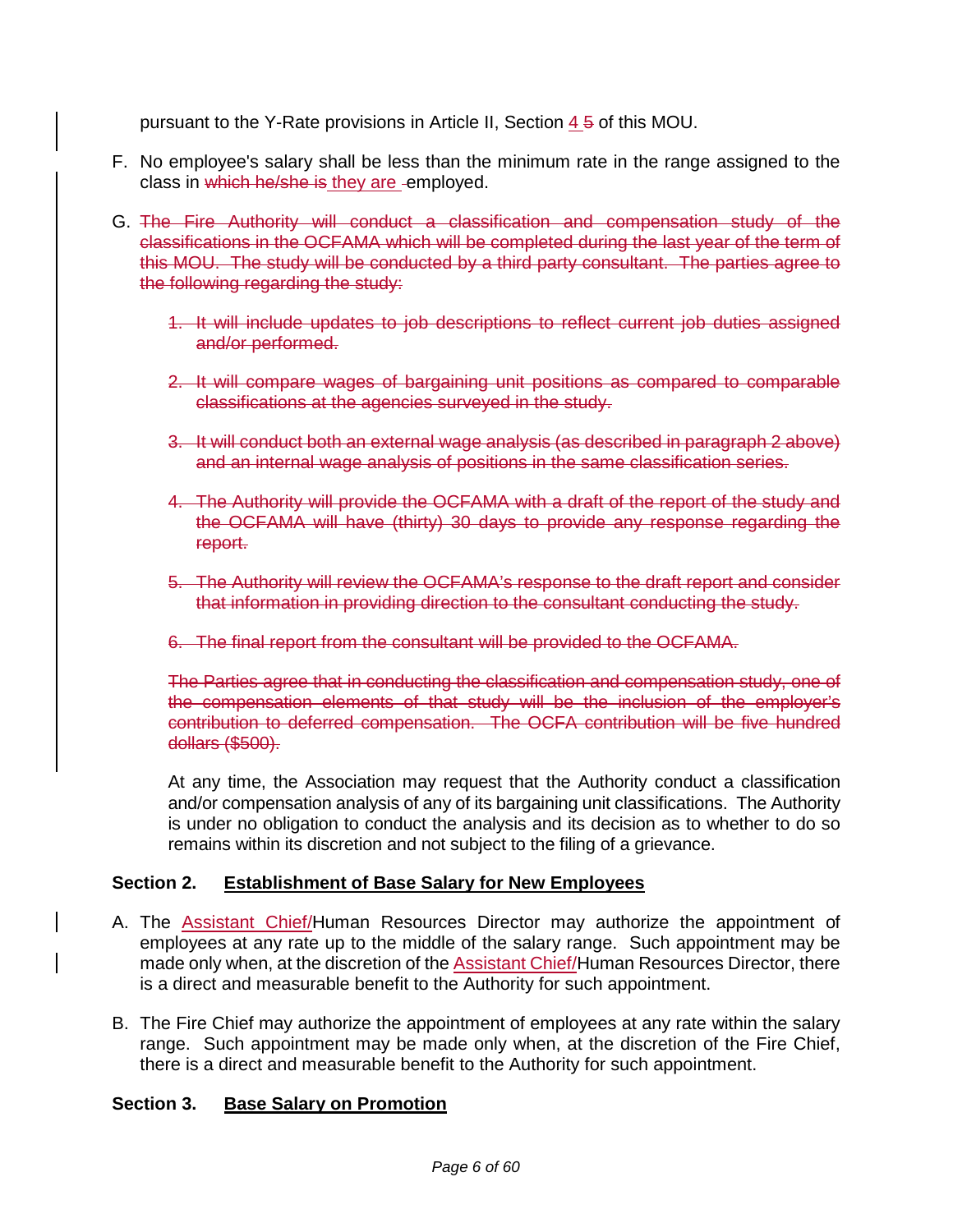pursuant to the Y-Rate provisions in Article II, Section 4 5 of this MOU.

- F. No employee's salary shall be less than the minimum rate in the range assigned to the class in which he/she is they are -employed.
- G. The Fire Authority will conduct a classification and compensation study of the classifications in the OCFAMA which will be completed during the last year of the term of this MOU. The study will be conducted by a third party consultant. The parties agree to the following regarding the study:
	- 1. It will include updates to job descriptions to reflect current job duties assigned and/or performed.
	- 2. It will compare wages of bargaining unit positions as compared to comparable classifications at the agencies surveyed in the study.
	- 3. It will conduct both an external wage analysis (as described in paragraph 2 above) and an internal wage analysis of positions in the same classification series.
	- 4. The Authority will provide the OCFAMA with a draft of the report of the study and the OCFAMA will have (thirty) 30 days to provide any response regarding the report.
	- 5. The Authority will review the OCFAMA's response to the draft report and consider that information in providing direction to the consultant conducting the study.
	- 6. The final report from the consultant will be provided to the OCFAMA.

The Parties agree that in conducting the classification and compensation study, one of the compensation elements of that study will be the inclusion of the employer's contribution to deferred compensation. The OCFA contribution will be five hundred dollars (\$500).

At any time, the Association may request that the Authority conduct a classification and/or compensation analysis of any of its bargaining unit classifications. The Authority is under no obligation to conduct the analysis and its decision as to whether to do so remains within its discretion and not subject to the filing of a grievance.

### **Section 2. Establishment of Base Salary for New Employees**

- A. The **Assistant Chief/Human Resources Director may authorize the appointment of** employees at any rate up to the middle of the salary range. Such appointment may be made only when, at the discretion of the **Assistant Chief/Human Resources Director**, there is a direct and measurable benefit to the Authority for such appointment.
- B. The Fire Chief may authorize the appointment of employees at any rate within the salary range. Such appointment may be made only when, at the discretion of the Fire Chief, there is a direct and measurable benefit to the Authority for such appointment.

### **Section 3. Base Salary on Promotion**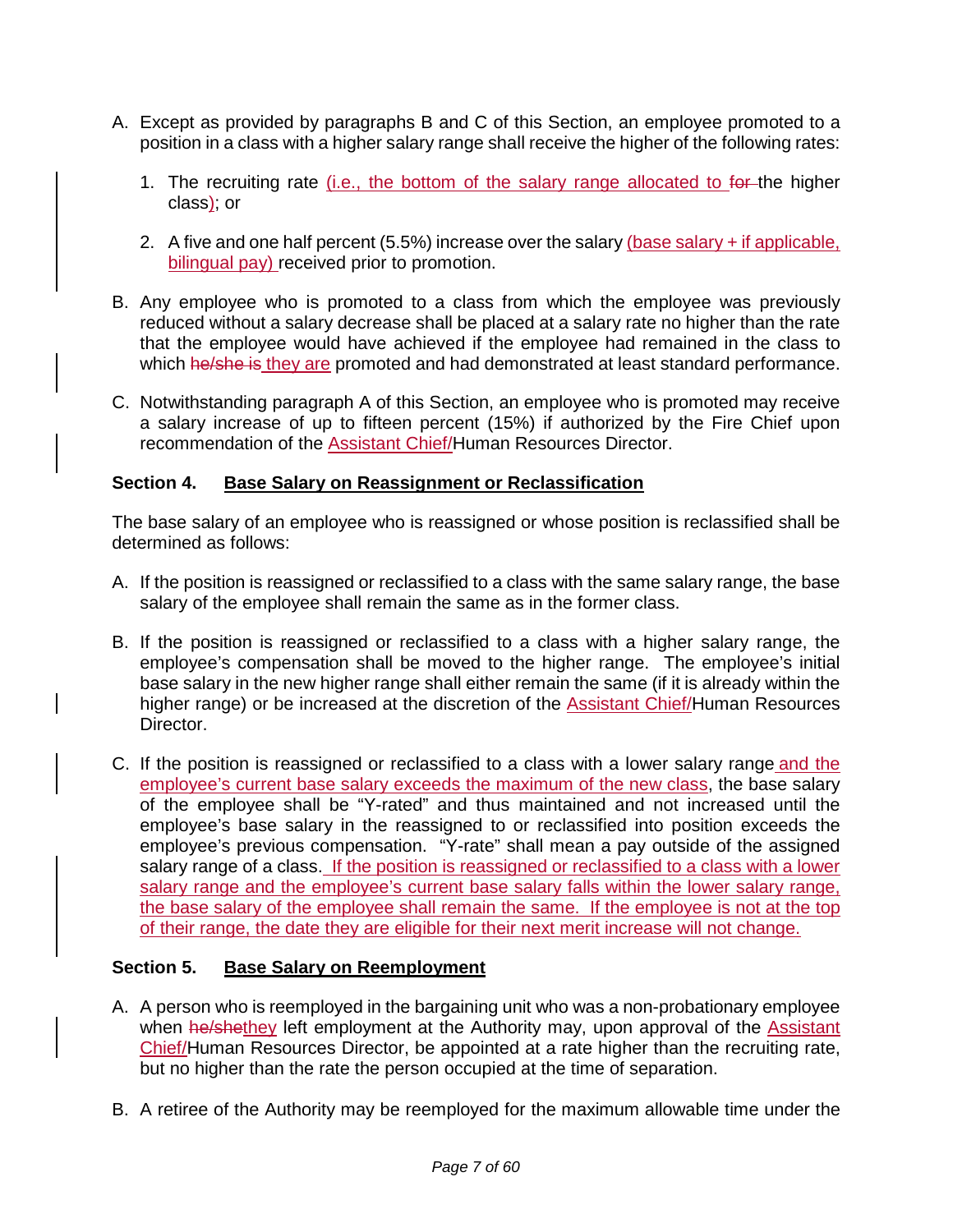- A. Except as provided by paragraphs B and C of this Section, an employee promoted to a position in a class with a higher salary range shall receive the higher of the following rates:
	- 1. The recruiting rate (i.e., the bottom of the salary range allocated to for the higher class); or
	- 2. A five and one half percent (5.5%) increase over the salary (base salary + if applicable, bilingual pay) received prior to promotion.
- B. Any employee who is promoted to a class from which the employee was previously reduced without a salary decrease shall be placed at a salary rate no higher than the rate that the employee would have achieved if the employee had remained in the class to which he/she is they are promoted and had demonstrated at least standard performance.
- C. Notwithstanding paragraph A of this Section, an employee who is promoted may receive a salary increase of up to fifteen percent (15%) if authorized by the Fire Chief upon recommendation of the Assistant Chief/Human Resources Director.

### **Section 4. Base Salary on Reassignment or Reclassification**

The base salary of an employee who is reassigned or whose position is reclassified shall be determined as follows:

- A. If the position is reassigned or reclassified to a class with the same salary range, the base salary of the employee shall remain the same as in the former class.
- B. If the position is reassigned or reclassified to a class with a higher salary range, the employee's compensation shall be moved to the higher range. The employee's initial base salary in the new higher range shall either remain the same (if it is already within the higher range) or be increased at the discretion of the Assistant Chief/Human Resources Director.
- C. If the position is reassigned or reclassified to a class with a lower salary range and the employee's current base salary exceeds the maximum of the new class, the base salary of the employee shall be "Y-rated" and thus maintained and not increased until the employee's base salary in the reassigned to or reclassified into position exceeds the employee's previous compensation. "Y-rate" shall mean a pay outside of the assigned salary range of a class. If the position is reassigned or reclassified to a class with a lower salary range and the employee's current base salary falls within the lower salary range, the base salary of the employee shall remain the same. If the employee is not at the top of their range, the date they are eligible for their next merit increase will not change.

### **Section 5. Base Salary on Reemployment**

- A. A person who is reemployed in the bargaining unit who was a non-probationary employee when he/shethey left employment at the Authority may, upon approval of the Assistant Chief/Human Resources Director, be appointed at a rate higher than the recruiting rate, but no higher than the rate the person occupied at the time of separation.
- B. A retiree of the Authority may be reemployed for the maximum allowable time under the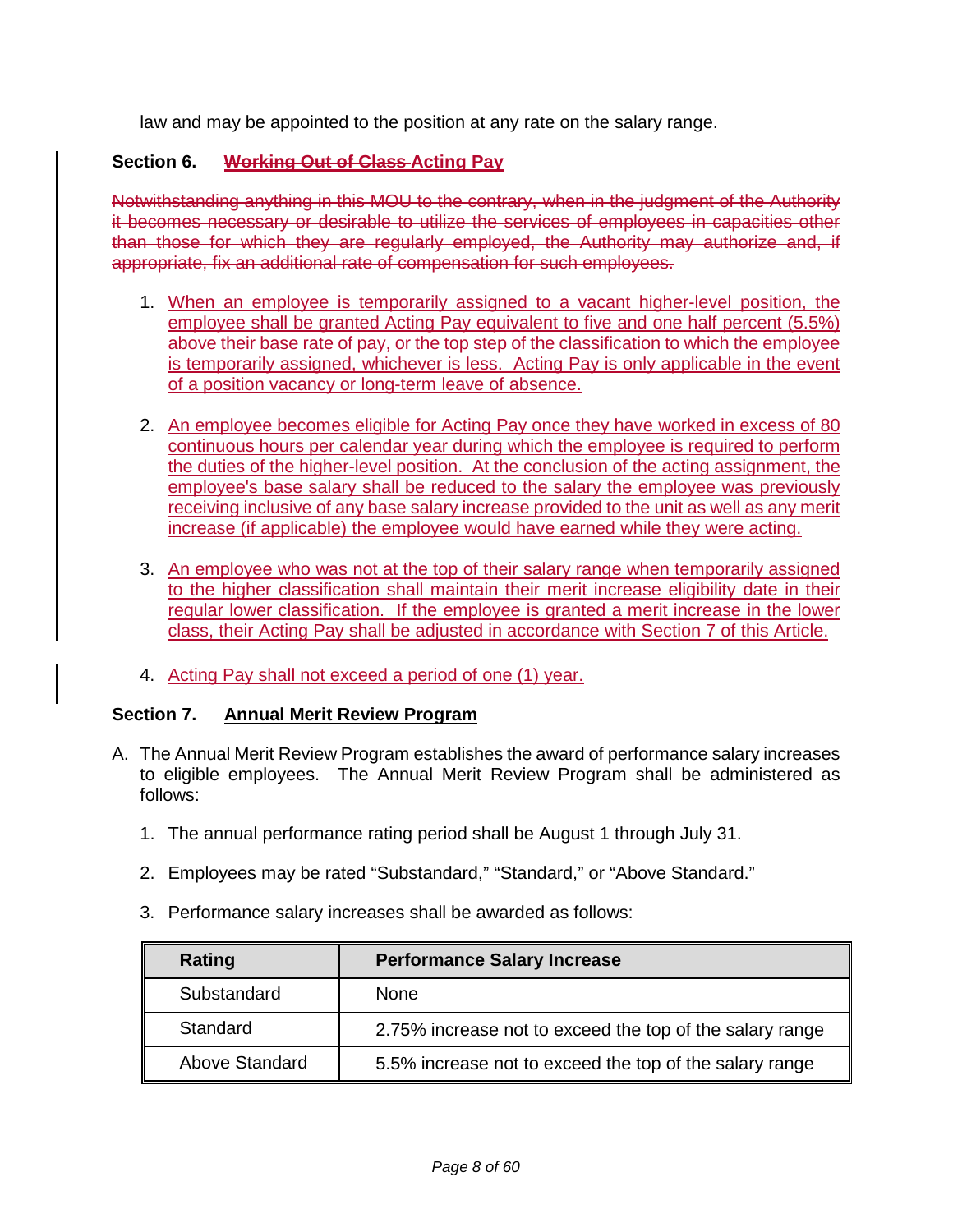law and may be appointed to the position at any rate on the salary range.

### **Section 6. Working Out of Class Acting Pay**

Notwithstanding anything in this MOU to the contrary, when in the judgment of the Authority it becomes necessary or desirable to utilize the services of employees in capacities other than those for which they are regularly employed, the Authority may authorize and, if appropriate, fix an additional rate of compensation for such employees.

- 1. When an employee is temporarily assigned to a vacant higher-level position, the employee shall be granted Acting Pay equivalent to five and one half percent (5.5%) above their base rate of pay, or the top step of the classification to which the employee is temporarily assigned, whichever is less. Acting Pay is only applicable in the event of a position vacancy or long-term leave of absence.
- 2. An employee becomes eligible for Acting Pay once they have worked in excess of 80 continuous hours per calendar year during which the employee is required to perform the duties of the higher-level position. At the conclusion of the acting assignment, the employee's base salary shall be reduced to the salary the employee was previously receiving inclusive of any base salary increase provided to the unit as well as any merit increase (if applicable) the employee would have earned while they were acting.
- 3. An employee who was not at the top of their salary range when temporarily assigned to the higher classification shall maintain their merit increase eligibility date in their regular lower classification. If the employee is granted a merit increase in the lower class, their Acting Pay shall be adjusted in accordance with Section 7 of this Article.
- 4. Acting Pay shall not exceed a period of one (1) year.

### **Section 7. Annual Merit Review Program**

- A. The Annual Merit Review Program establishes the award of performance salary increases to eligible employees. The Annual Merit Review Program shall be administered as follows:
	- 1. The annual performance rating period shall be August 1 through July 31.
	- 2. Employees may be rated "Substandard," "Standard," or "Above Standard."
	- 3. Performance salary increases shall be awarded as follows:

| Rating         | <b>Performance Salary Increase</b>                       |
|----------------|----------------------------------------------------------|
| Substandard    | <b>None</b>                                              |
| Standard       | 2.75% increase not to exceed the top of the salary range |
| Above Standard | 5.5% increase not to exceed the top of the salary range  |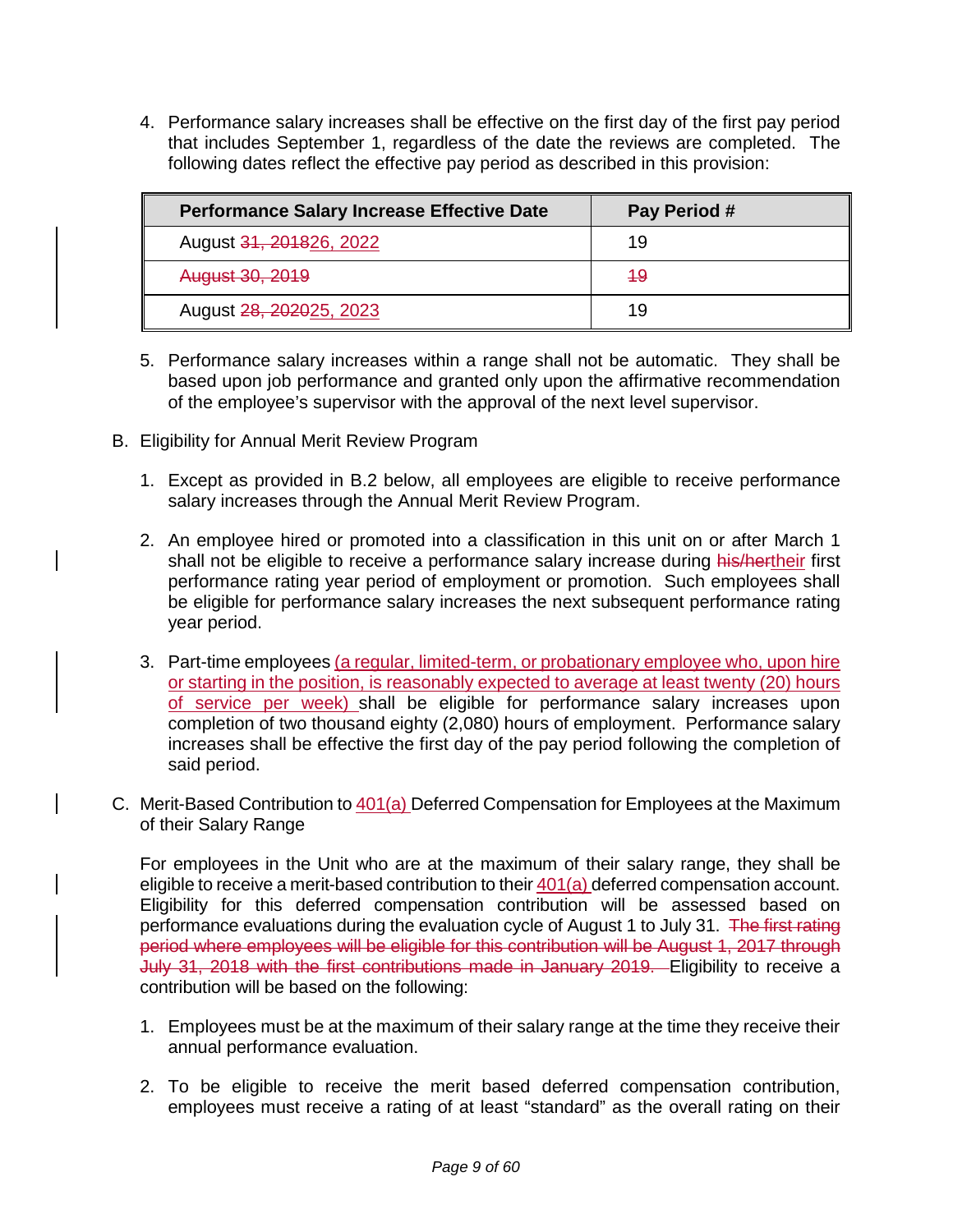4. Performance salary increases shall be effective on the first day of the first pay period that includes September 1, regardless of the date the reviews are completed. The following dates reflect the effective pay period as described in this provision:

| <b>Performance Salary Increase Effective Date</b> | Pay Period # |
|---------------------------------------------------|--------------|
| August 31, 201826, 2022                           | 19           |
| August 30, 2019                                   | -49          |
| August 28, 202025, 2023                           | 19           |

- 5. Performance salary increases within a range shall not be automatic. They shall be based upon job performance and granted only upon the affirmative recommendation of the employee's supervisor with the approval of the next level supervisor.
- B. Eligibility for Annual Merit Review Program
	- 1. Except as provided in B.2 below, all employees are eligible to receive performance salary increases through the Annual Merit Review Program.
	- 2. An employee hired or promoted into a classification in this unit on or after March 1 shall not be eligible to receive a performance salary increase during his/hertheir first performance rating year period of employment or promotion. Such employees shall be eligible for performance salary increases the next subsequent performance rating year period.
	- 3. Part-time employees (a regular, limited-term, or probationary employee who, upon hire or starting in the position, is reasonably expected to average at least twenty (20) hours of service per week) shall be eligible for performance salary increases upon completion of two thousand eighty (2,080) hours of employment. Performance salary increases shall be effective the first day of the pay period following the completion of said period.
- C. Merit-Based Contribution to 401(a) Deferred Compensation for Employees at the Maximum of their Salary Range

For employees in the Unit who are at the maximum of their salary range, they shall be eligible to receive a merit-based contribution to their  $401(a)$  deferred compensation account. Eligibility for this deferred compensation contribution will be assessed based on performance evaluations during the evaluation cycle of August 1 to July 31. The first rating period where employees will be eligible for this contribution will be August 1, 2017 through July 31, 2018 with the first contributions made in January 2019. Eligibility to receive a contribution will be based on the following:

- 1. Employees must be at the maximum of their salary range at the time they receive their annual performance evaluation.
- 2. To be eligible to receive the merit based deferred compensation contribution, employees must receive a rating of at least "standard" as the overall rating on their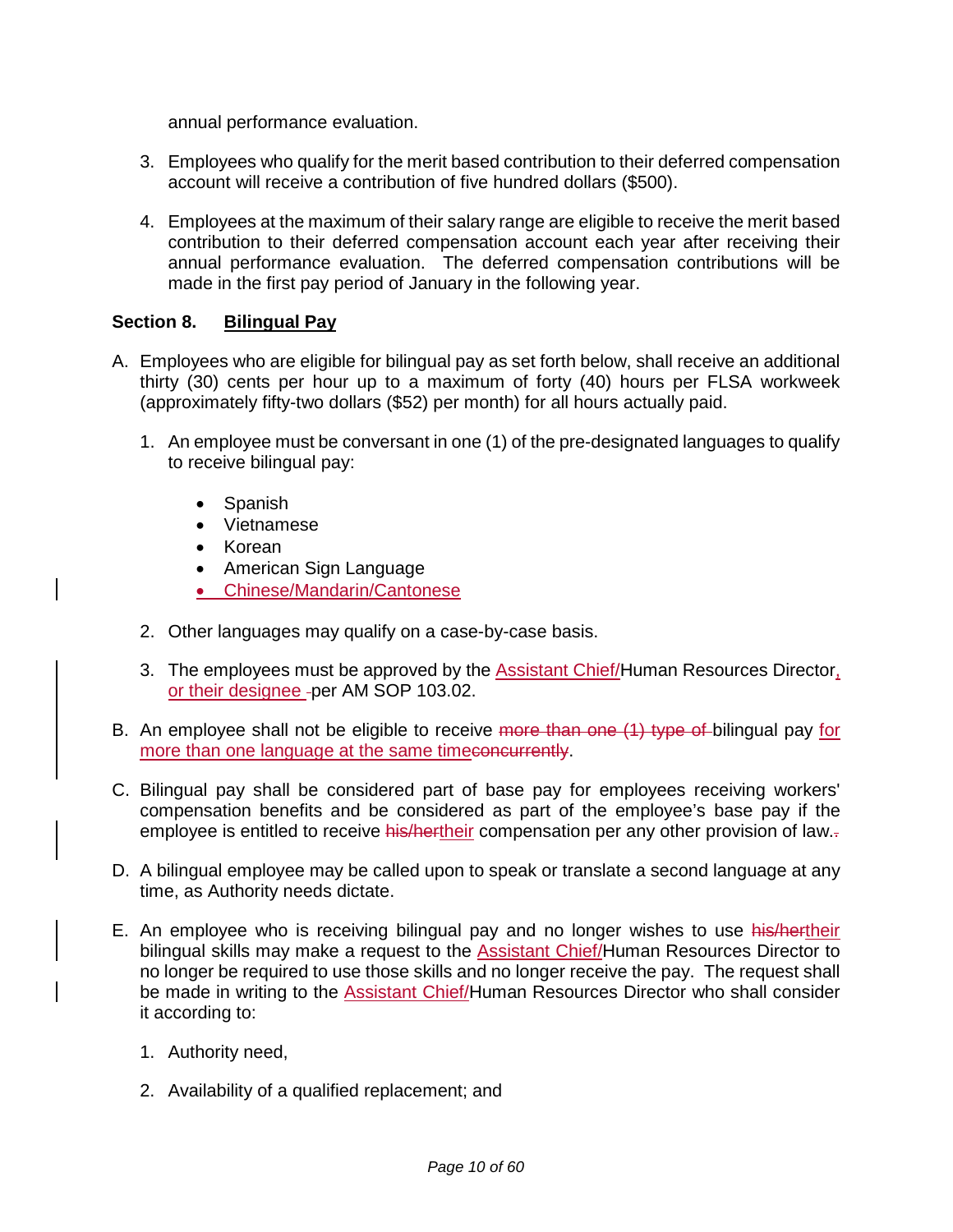annual performance evaluation.

- 3. Employees who qualify for the merit based contribution to their deferred compensation account will receive a contribution of five hundred dollars (\$500).
- 4. Employees at the maximum of their salary range are eligible to receive the merit based contribution to their deferred compensation account each year after receiving their annual performance evaluation. The deferred compensation contributions will be made in the first pay period of January in the following year.

### **Section 8. Bilingual Pay**

- A. Employees who are eligible for bilingual pay as set forth below, shall receive an additional thirty (30) cents per hour up to a maximum of forty (40) hours per FLSA workweek (approximately fifty-two dollars (\$52) per month) for all hours actually paid.
	- 1. An employee must be conversant in one (1) of the pre-designated languages to qualify to receive bilingual pay:
		- Spanish
		- Vietnamese
		- Korean
		- American Sign Language
		- Chinese/Mandarin/Cantonese
	- 2. Other languages may qualify on a case-by-case basis.
	- 3. The employees must be approved by the **Assistant Chief/Human Resources Director**, or their designee - per AM SOP 103.02.
- B. An employee shall not be eligible to receive more than one (1) type of bilingual pay for more than one language at the same timeconcurrently.
- C. Bilingual pay shall be considered part of base pay for employees receiving workers' compensation benefits and be considered as part of the employee's base pay if the employee is entitled to receive his/hertheir compensation per any other provision of law.
- D. A bilingual employee may be called upon to speak or translate a second language at any time, as Authority needs dictate.
- E. An employee who is receiving bilingual pay and no longer wishes to use his/hertheir bilingual skills may make a request to the **Assistant Chief/Human Resources Director to** no longer be required to use those skills and no longer receive the pay. The request shall be made in writing to the Assistant Chief/Human Resources Director who shall consider it according to:
	- 1. Authority need,
	- 2. Availability of a qualified replacement; and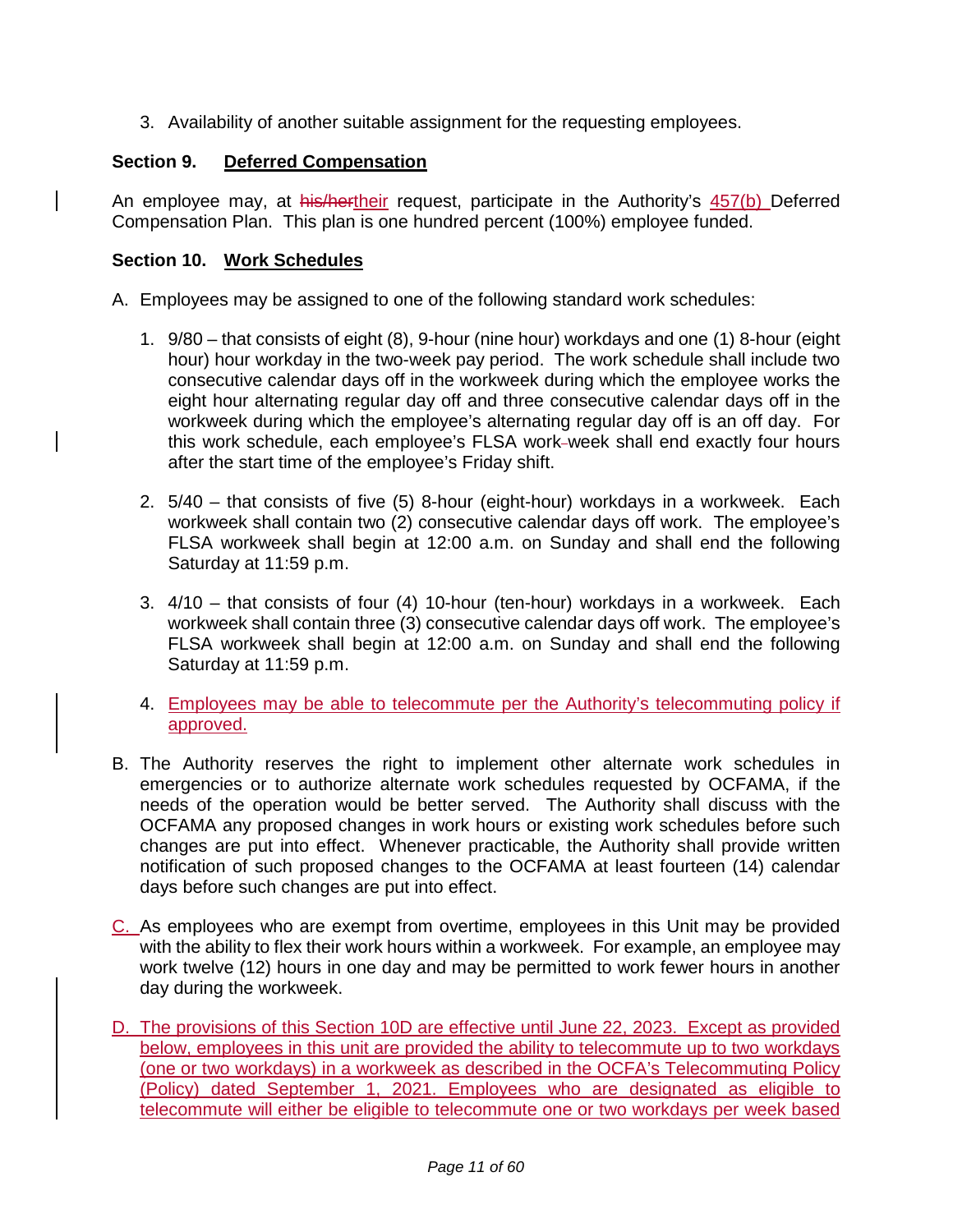3. Availability of another suitable assignment for the requesting employees.

### **Section 9. Deferred Compensation**

An employee may, at his/hertheir request, participate in the Authority's 457(b) Deferred Compensation Plan. This plan is one hundred percent (100%) employee funded.

#### **Section 10. Work Schedules**

A. Employees may be assigned to one of the following standard work schedules:

- 1. 9/80 that consists of eight (8), 9-hour (nine hour) workdays and one (1) 8-hour (eight hour) hour workday in the two-week pay period. The work schedule shall include two consecutive calendar days off in the workweek during which the employee works the eight hour alternating regular day off and three consecutive calendar days off in the workweek during which the employee's alternating regular day off is an off day. For this work schedule, each employee's FLSA work-week shall end exactly four hours after the start time of the employee's Friday shift.
- 2. 5/40 that consists of five (5) 8-hour (eight-hour) workdays in a workweek. Each workweek shall contain two (2) consecutive calendar days off work. The employee's FLSA workweek shall begin at 12:00 a.m. on Sunday and shall end the following Saturday at 11:59 p.m.
- 3. 4/10 that consists of four (4) 10-hour (ten-hour) workdays in a workweek. Each workweek shall contain three (3) consecutive calendar days off work. The employee's FLSA workweek shall begin at 12:00 a.m. on Sunday and shall end the following Saturday at 11:59 p.m.
- 4. Employees may be able to telecommute per the Authority's telecommuting policy if approved.
- B. The Authority reserves the right to implement other alternate work schedules in emergencies or to authorize alternate work schedules requested by OCFAMA, if the needs of the operation would be better served. The Authority shall discuss with the OCFAMA any proposed changes in work hours or existing work schedules before such changes are put into effect. Whenever practicable, the Authority shall provide written notification of such proposed changes to the OCFAMA at least fourteen (14) calendar days before such changes are put into effect.
- C. As employees who are exempt from overtime, employees in this Unit may be provided with the ability to flex their work hours within a workweek. For example, an employee may work twelve (12) hours in one day and may be permitted to work fewer hours in another day during the workweek.
- D. The provisions of this Section 10D are effective until June 22, 2023. Except as provided below, employees in this unit are provided the ability to telecommute up to two workdays (one or two workdays) in a workweek as described in the OCFA's Telecommuting Policy (Policy) dated September 1, 2021. Employees who are designated as eligible to telecommute will either be eligible to telecommute one or two workdays per week based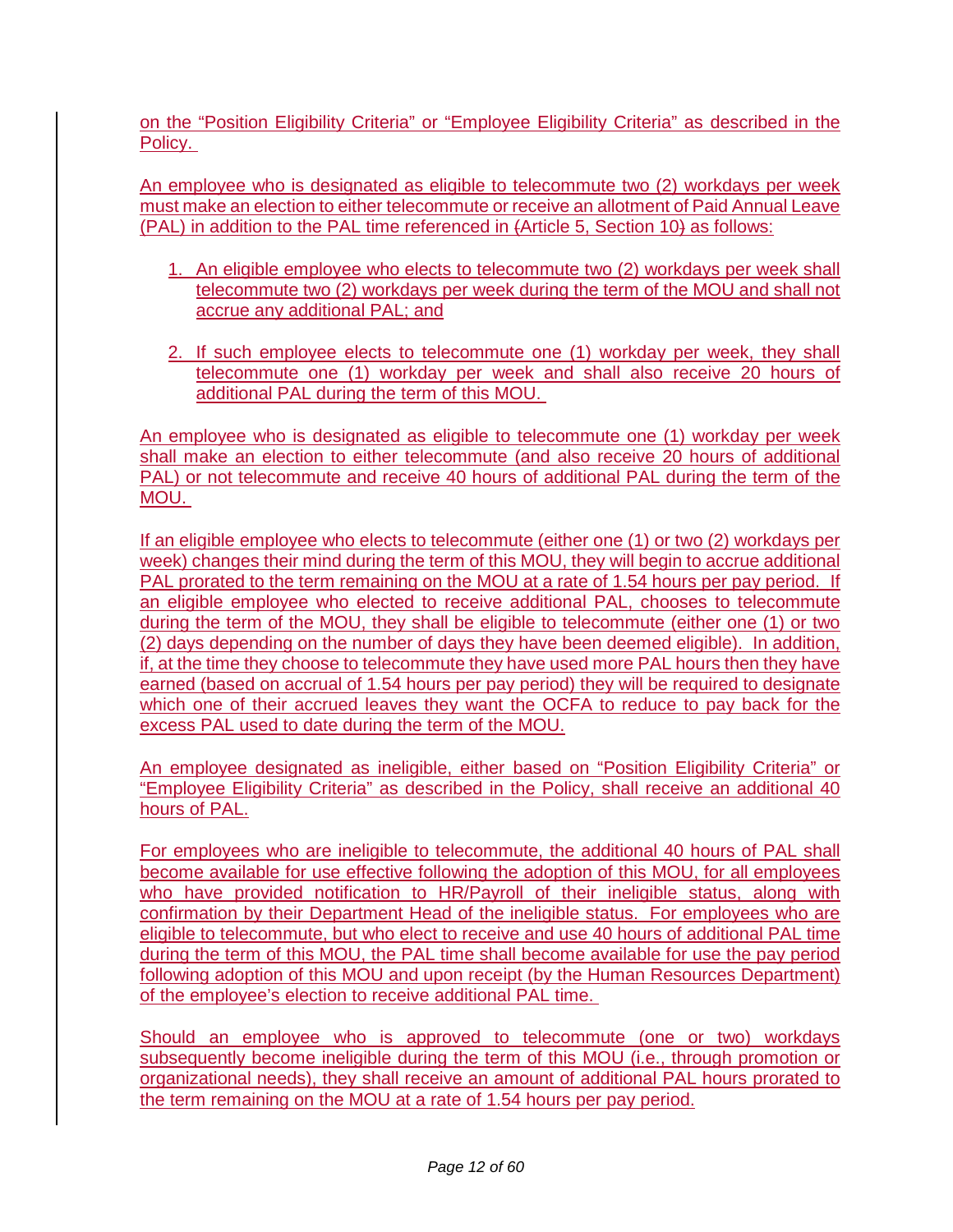on the "Position Eligibility Criteria" or "Employee Eligibility Criteria" as described in the Policy.

An employee who is designated as eligible to telecommute two (2) workdays per week must make an election to either telecommute or receive an allotment of Paid Annual Leave (PAL) in addition to the PAL time referenced in (Article 5, Section 10) as follows:

- 1. An eligible employee who elects to telecommute two (2) workdays per week shall telecommute two (2) workdays per week during the term of the MOU and shall not accrue any additional PAL; and
- 2. If such employee elects to telecommute one (1) workday per week, they shall telecommute one (1) workday per week and shall also receive 20 hours of additional PAL during the term of this MOU.

An employee who is designated as eligible to telecommute one (1) workday per week shall make an election to either telecommute (and also receive 20 hours of additional PAL) or not telecommute and receive 40 hours of additional PAL during the term of the MOU.

If an eligible employee who elects to telecommute (either one (1) or two (2) workdays per week) changes their mind during the term of this MOU, they will begin to accrue additional PAL prorated to the term remaining on the MOU at a rate of 1.54 hours per pay period. If an eligible employee who elected to receive additional PAL, chooses to telecommute during the term of the MOU, they shall be eligible to telecommute (either one (1) or two (2) days depending on the number of days they have been deemed eligible). In addition, if, at the time they choose to telecommute they have used more PAL hours then they have earned (based on accrual of 1.54 hours per pay period) they will be required to designate which one of their accrued leaves they want the OCFA to reduce to pay back for the excess PAL used to date during the term of the MOU.

An employee designated as ineligible, either based on "Position Eligibility Criteria" or "Employee Eligibility Criteria" as described in the Policy, shall receive an additional 40 hours of PAL.

For employees who are ineligible to telecommute, the additional 40 hours of PAL shall become available for use effective following the adoption of this MOU, for all employees who have provided notification to HR/Payroll of their ineligible status, along with confirmation by their Department Head of the ineligible status. For employees who are eligible to telecommute, but who elect to receive and use 40 hours of additional PAL time during the term of this MOU, the PAL time shall become available for use the pay period following adoption of this MOU and upon receipt (by the Human Resources Department) of the employee's election to receive additional PAL time.

Should an employee who is approved to telecommute (one or two) workdays subsequently become ineligible during the term of this MOU (i.e., through promotion or organizational needs), they shall receive an amount of additional PAL hours prorated to the term remaining on the MOU at a rate of 1.54 hours per pay period.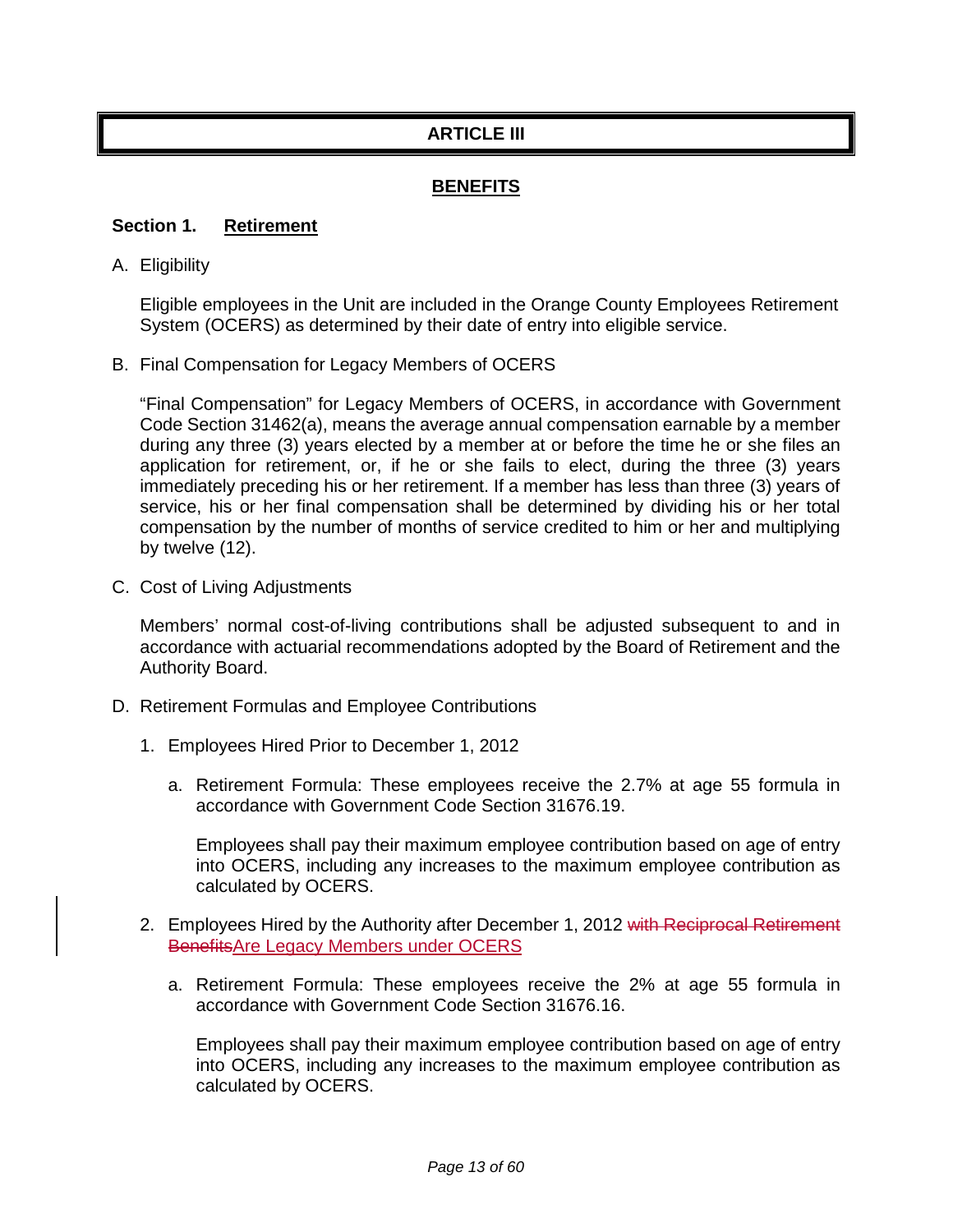# **ARTICLE III**

## **BENEFITS**

#### **Section 1. Retirement**

A. Eligibility

Eligible employees in the Unit are included in the Orange County Employees Retirement System (OCERS) as determined by their date of entry into eligible service.

B. Final Compensation for Legacy Members of OCERS

"Final Compensation" for Legacy Members of OCERS, in accordance with Government Code Section 31462(a), means the average annual compensation earnable by a member during any three (3) years elected by a member at or before the time he or she files an application for retirement, or, if he or she fails to elect, during the three (3) years immediately preceding his or her retirement. If a member has less than three (3) years of service, his or her final compensation shall be determined by dividing his or her total compensation by the number of months of service credited to him or her and multiplying by twelve (12).

C. Cost of Living Adjustments

Members' normal cost-of-living contributions shall be adjusted subsequent to and in accordance with actuarial recommendations adopted by the Board of Retirement and the Authority Board.

- D. Retirement Formulas and Employee Contributions
	- 1. Employees Hired Prior to December 1, 2012
		- a. Retirement Formula: These employees receive the 2.7% at age 55 formula in accordance with Government Code Section 31676.19.

Employees shall pay their maximum employee contribution based on age of entry into OCERS, including any increases to the maximum employee contribution as calculated by OCERS.

- 2. Employees Hired by the Authority after December 1, 2012 with Reciprocal Retirement BenefitsAre Legacy Members under OCERS
	- a. Retirement Formula: These employees receive the 2% at age 55 formula in accordance with Government Code Section 31676.16.

Employees shall pay their maximum employee contribution based on age of entry into OCERS, including any increases to the maximum employee contribution as calculated by OCERS.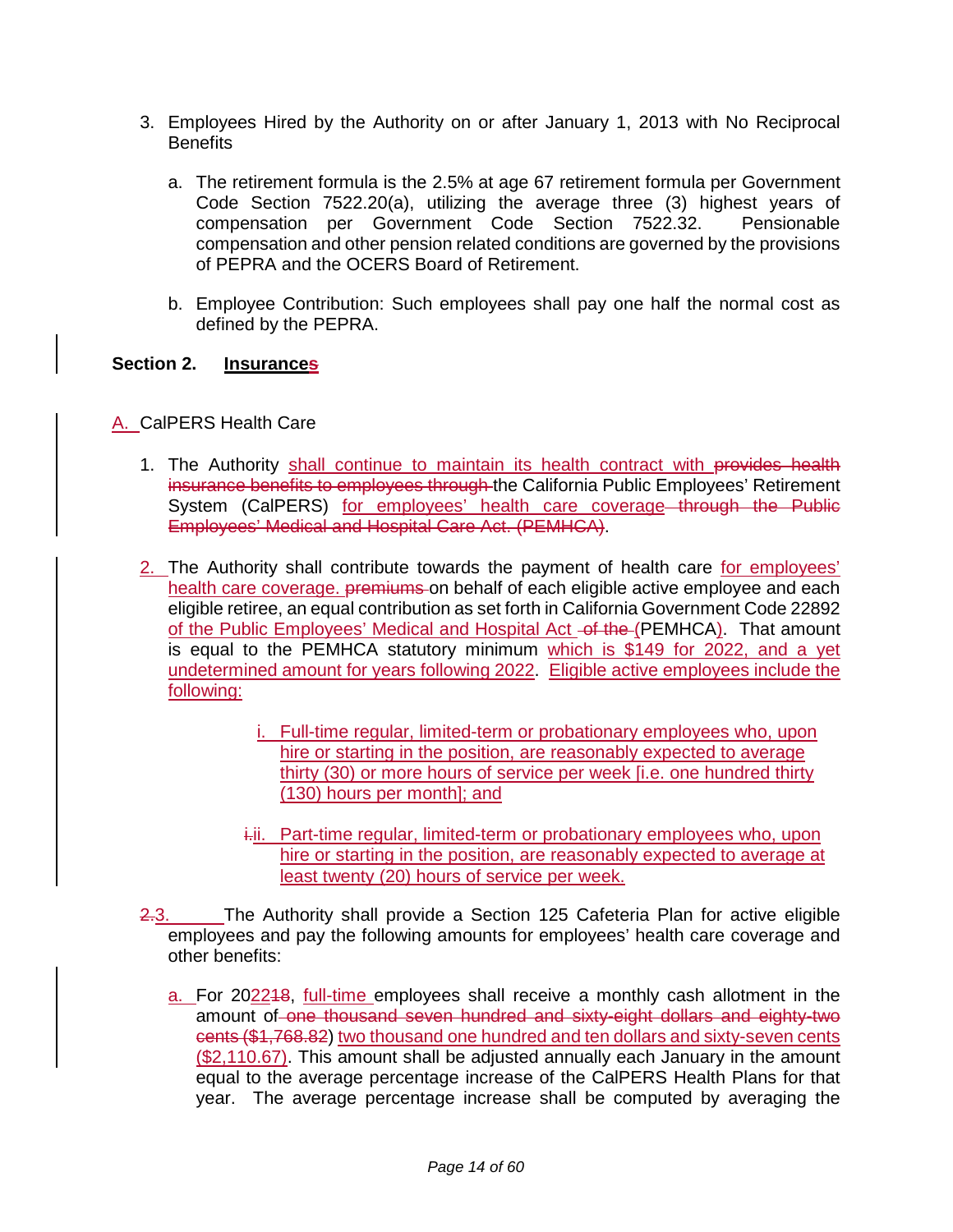- 3. Employees Hired by the Authority on or after January 1, 2013 with No Reciprocal **Benefits** 
	- a. The retirement formula is the 2.5% at age 67 retirement formula per Government Code Section 7522.20(a), utilizing the average three (3) highest years of compensation per Government Code Section 7522.32. Pensionable compensation and other pension related conditions are governed by the provisions of PEPRA and the OCERS Board of Retirement.
	- b. Employee Contribution: Such employees shall pay one half the normal cost as defined by the PEPRA.

#### **Section 2. Insurances**

A. CalPERS Health Care

- 1. The Authority shall continue to maintain its health contract with provides health insurance benefits to employees through the California Public Employees' Retirement System (CalPERS) for employees' health care coverage through the Public Employees' Medical and Hospital Care Act. (PEMHCA).
- 2. The Authority shall contribute towards the payment of health care for employees' health care coverage. premiums on behalf of each eligible active employee and each eligible retiree, an equal contribution as set forth in California Government Code 22892 of the Public Employees' Medical and Hospital Act -of the (PEMHCA). That amount is equal to the PEMHCA statutory minimum which is \$149 for 2022, and a yet undetermined amount for years following 2022. Eligible active employees include the following:
	- i. Full-time regular, limited-term or probationary employees who, upon hire or starting in the position, are reasonably expected to average thirty (30) or more hours of service per week [i.e. one hundred thirty (130) hours per month]; and
	- i.i. Part-time regular, limited-term or probationary employees who, upon hire or starting in the position, are reasonably expected to average at least twenty (20) hours of service per week.
- 2.3. The Authority shall provide a Section 125 Cafeteria Plan for active eligible employees and pay the following amounts for employees' health care coverage and other benefits:
	- a. For 202218, full-time employees shall receive a monthly cash allotment in the amount of one thousand seven hundred and sixty-eight dollars and eighty-two cents (\$1,768.82) two thousand one hundred and ten dollars and sixty-seven cents (\$2,110.67). This amount shall be adjusted annually each January in the amount equal to the average percentage increase of the CalPERS Health Plans for that year. The average percentage increase shall be computed by averaging the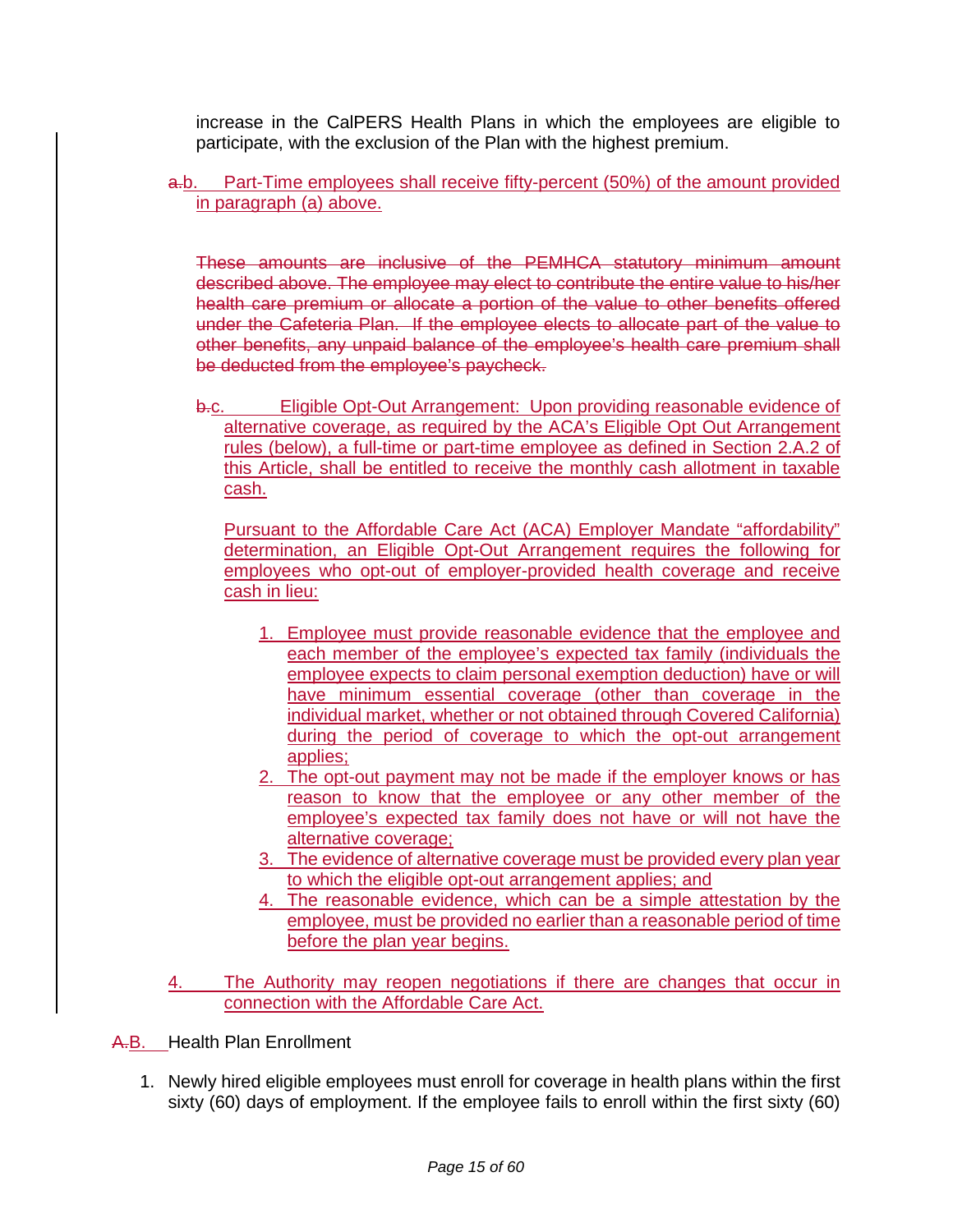increase in the CalPERS Health Plans in which the employees are eligible to participate, with the exclusion of the Plan with the highest premium.

#### a.b. Part-Time employees shall receive fifty-percent (50%) of the amount provided in paragraph (a) above.

These amounts are inclusive of the PEMHCA statutory minimum amount described above. The employee may elect to contribute the entire value to his/her health care premium or allocate a portion of the value to other benefits offered under the Cafeteria Plan. If the employee elects to allocate part of the value to other benefits, any unpaid balance of the employee's health care premium shall be deducted from the employee's paycheck.

b.c. Eligible Opt-Out Arrangement: Upon providing reasonable evidence of alternative coverage, as required by the ACA's Eligible Opt Out Arrangement rules (below), a full-time or part-time employee as defined in Section 2.A.2 of this Article, shall be entitled to receive the monthly cash allotment in taxable cash.

Pursuant to the Affordable Care Act (ACA) Employer Mandate "affordability" determination, an Eligible Opt-Out Arrangement requires the following for employees who opt-out of employer-provided health coverage and receive cash in lieu:

- 1. Employee must provide reasonable evidence that the employee and each member of the employee's expected tax family (individuals the employee expects to claim personal exemption deduction) have or will have minimum essential coverage (other than coverage in the individual market, whether or not obtained through Covered California) during the period of coverage to which the opt-out arrangement applies;
- 2. The opt-out payment may not be made if the employer knows or has reason to know that the employee or any other member of the employee's expected tax family does not have or will not have the alternative coverage;
- 3. The evidence of alternative coverage must be provided every plan year to which the eligible opt-out arrangement applies; and
- 4. The reasonable evidence, which can be a simple attestation by the employee, must be provided no earlier than a reasonable period of time before the plan year begins.
- The Authority may reopen negotiations if there are changes that occur in connection with the Affordable Care Act.

A.B. Health Plan Enrollment

1. Newly hired eligible employees must enroll for coverage in health plans within the first sixty (60) days of employment. If the employee fails to enroll within the first sixty (60)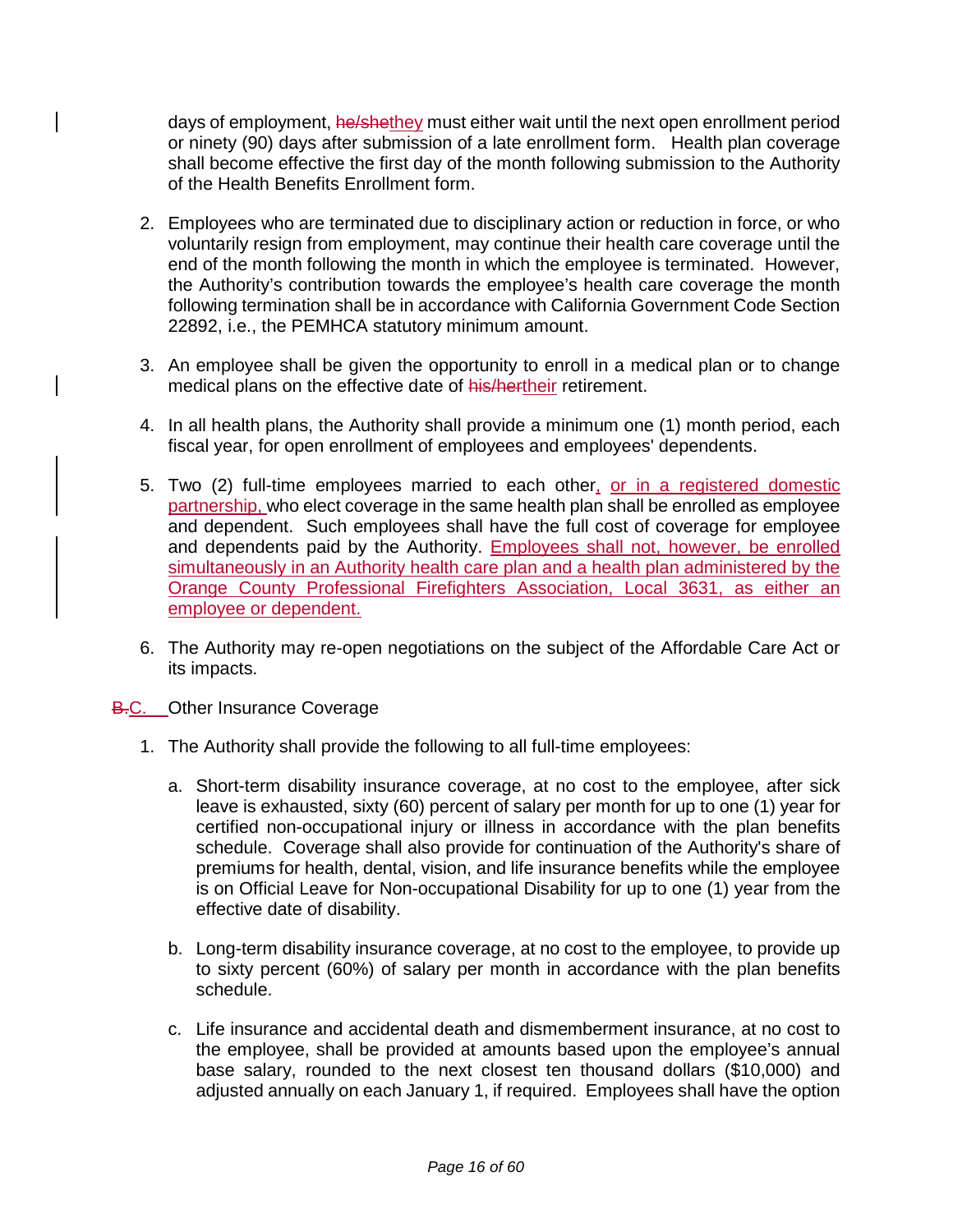days of employment, he/shethey must either wait until the next open enrollment period or ninety (90) days after submission of a late enrollment form. Health plan coverage shall become effective the first day of the month following submission to the Authority of the Health Benefits Enrollment form.

- 2. Employees who are terminated due to disciplinary action or reduction in force, or who voluntarily resign from employment, may continue their health care coverage until the end of the month following the month in which the employee is terminated. However, the Authority's contribution towards the employee's health care coverage the month following termination shall be in accordance with California Government Code Section 22892, i.e., the PEMHCA statutory minimum amount.
- 3. An employee shall be given the opportunity to enroll in a medical plan or to change medical plans on the effective date of his/hertheir retirement.
- 4. In all health plans, the Authority shall provide a minimum one (1) month period, each fiscal year, for open enrollment of employees and employees' dependents.
- 5. Two (2) full-time employees married to each other, or in a registered domestic partnership, who elect coverage in the same health plan shall be enrolled as employee and dependent. Such employees shall have the full cost of coverage for employee and dependents paid by the Authority. Employees shall not, however, be enrolled simultaneously in an Authority health care plan and a health plan administered by the Orange County Professional Firefighters Association, Local 3631, as either an employee or dependent.
- 6. The Authority may re-open negotiations on the subject of the Affordable Care Act or its impacts.
- **B.C.** Other Insurance Coverage
	- 1. The Authority shall provide the following to all full-time employees:
		- a. Short-term disability insurance coverage, at no cost to the employee, after sick leave is exhausted, sixty (60) percent of salary per month for up to one (1) year for certified non-occupational injury or illness in accordance with the plan benefits schedule. Coverage shall also provide for continuation of the Authority's share of premiums for health, dental, vision, and life insurance benefits while the employee is on Official Leave for Non-occupational Disability for up to one (1) year from the effective date of disability.
		- b. Long-term disability insurance coverage, at no cost to the employee, to provide up to sixty percent (60%) of salary per month in accordance with the plan benefits schedule.
		- c. Life insurance and accidental death and dismemberment insurance, at no cost to the employee, shall be provided at amounts based upon the employee's annual base salary, rounded to the next closest ten thousand dollars (\$10,000) and adjusted annually on each January 1, if required. Employees shall have the option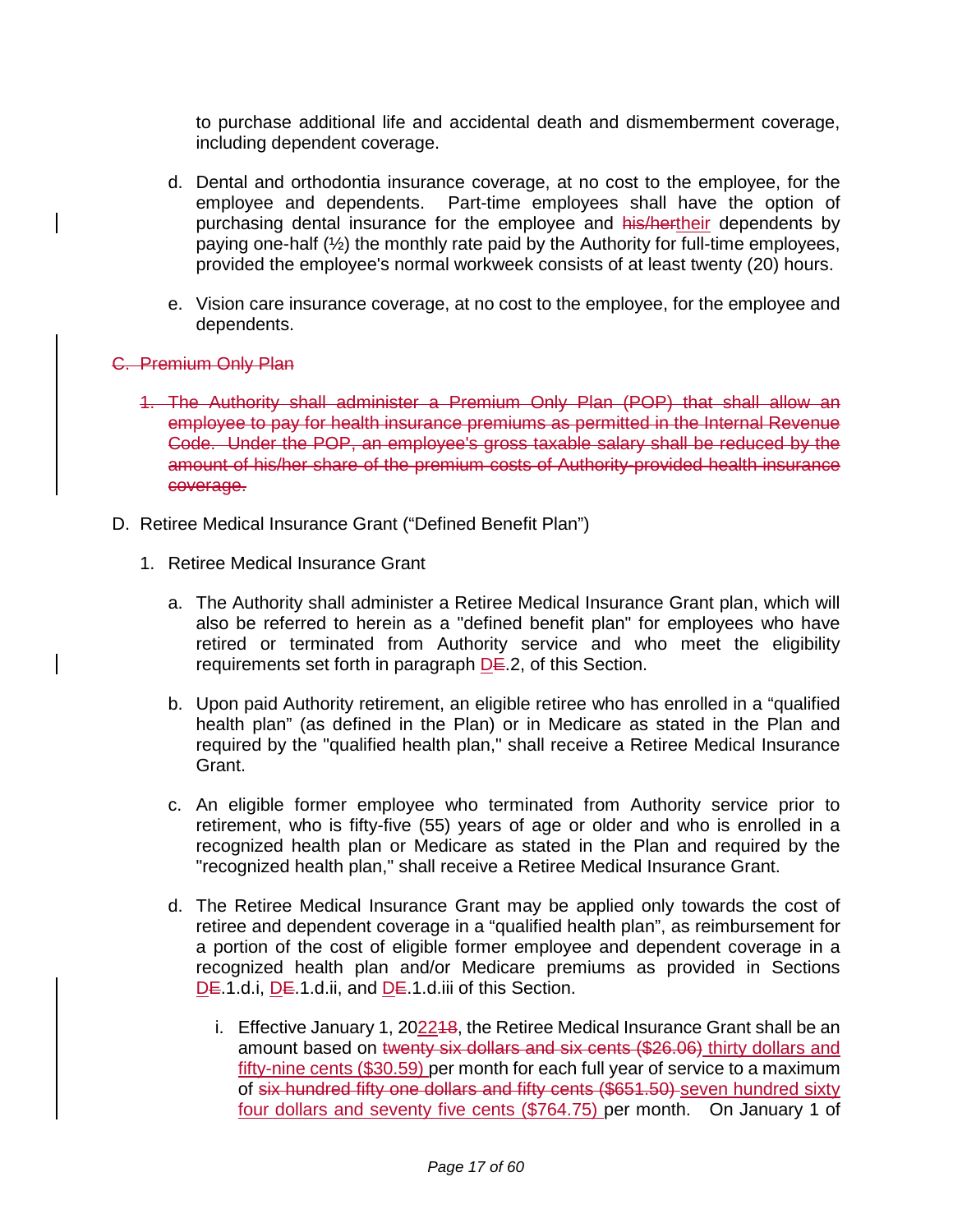to purchase additional life and accidental death and dismemberment coverage, including dependent coverage.

- d. Dental and orthodontia insurance coverage, at no cost to the employee, for the employee and dependents. Part-time employees shall have the option of purchasing dental insurance for the employee and his/hertheir dependents by paying one-half (½) the monthly rate paid by the Authority for full-time employees, provided the employee's normal workweek consists of at least twenty (20) hours.
- e. Vision care insurance coverage, at no cost to the employee, for the employee and dependents.
- C. Premium Only Plan
	- 1. The Authority shall administer a Premium Only Plan (POP) that shall allow an employee to pay for health insurance premiums as permitted in the Internal Revenue Code. Under the POP, an employee's gross taxable salary shall be reduced by the amount of his/her share of the premium costs of Authority-provided health insurance coverage.
- D. Retiree Medical Insurance Grant ("Defined Benefit Plan")
	- 1. Retiree Medical Insurance Grant
		- a. The Authority shall administer a Retiree Medical Insurance Grant plan, which will also be referred to herein as a "defined benefit plan" for employees who have retired or terminated from Authority service and who meet the eligibility requirements set forth in paragraph  $DE.2$ , of this Section.
		- b. Upon paid Authority retirement, an eligible retiree who has enrolled in a "qualified health plan" (as defined in the Plan) or in Medicare as stated in the Plan and required by the "qualified health plan," shall receive a Retiree Medical Insurance Grant.
		- c. An eligible former employee who terminated from Authority service prior to retirement, who is fifty-five (55) years of age or older and who is enrolled in a recognized health plan or Medicare as stated in the Plan and required by the "recognized health plan," shall receive a Retiree Medical Insurance Grant.
		- d. The Retiree Medical Insurance Grant may be applied only towards the cost of retiree and dependent coverage in a "qualified health plan", as reimbursement for a portion of the cost of eligible former employee and dependent coverage in a recognized health plan and/or Medicare premiums as provided in Sections DE.1.d.i, DE.1.d.ii, and DE.1.d.iii of this Section.
			- i. Effective January 1, 202248, the Retiree Medical Insurance Grant shall be an amount based on twenty six dollars and six cents (\$26.06) thirty dollars and fifty-nine cents (\$30.59) per month for each full year of service to a maximum of six hundred fifty one dollars and fifty cents (\$651.50) seven hundred sixty four dollars and seventy five cents (\$764.75) per month. On January 1 of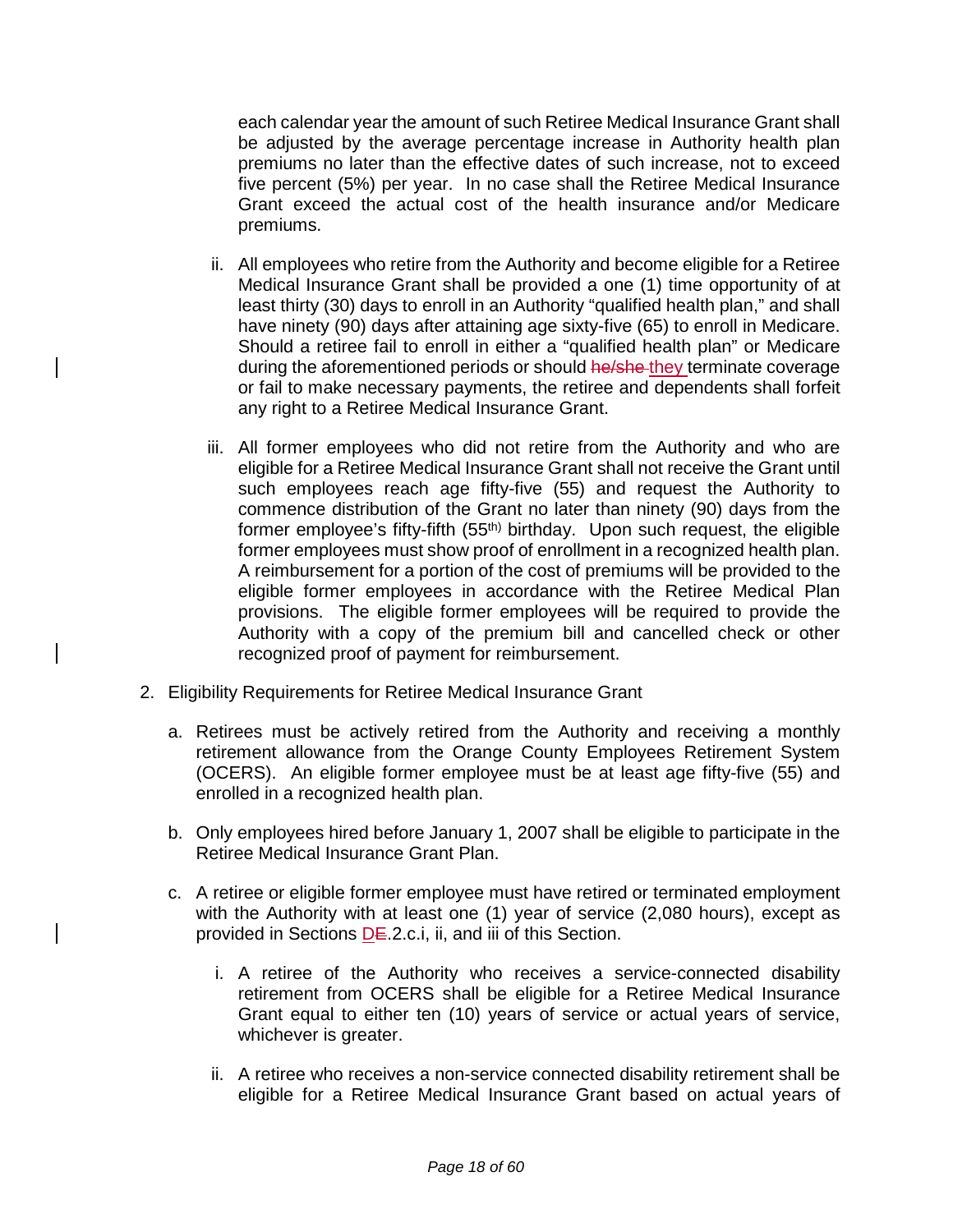each calendar year the amount of such Retiree Medical Insurance Grant shall be adjusted by the average percentage increase in Authority health plan premiums no later than the effective dates of such increase, not to exceed five percent (5%) per year. In no case shall the Retiree Medical Insurance Grant exceed the actual cost of the health insurance and/or Medicare premiums.

- ii. All employees who retire from the Authority and become eligible for a Retiree Medical Insurance Grant shall be provided a one (1) time opportunity of at least thirty (30) days to enroll in an Authority "qualified health plan," and shall have ninety (90) days after attaining age sixty-five (65) to enroll in Medicare. Should a retiree fail to enroll in either a "qualified health plan" or Medicare during the aforementioned periods or should he/she-they terminate coverage or fail to make necessary payments, the retiree and dependents shall forfeit any right to a Retiree Medical Insurance Grant.
- iii. All former employees who did not retire from the Authority and who are eligible for a Retiree Medical Insurance Grant shall not receive the Grant until such employees reach age fifty-five (55) and request the Authority to commence distribution of the Grant no later than ninety (90) days from the former employee's fifty-fifth (55<sup>th)</sup> birthday. Upon such request, the eligible former employees must show proof of enrollment in a recognized health plan. A reimbursement for a portion of the cost of premiums will be provided to the eligible former employees in accordance with the Retiree Medical Plan provisions. The eligible former employees will be required to provide the Authority with a copy of the premium bill and cancelled check or other recognized proof of payment for reimbursement.
- 2. Eligibility Requirements for Retiree Medical Insurance Grant
	- a. Retirees must be actively retired from the Authority and receiving a monthly retirement allowance from the Orange County Employees Retirement System (OCERS). An eligible former employee must be at least age fifty-five (55) and enrolled in a recognized health plan.
	- b. Only employees hired before January 1, 2007 shall be eligible to participate in the Retiree Medical Insurance Grant Plan.
	- c. A retiree or eligible former employee must have retired or terminated employment with the Authority with at least one (1) year of service (2,080 hours), except as provided in Sections DE.2.c.i, ii, and iii of this Section.
		- i. A retiree of the Authority who receives a service-connected disability retirement from OCERS shall be eligible for a Retiree Medical Insurance Grant equal to either ten (10) years of service or actual years of service, whichever is greater.
		- ii. A retiree who receives a non-service connected disability retirement shall be eligible for a Retiree Medical Insurance Grant based on actual years of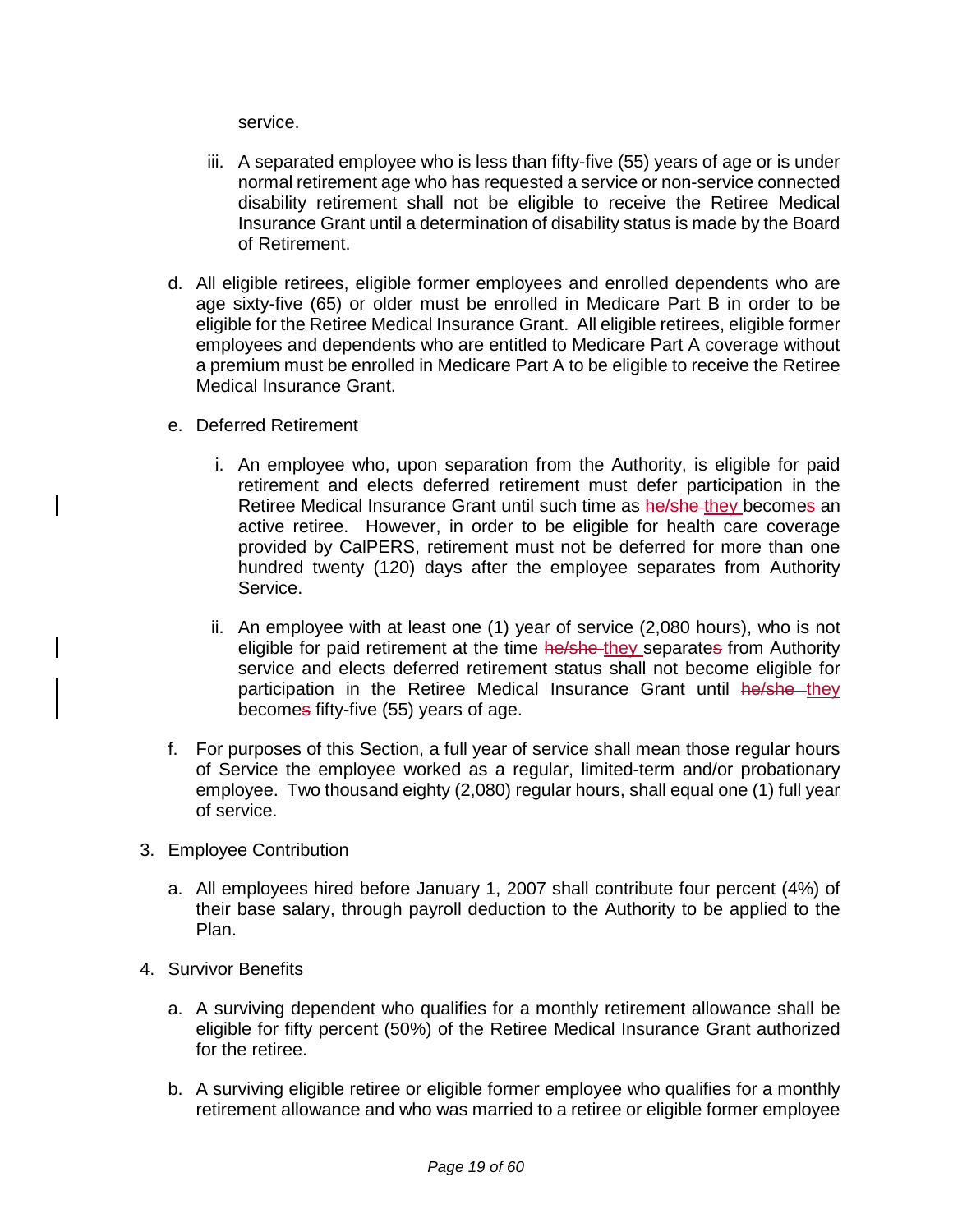service.

- iii. A separated employee who is less than fifty-five (55) years of age or is under normal retirement age who has requested a service or non-service connected disability retirement shall not be eligible to receive the Retiree Medical Insurance Grant until a determination of disability status is made by the Board of Retirement.
- d. All eligible retirees, eligible former employees and enrolled dependents who are age sixty-five (65) or older must be enrolled in Medicare Part B in order to be eligible for the Retiree Medical Insurance Grant. All eligible retirees, eligible former employees and dependents who are entitled to Medicare Part A coverage without a premium must be enrolled in Medicare Part A to be eligible to receive the Retiree Medical Insurance Grant.
- e. Deferred Retirement
	- i. An employee who, upon separation from the Authority, is eligible for paid retirement and elects deferred retirement must defer participation in the Retiree Medical Insurance Grant until such time as he/she-they becomes an active retiree. However, in order to be eligible for health care coverage provided by CalPERS, retirement must not be deferred for more than one hundred twenty (120) days after the employee separates from Authority Service.
	- ii. An employee with at least one (1) year of service (2,080 hours), who is not eligible for paid retirement at the time he/she they separates from Authority service and elects deferred retirement status shall not become eligible for participation in the Retiree Medical Insurance Grant until he/she they becomes fifty-five (55) years of age.
- f. For purposes of this Section, a full year of service shall mean those regular hours of Service the employee worked as a regular, limited-term and/or probationary employee. Two thousand eighty (2,080) regular hours, shall equal one (1) full year of service.
- 3. Employee Contribution
	- a. All employees hired before January 1, 2007 shall contribute four percent (4%) of their base salary, through payroll deduction to the Authority to be applied to the Plan.
- 4. Survivor Benefits
	- a. A surviving dependent who qualifies for a monthly retirement allowance shall be eligible for fifty percent (50%) of the Retiree Medical Insurance Grant authorized for the retiree.
	- b. A surviving eligible retiree or eligible former employee who qualifies for a monthly retirement allowance and who was married to a retiree or eligible former employee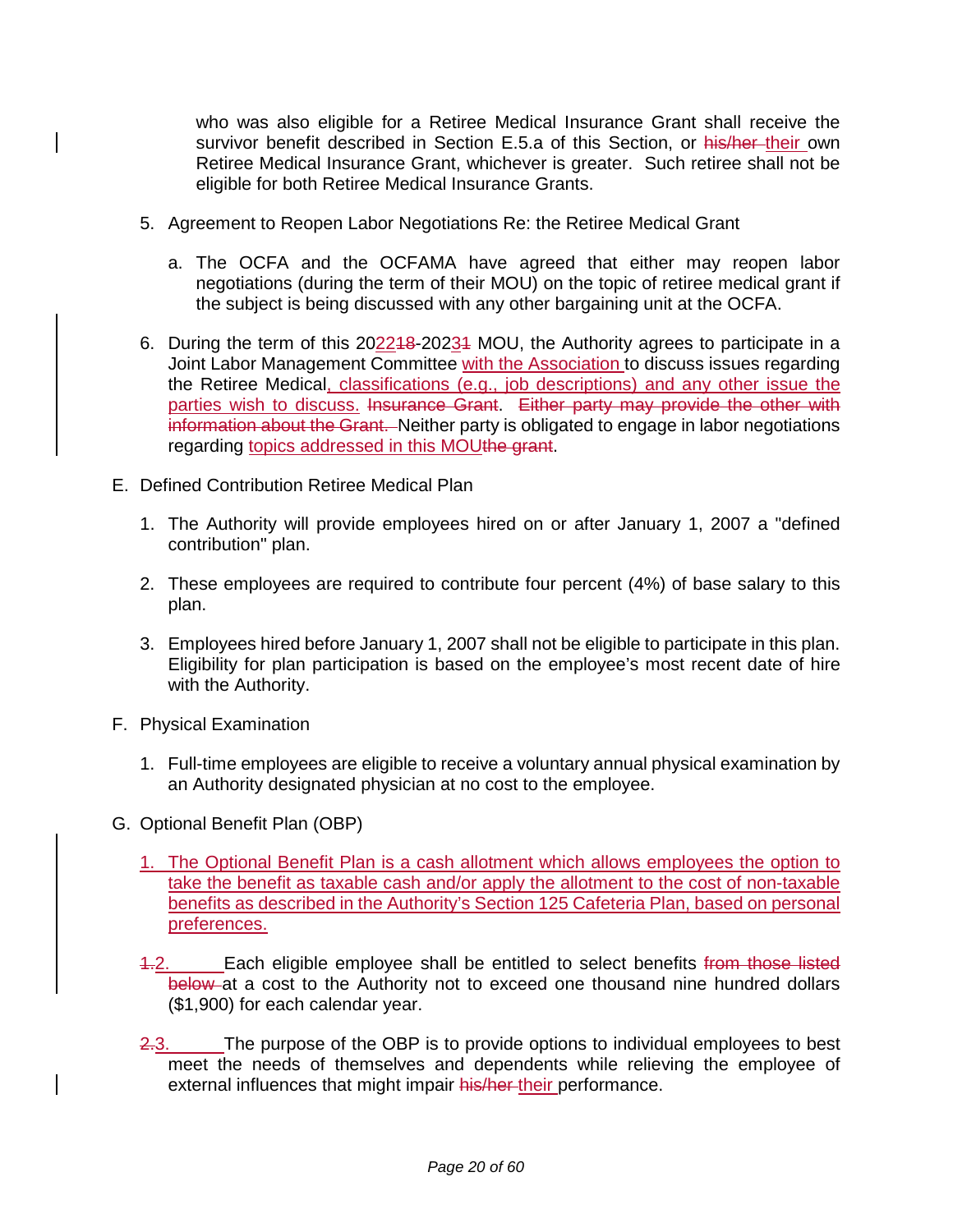who was also eligible for a Retiree Medical Insurance Grant shall receive the survivor benefit described in Section E.5.a of this Section, or his/her their own Retiree Medical Insurance Grant, whichever is greater. Such retiree shall not be eligible for both Retiree Medical Insurance Grants.

- 5. Agreement to Reopen Labor Negotiations Re: the Retiree Medical Grant
	- a. The OCFA and the OCFAMA have agreed that either may reopen labor negotiations (during the term of their MOU) on the topic of retiree medical grant if the subject is being discussed with any other bargaining unit at the OCFA.
- 6. During the term of this 202218-20231 MOU, the Authority agrees to participate in a Joint Labor Management Committee with the Association to discuss issues regarding the Retiree Medical<u>, classifications (e.g., job descriptions) and any other issue the</u> parties wish to discuss. Insurance Grant. Either party may provide the other with information about the Grant. Neither party is obligated to engage in labor negotiations regarding topics addressed in this MOUthe grant.
- E. Defined Contribution Retiree Medical Plan
	- 1. The Authority will provide employees hired on or after January 1, 2007 a "defined contribution" plan.
	- 2. These employees are required to contribute four percent (4%) of base salary to this plan.
	- 3. Employees hired before January 1, 2007 shall not be eligible to participate in this plan. Eligibility for plan participation is based on the employee's most recent date of hire with the Authority.
- F. Physical Examination
	- 1. Full-time employees are eligible to receive a voluntary annual physical examination by an Authority designated physician at no cost to the employee.
- G. Optional Benefit Plan (OBP)
	- 1. The Optional Benefit Plan is a cash allotment which allows employees the option to take the benefit as taxable cash and/or apply the allotment to the cost of non-taxable benefits as described in the Authority's Section 125 Cafeteria Plan, based on personal preferences.
	- 4.2. Each eligible employee shall be entitled to select benefits from those listed below at a cost to the Authority not to exceed one thousand nine hundred dollars (\$1,900) for each calendar year.
	- 2.3. The purpose of the OBP is to provide options to individual employees to best meet the needs of themselves and dependents while relieving the employee of external influences that might impair his/her-their performance.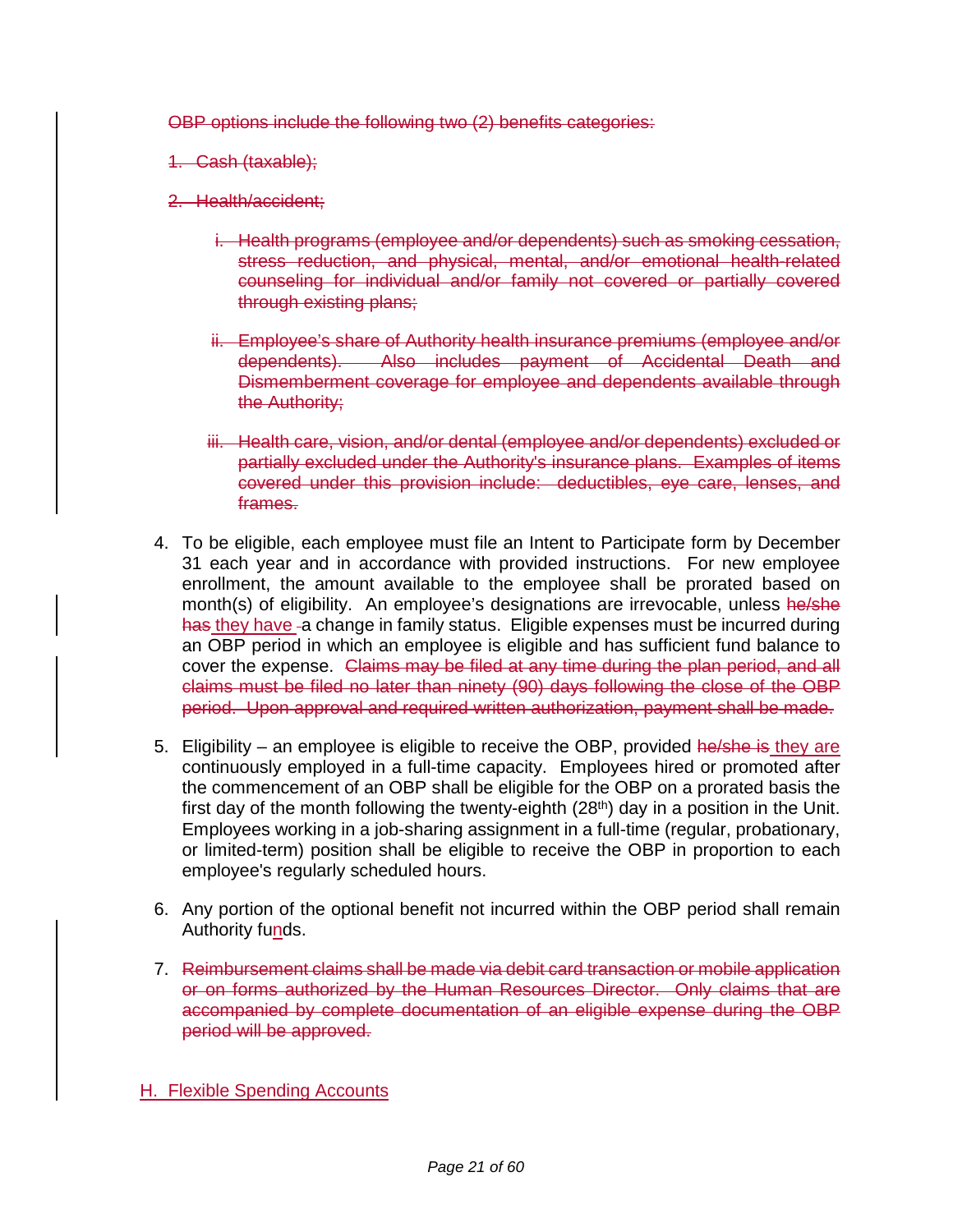OBP options include the following two (2) benefits categories:

- 1. Cash (taxable);
- 2. Health/accident;
	- i. Health programs (employee and/or dependents) such as smoking cessation, stress reduction, and physical, mental, and/or emotional health-related counseling for individual and/or family not covered or partially covered through existing plans;
	- ii. Employee's share of Authority health insurance premiums (employee and/or dependents). Also includes payment of Accidental Death and Dismemberment coverage for employee and dependents available through the Authority;
	- iii. Health care, vision, and/or dental (employee and/or dependents) excluded or partially excluded under the Authority's insurance plans. Examples of items covered under this provision include: deductibles, eye care, lenses, and frames.
- 4. To be eligible, each employee must file an Intent to Participate form by December 31 each year and in accordance with provided instructions. For new employee enrollment, the amount available to the employee shall be prorated based on month(s) of eligibility. An employee's designations are irrevocable, unless he/she has they have -a change in family status. Eligible expenses must be incurred during an OBP period in which an employee is eligible and has sufficient fund balance to cover the expense. Claims may be filed at any time during the plan period, and all claims must be filed no later than ninety (90) days following the close of the OBP period. Upon approval and required written authorization, payment shall be made.
- 5. Eligibility an employee is eligible to receive the OBP, provided he/she is they are continuously employed in a full-time capacity. Employees hired or promoted after the commencement of an OBP shall be eligible for the OBP on a prorated basis the first day of the month following the twenty-eighth  $(28<sup>th</sup>)$  day in a position in the Unit. Employees working in a job-sharing assignment in a full-time (regular, probationary, or limited-term) position shall be eligible to receive the OBP in proportion to each employee's regularly scheduled hours.
- 6. Any portion of the optional benefit not incurred within the OBP period shall remain Authority funds.
- 7. Reimbursement claims shall be made via debit card transaction or mobile application or on forms authorized by the Human Resources Director. Only claims that are accompanied by complete documentation of an eligible expense during the OBP period will be approved.
- H. Flexible Spending Accounts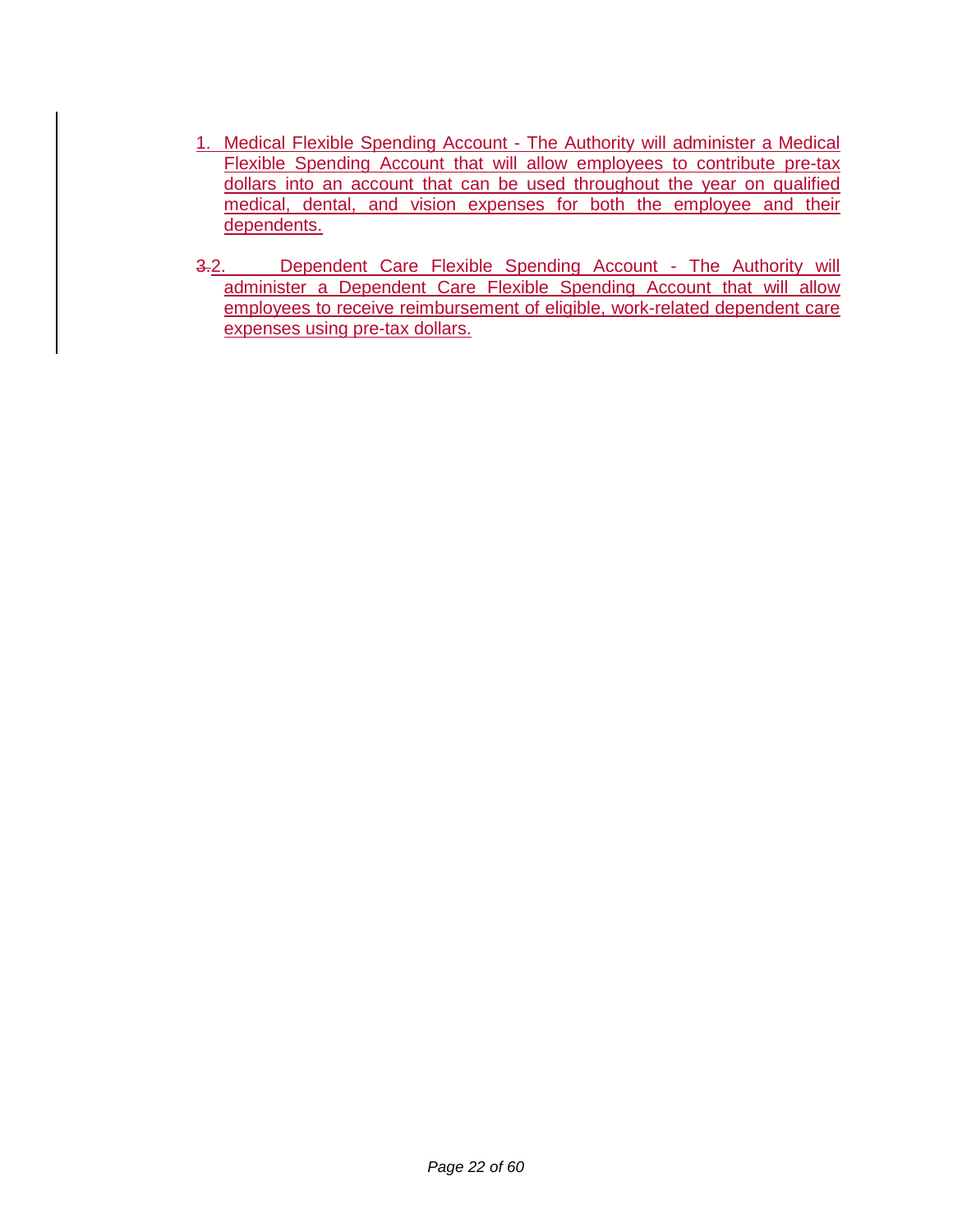- 1. Medical Flexible Spending Account The Authority will administer a Medical Flexible Spending Account that will allow employees to contribute pre-tax dollars into an account that can be used throughout the year on qualified medical, dental, and vision expenses for both the employee and their dependents.
- 3.2. Dependent Care Flexible Spending Account The Authority will administer a Dependent Care Flexible Spending Account that will allow employees to receive reimbursement of eligible, work-related dependent care expenses using pre-tax dollars.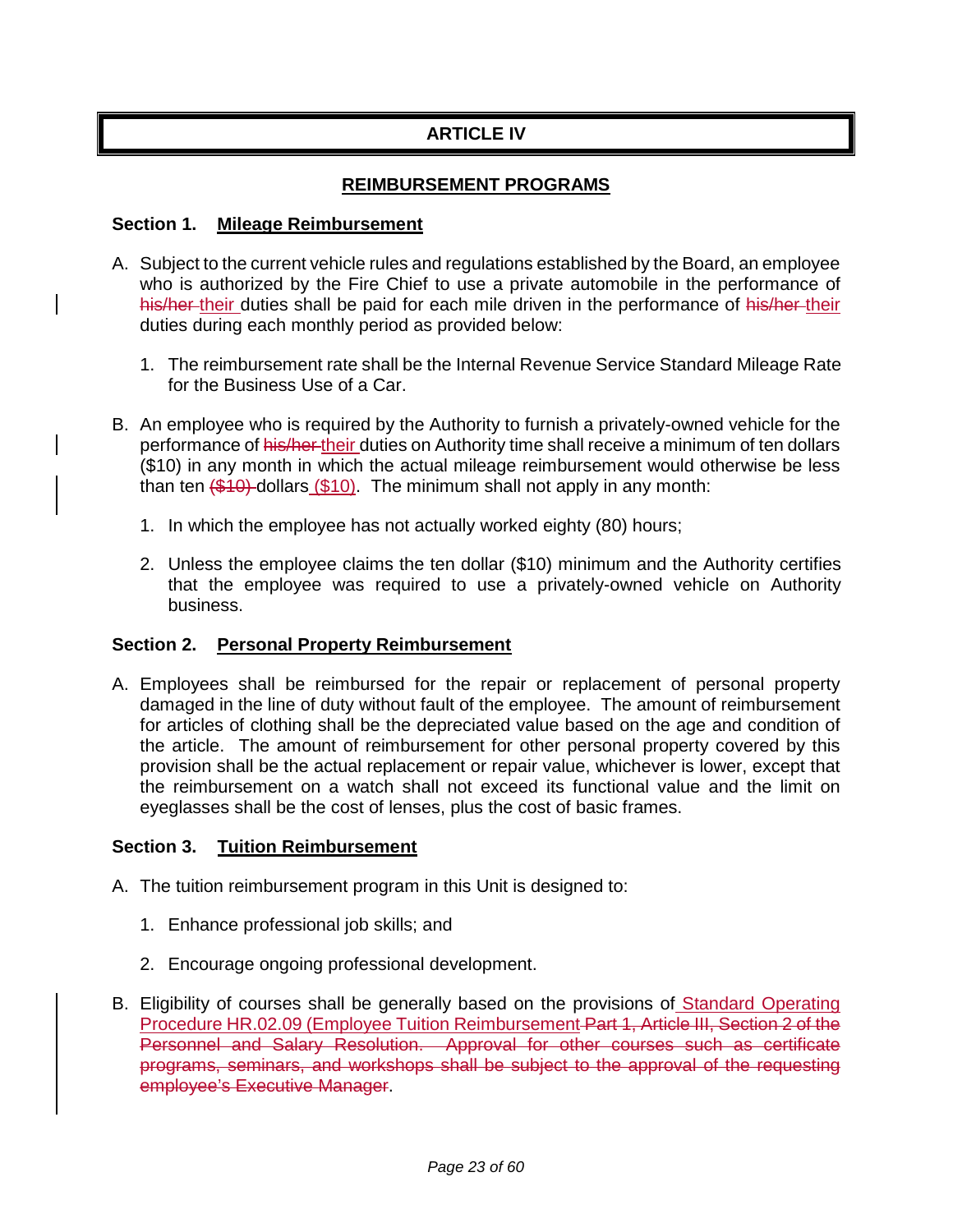# **ARTICLE IV**

### **REIMBURSEMENT PROGRAMS**

#### **Section 1. Mileage Reimbursement**

- A. Subject to the current vehicle rules and regulations established by the Board, an employee who is authorized by the Fire Chief to use a private automobile in the performance of his/her their duties shall be paid for each mile driven in the performance of his/her their duties during each monthly period as provided below:
	- 1. The reimbursement rate shall be the Internal Revenue Service Standard Mileage Rate for the Business Use of a Car.
- B. An employee who is required by the Authority to furnish a privately-owned vehicle for the performance of his/her their duties on Authority time shall receive a minimum of ten dollars (\$10) in any month in which the actual mileage reimbursement would otherwise be less than ten  $(\frac{$10}{9})$  dollars  $(\frac{$10}{9})$ . The minimum shall not apply in any month:
	- 1. In which the employee has not actually worked eighty (80) hours;
	- 2. Unless the employee claims the ten dollar (\$10) minimum and the Authority certifies that the employee was required to use a privately-owned vehicle on Authority business.

#### **Section 2. Personal Property Reimbursement**

A. Employees shall be reimbursed for the repair or replacement of personal property damaged in the line of duty without fault of the employee. The amount of reimbursement for articles of clothing shall be the depreciated value based on the age and condition of the article. The amount of reimbursement for other personal property covered by this provision shall be the actual replacement or repair value, whichever is lower, except that the reimbursement on a watch shall not exceed its functional value and the limit on eyeglasses shall be the cost of lenses, plus the cost of basic frames.

#### **Section 3. Tuition Reimbursement**

- A. The tuition reimbursement program in this Unit is designed to:
	- 1. Enhance professional job skills; and
	- 2. Encourage ongoing professional development.
- B. Eligibility of courses shall be generally based on the provisions of Standard Operating Procedure HR.02.09 (Employee Tuition Reimbursement Part 1, Article III, Section 2 of the Personnel and Salary Resolution. Approval for other courses such as certificate programs, seminars, and workshops shall be subject to the approval of the requesting employee's Executive Manager.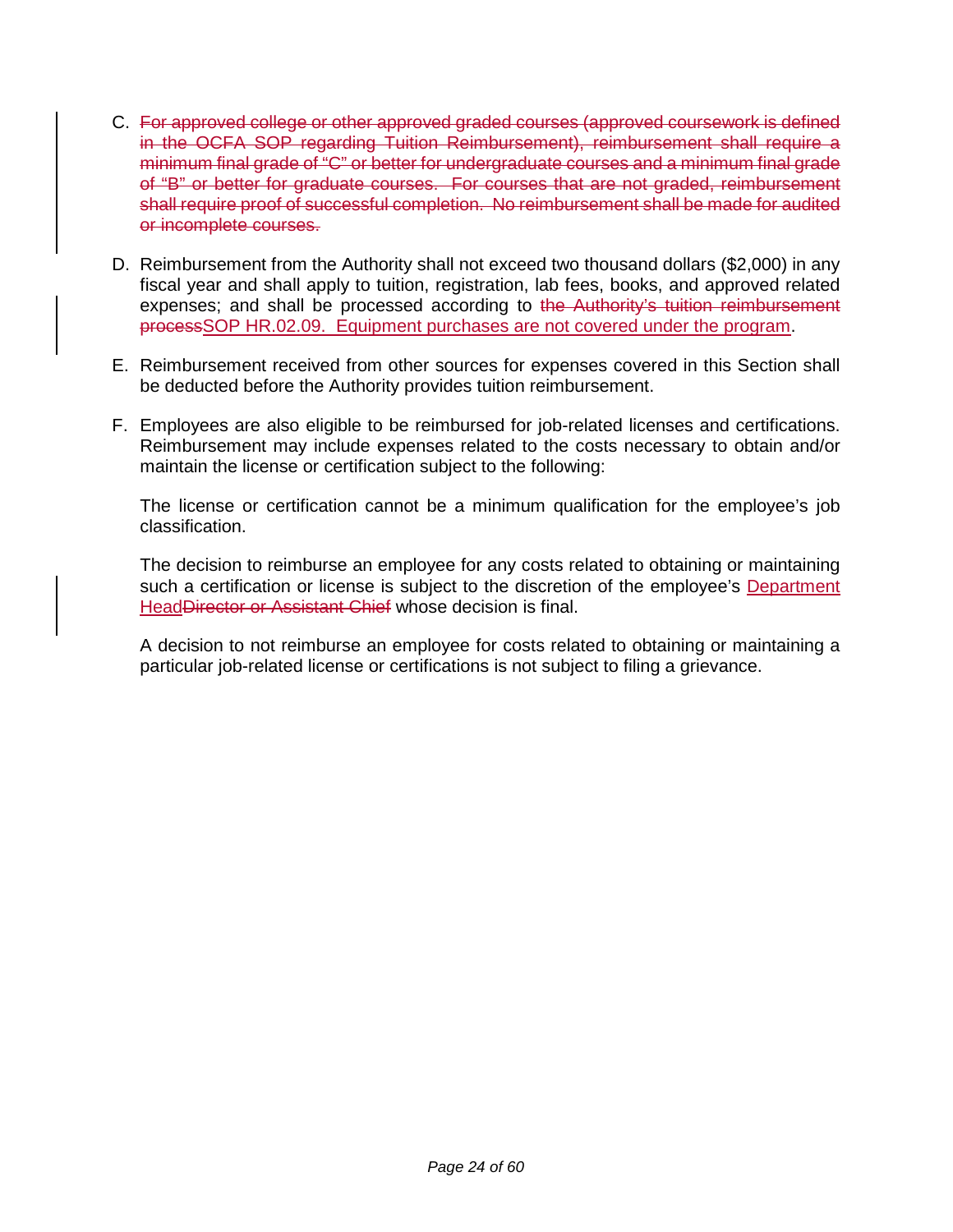- C. For approved college or other approved graded courses (approved coursework is defined in the OCFA SOP regarding Tuition Reimbursement), reimbursement shall require a minimum final grade of "C" or better for undergraduate courses and a minimum final grade of "B" or better for graduate courses. For courses that are not graded, reimbursement shall require proof of successful completion. No reimbursement shall be made for audited or incomplete courses.
- D. Reimbursement from the Authority shall not exceed two thousand dollars (\$2,000) in any fiscal year and shall apply to tuition, registration, lab fees, books, and approved related expenses; and shall be processed according to the Authority's tuition reimbursement processSOP HR.02.09. Equipment purchases are not covered under the program.
- E. Reimbursement received from other sources for expenses covered in this Section shall be deducted before the Authority provides tuition reimbursement.
- F. Employees are also eligible to be reimbursed for job-related licenses and certifications. Reimbursement may include expenses related to the costs necessary to obtain and/or maintain the license or certification subject to the following:

The license or certification cannot be a minimum qualification for the employee's job classification.

The decision to reimburse an employee for any costs related to obtaining or maintaining such a certification or license is subject to the discretion of the employee's Department Head Director or Assistant Chief whose decision is final.

A decision to not reimburse an employee for costs related to obtaining or maintaining a particular job-related license or certifications is not subject to filing a grievance.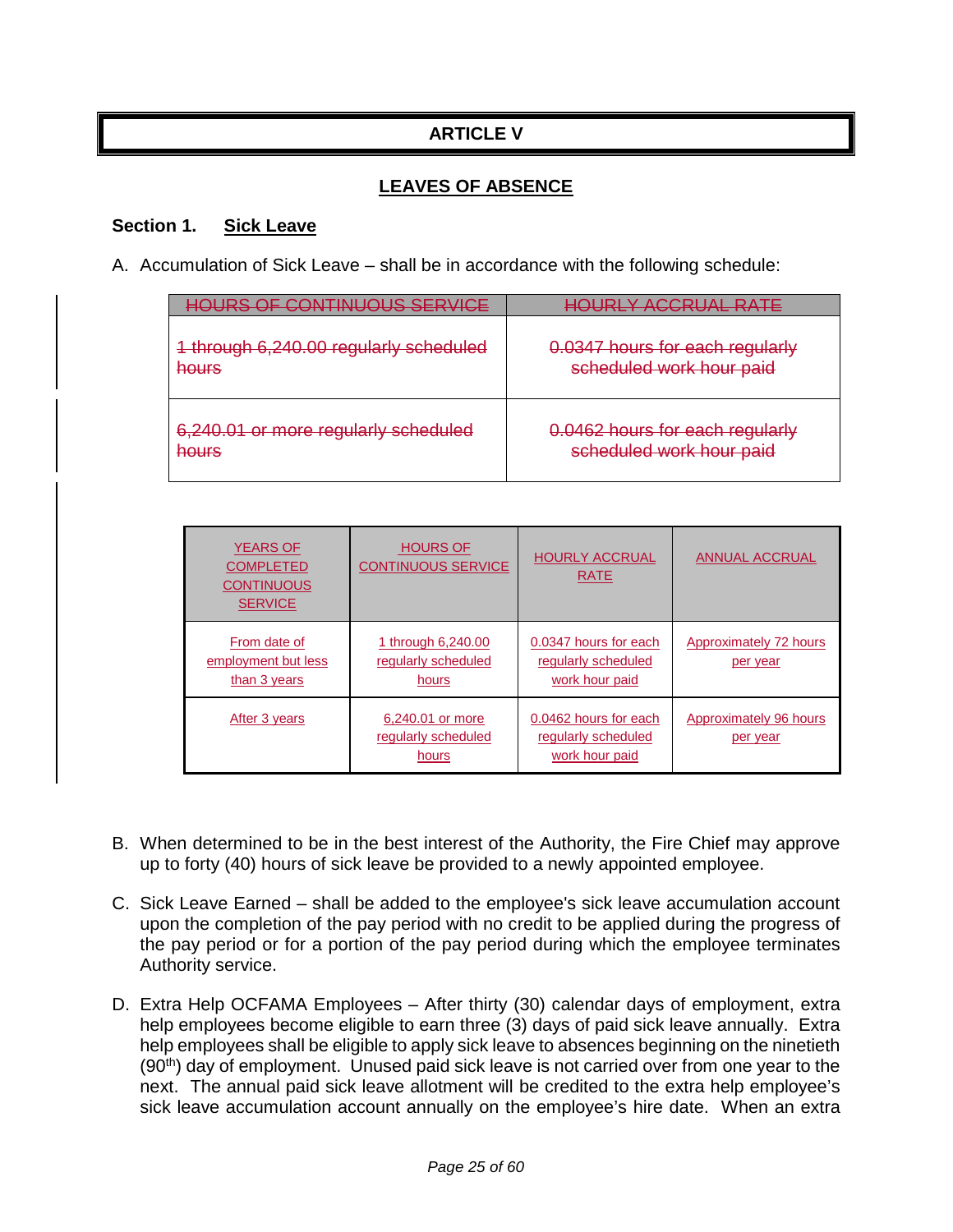# **ARTICLE V**

## **LEAVES OF ABSENCE**

#### **Section 1. Sick Leave**

A. Accumulation of Sick Leave – shall be in accordance with the following schedule:

| ILIDE AE CANTINILIALIE EEDVICE                                 | DIV ACCOHAL DATE                                            |
|----------------------------------------------------------------|-------------------------------------------------------------|
| 1 through 6,240.00 regularly scheduled<br>hours                | 0.0347 hours for each regularly<br>scheduled work hour paid |
| 6,240.01 or more regularly scheduled<br>عسيمط<br><b>TIONER</b> | 0.0462 hours for each regularly<br>scheduled work hour paid |

| <b>YEARS OF</b><br><b>COMPLETED</b><br><b>CONTINUOUS</b><br><b>SERVICE</b> | <b>HOURS OF</b><br><b>CONTINUOUS SERVICE</b>              | <b>HOURLY ACCRUAL</b><br><b>RATE</b>                           | <b>ANNUAL ACCRUAL</b>              |
|----------------------------------------------------------------------------|-----------------------------------------------------------|----------------------------------------------------------------|------------------------------------|
| From date of<br>employment but less<br>than 3 years                        | <u>1 through 6,240.00</u><br>regularly scheduled<br>hours | 0.0347 hours for each<br>regularly scheduled<br>work hour paid | Approximately 72 hours<br>per year |
| After 3 years                                                              | 6,240.01 or more<br>regularly scheduled<br>hours          | 0.0462 hours for each<br>regularly scheduled<br>work hour paid | Approximately 96 hours<br>per year |

- B. When determined to be in the best interest of the Authority, the Fire Chief may approve up to forty (40) hours of sick leave be provided to a newly appointed employee.
- C. Sick Leave Earned shall be added to the employee's sick leave accumulation account upon the completion of the pay period with no credit to be applied during the progress of the pay period or for a portion of the pay period during which the employee terminates Authority service.
- D. Extra Help OCFAMA Employees After thirty (30) calendar days of employment, extra help employees become eligible to earn three (3) days of paid sick leave annually. Extra help employees shall be eligible to apply sick leave to absences beginning on the ninetieth  $(90<sup>th</sup>)$  day of employment. Unused paid sick leave is not carried over from one year to the next. The annual paid sick leave allotment will be credited to the extra help employee's sick leave accumulation account annually on the employee's hire date. When an extra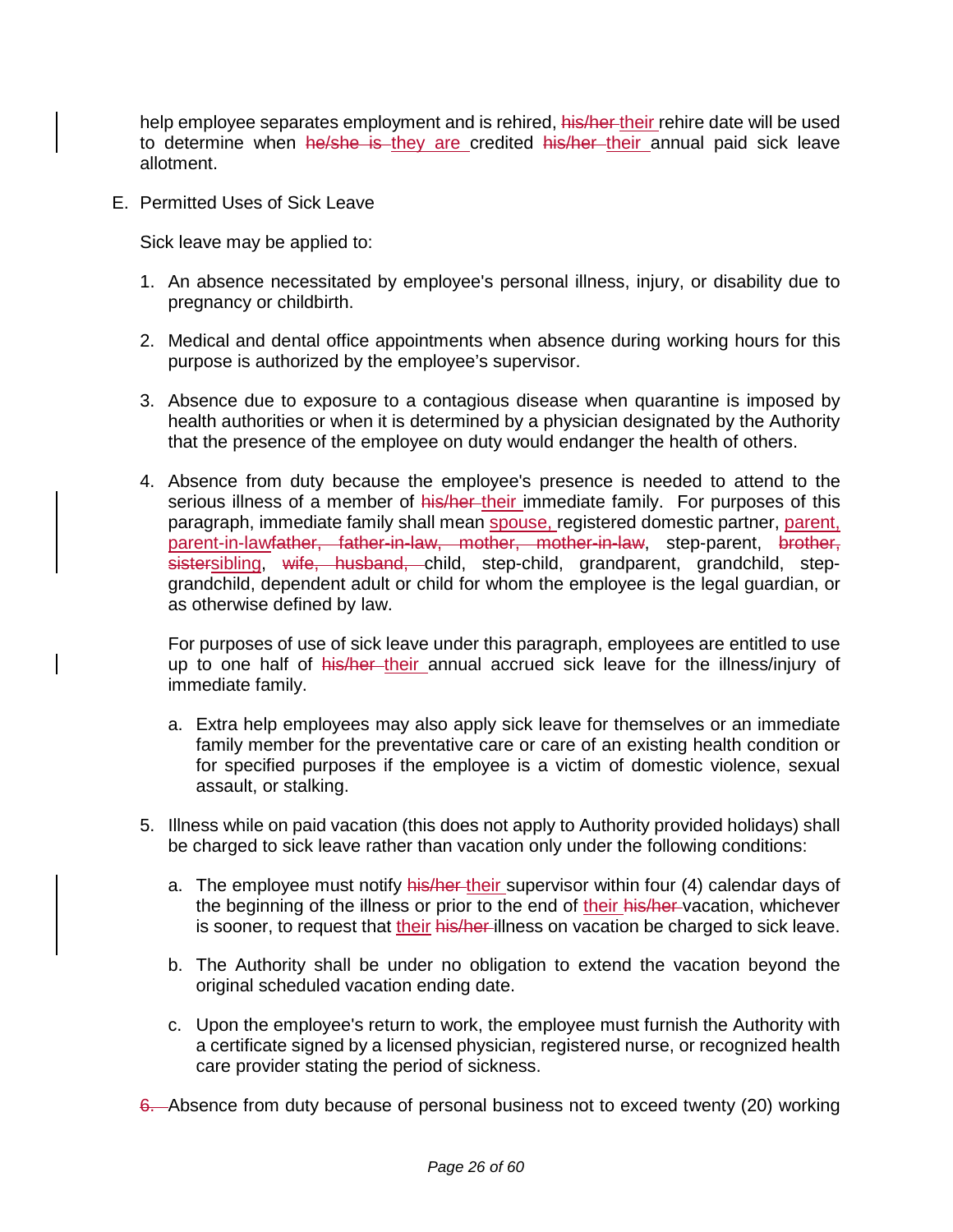help employee separates employment and is rehired, his/her-their rehire date will be used to determine when he/she is they are credited his/her their annual paid sick leave allotment.

E. Permitted Uses of Sick Leave

Sick leave may be applied to:

- 1. An absence necessitated by employee's personal illness, injury, or disability due to pregnancy or childbirth.
- 2. Medical and dental office appointments when absence during working hours for this purpose is authorized by the employee's supervisor.
- 3. Absence due to exposure to a contagious disease when quarantine is imposed by health authorities or when it is determined by a physician designated by the Authority that the presence of the employee on duty would endanger the health of others.
- 4. Absence from duty because the employee's presence is needed to attend to the serious illness of a member of his/her their immediate family. For purposes of this paragraph, immediate family shall mean spouse, registered domestic partner, parent, paragraph, ministrate ranny shall management of the parent-in-law step-parent, brother, sistersibling, wife, husband, child, step-child, grandparent, grandchild, stepgrandchild, dependent adult or child for whom the employee is the legal guardian, or as otherwise defined by law.

For purposes of use of sick leave under this paragraph, employees are entitled to use up to one half of his/her their annual accrued sick leave for the illness/injury of immediate family.

- a. Extra help employees may also apply sick leave for themselves or an immediate family member for the preventative care or care of an existing health condition or for specified purposes if the employee is a victim of domestic violence, sexual assault, or stalking.
- 5. Illness while on paid vacation (this does not apply to Authority provided holidays) shall be charged to sick leave rather than vacation only under the following conditions:
	- a. The employee must notify his/her-their supervisor within four (4) calendar days of the beginning of the illness or prior to the end of their his/her vacation, whichever is sooner, to request that their his/her-illness on vacation be charged to sick leave.
	- b. The Authority shall be under no obligation to extend the vacation beyond the original scheduled vacation ending date.
	- c. Upon the employee's return to work, the employee must furnish the Authority with a certificate signed by a licensed physician, registered nurse, or recognized health care provider stating the period of sickness.
- 6. Absence from duty because of personal business not to exceed twenty (20) working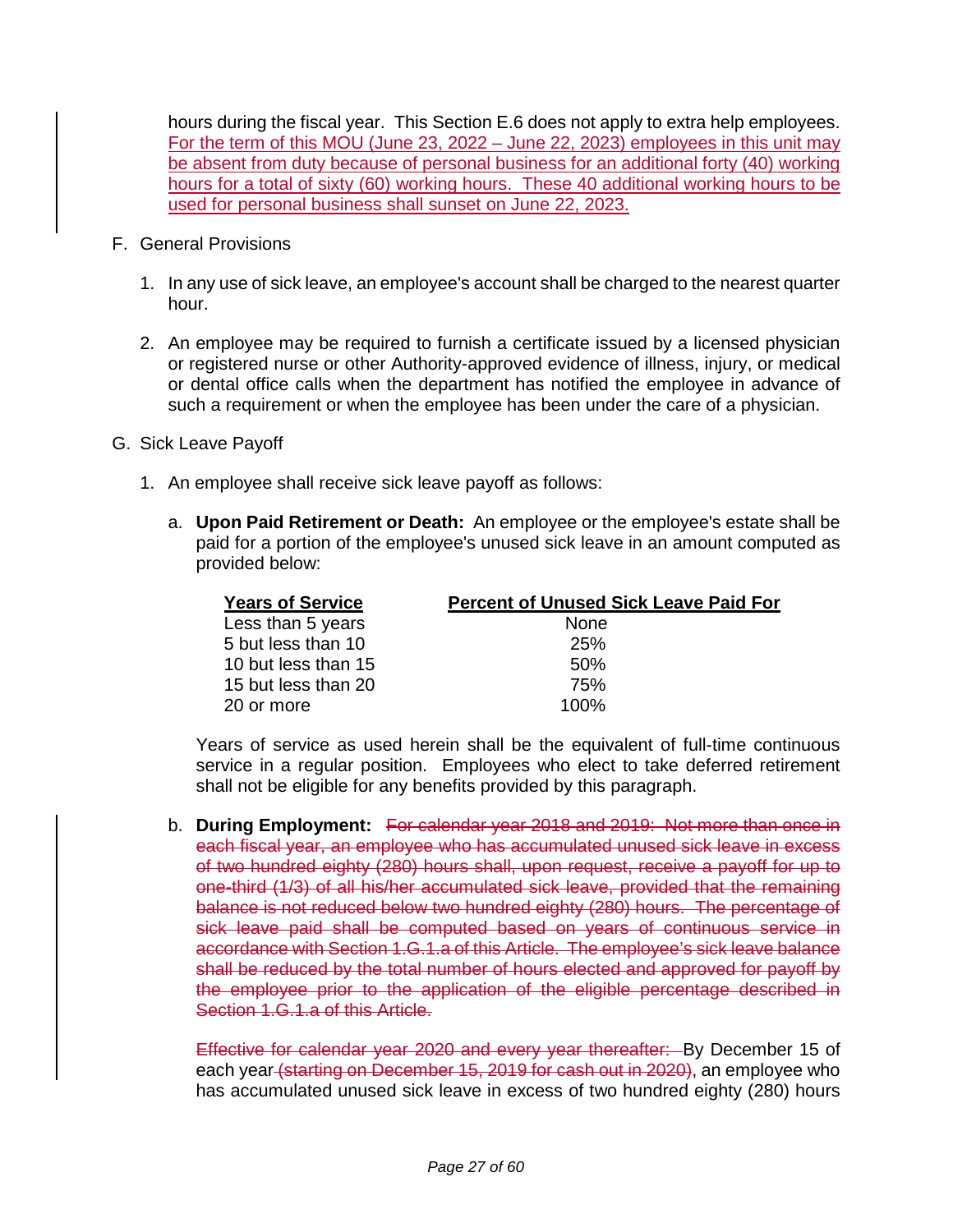hours during the fiscal year. This Section E.6 does not apply to extra help employees. For the term of this MOU (June 23, 2022 – June 22, 2023) employees in this unit may be absent from duty because of personal business for an additional forty (40) working hours for a total of sixty (60) working hours. These 40 additional working hours to be used for personal business shall sunset on June 22, 2023.

- F. General Provisions
	- 1. In any use of sick leave, an employee's account shall be charged to the nearest quarter hour.
	- 2. An employee may be required to furnish a certificate issued by a licensed physician or registered nurse or other Authority-approved evidence of illness, injury, or medical or dental office calls when the department has notified the employee in advance of such a requirement or when the employee has been under the care of a physician.
- G. Sick Leave Payoff
	- 1. An employee shall receive sick leave payoff as follows:
		- a. **Upon Paid Retirement or Death:** An employee or the employee's estate shall be paid for a portion of the employee's unused sick leave in an amount computed as provided below:

| <b>Years of Service</b> | <b>Percent of Unused Sick Leave Paid For</b> |
|-------------------------|----------------------------------------------|
| Less than 5 years       | <b>None</b>                                  |
| 5 but less than 10      | <b>25%</b>                                   |
| 10 but less than 15     | .50%                                         |
| 15 but less than 20     | 75%                                          |
| 20 or more              | 100%                                         |

Years of service as used herein shall be the equivalent of full-time continuous service in a regular position. Employees who elect to take deferred retirement shall not be eligible for any benefits provided by this paragraph.

b. **During Employment:** For calendar year 2018 and 2019: Not more than once in each fiscal year, an employee who has accumulated unused sick leave in excess of two hundred eighty (280) hours shall, upon request, receive a payoff for up to one-third (1/3) of all his/her accumulated sick leave, provided that the remaining balance is not reduced below two hundred eighty (280) hours. The percentage of sick leave paid shall be computed based on years of continuous service in accordance with Section 1.G.1.a of this Article. The employee's sick leave balance shall be reduced by the total number of hours elected and approved for payoff by the employee prior to the application of the eligible percentage described in Section 1.G.1.a of this Article.

Effective for calendar year 2020 and every year thereafter: By December 15 of each year (starting on December 15, 2019 for cash out in 2020), an employee who has accumulated unused sick leave in excess of two hundred eighty (280) hours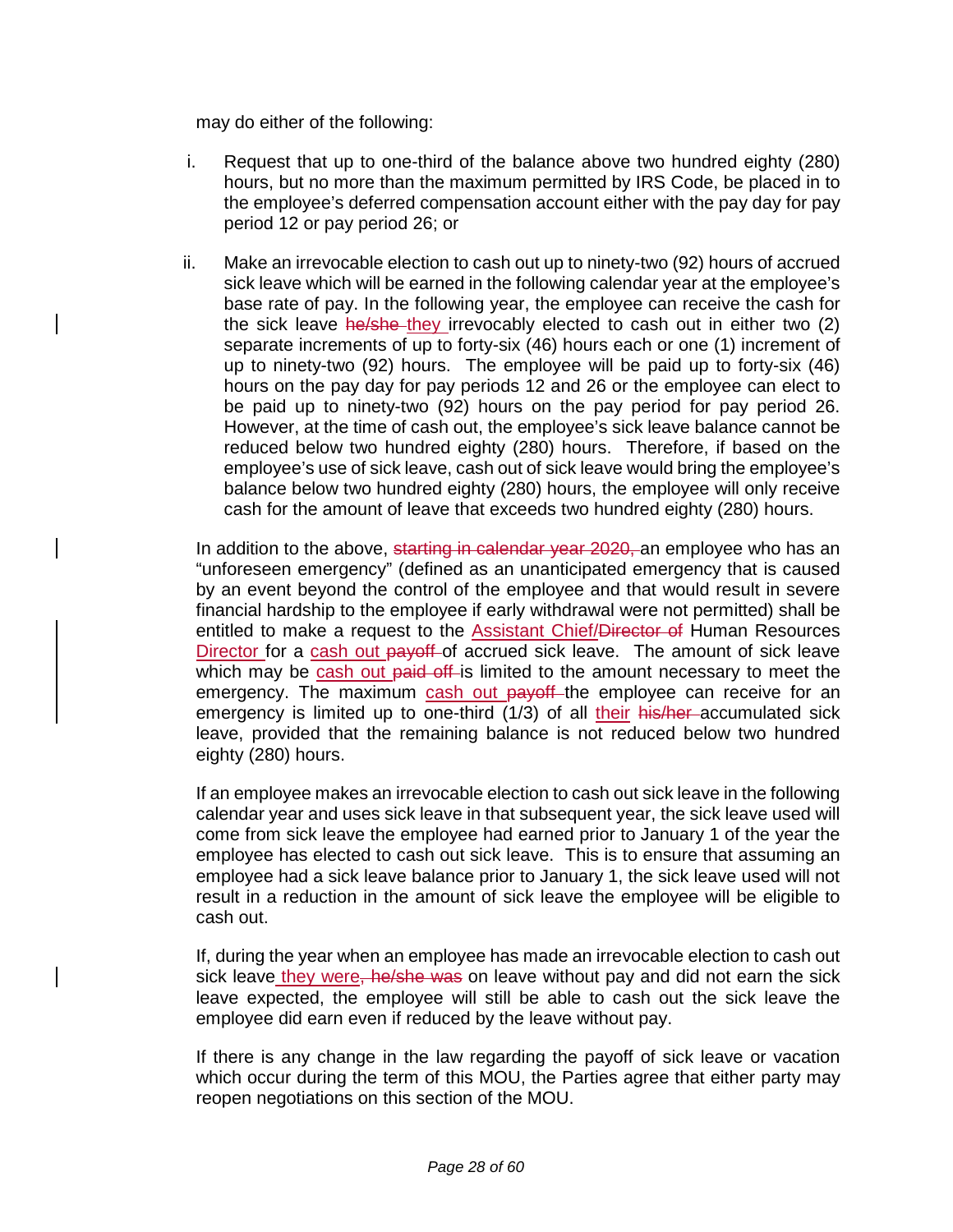may do either of the following:

- i. Request that up to one-third of the balance above two hundred eighty (280) hours, but no more than the maximum permitted by IRS Code, be placed in to the employee's deferred compensation account either with the pay day for pay period 12 or pay period 26; or
- ii. Make an irrevocable election to cash out up to ninety-two (92) hours of accrued sick leave which will be earned in the following calendar year at the employee's base rate of pay. In the following year, the employee can receive the cash for the sick leave he/she they irrevocably elected to cash out in either two (2) separate increments of up to forty-six (46) hours each or one (1) increment of up to ninety-two (92) hours. The employee will be paid up to forty-six (46) hours on the pay day for pay periods 12 and 26 or the employee can elect to be paid up to ninety-two (92) hours on the pay period for pay period 26. However, at the time of cash out, the employee's sick leave balance cannot be reduced below two hundred eighty (280) hours. Therefore, if based on the employee's use of sick leave, cash out of sick leave would bring the employee's balance below two hundred eighty (280) hours, the employee will only receive cash for the amount of leave that exceeds two hundred eighty (280) hours.

In addition to the above, starting in calendar year 2020, an employee who has an "unforeseen emergency" (defined as an unanticipated emergency that is caused by an event beyond the control of the employee and that would result in severe financial hardship to the employee if early withdrawal were not permitted) shall be entitled to make a request to the Assistant Chief/Director of Human Resources Director for a cash out payoff of accrued sick leave. The amount of sick leave which may be cash out paid off-is limited to the amount necessary to meet the emergency. The maximum cash out payoff the employee can receive for an emergency is limited up to one-third (1/3) of all their his/her accumulated sick leave, provided that the remaining balance is not reduced below two hundred eighty (280) hours.

If an employee makes an irrevocable election to cash out sick leave in the following calendar year and uses sick leave in that subsequent year, the sick leave used will come from sick leave the employee had earned prior to January 1 of the year the employee has elected to cash out sick leave. This is to ensure that assuming an employee had a sick leave balance prior to January 1, the sick leave used will not result in a reduction in the amount of sick leave the employee will be eligible to cash out.

If, during the year when an employee has made an irrevocable election to cash out sick leave they were<del>, he/she was</del> on leave without pay and did not earn the sick leave expected, the employee will still be able to cash out the sick leave the employee did earn even if reduced by the leave without pay.

If there is any change in the law regarding the payoff of sick leave or vacation which occur during the term of this MOU, the Parties agree that either party may reopen negotiations on this section of the MOU.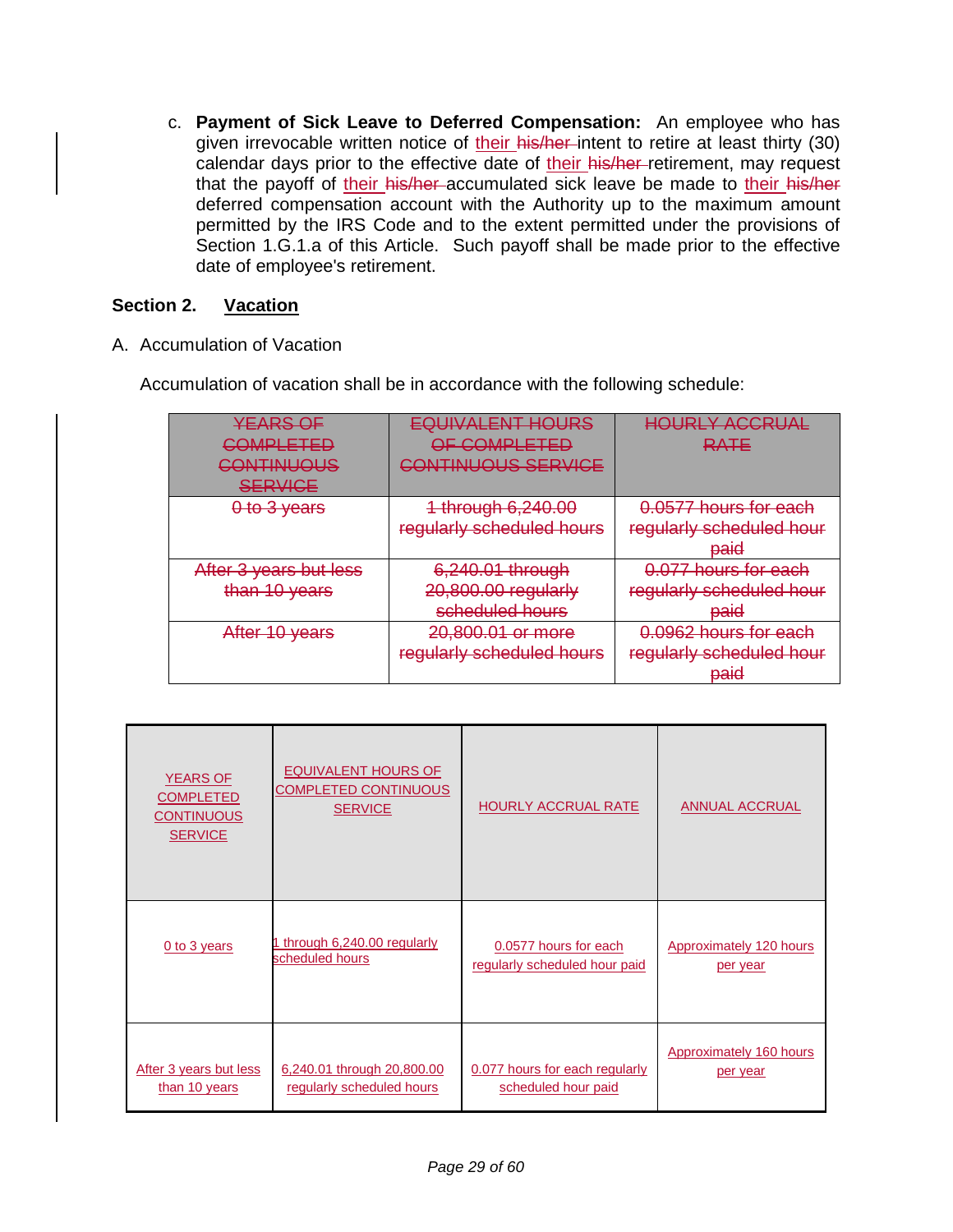c. **Payment of Sick Leave to Deferred Compensation:** An employee who has given irrevocable written notice of their his/her intent to retire at least thirty (30) calendar days prior to the effective date of their his/her-retirement, may request that the payoff of their his/her accumulated sick leave be made to their his/her deferred compensation account with the Authority up to the maximum amount permitted by the IRS Code and to the extent permitted under the provisions of Section 1.G.1.a of this Article. Such payoff shall be made prior to the effective date of employee's retirement.

### **Section 2. Vacation**

A. Accumulation of Vacation

Accumulation of vacation shall be in accordance with the following schedule:

| <b>YEARS OF</b><br><u>'OMPLETED</u><br>__________<br>CONTINUOUS<br><b>SERVICE</b> | <b>EQUIVALENT HOURS</b><br>OF COMPLETED<br>ILIS SERVICE    | <u>HALIDI V ACCDITAL</u><br>HUUNLI MUUNUNL<br>RATE               |
|-----------------------------------------------------------------------------------|------------------------------------------------------------|------------------------------------------------------------------|
| 0 to 3 years                                                                      | 1 through 6,240.00<br>regularly scheduled hours            | 0.0577 hours for each<br>regularly scheduled hour<br>paid        |
| After 3 years but less<br>than 10 years                                           | 6,240.01 through<br>20,800.00 regularly<br>scheduled hours | 0.077 hours for each<br>regularly scheduled hour<br><b>baid</b>  |
| After 10 years                                                                    | 20,800.01 or more<br>regularly scheduled hours             | 0.0962 hours for each<br>regularly scheduled hour<br><b>Daid</b> |

| <b>YEARS OF</b><br><b>COMPLETED</b><br><b>CONTINUOUS</b><br><b>SERVICE</b> | <b>EQUIVALENT HOURS OF</b><br><b>COMPLETED CONTINUOUS</b><br><b>SERVICE</b> | <b>HOURLY ACCRUAL RATE</b>     | <b>ANNUAL ACCRUAL</b>   |
|----------------------------------------------------------------------------|-----------------------------------------------------------------------------|--------------------------------|-------------------------|
| 0 to 3 years                                                               | 1 through 6,240.00 regularly                                                | 0.0577 hours for each          | Approximately 120 hours |
|                                                                            | scheduled hours                                                             | regularly scheduled hour paid  | per year                |
| After 3 years but less                                                     | 6,240.01 through 20,800.00                                                  | 0.077 hours for each regularly | Approximately 160 hours |
| than 10 years                                                              | regularly scheduled hours                                                   | scheduled hour paid            | per year                |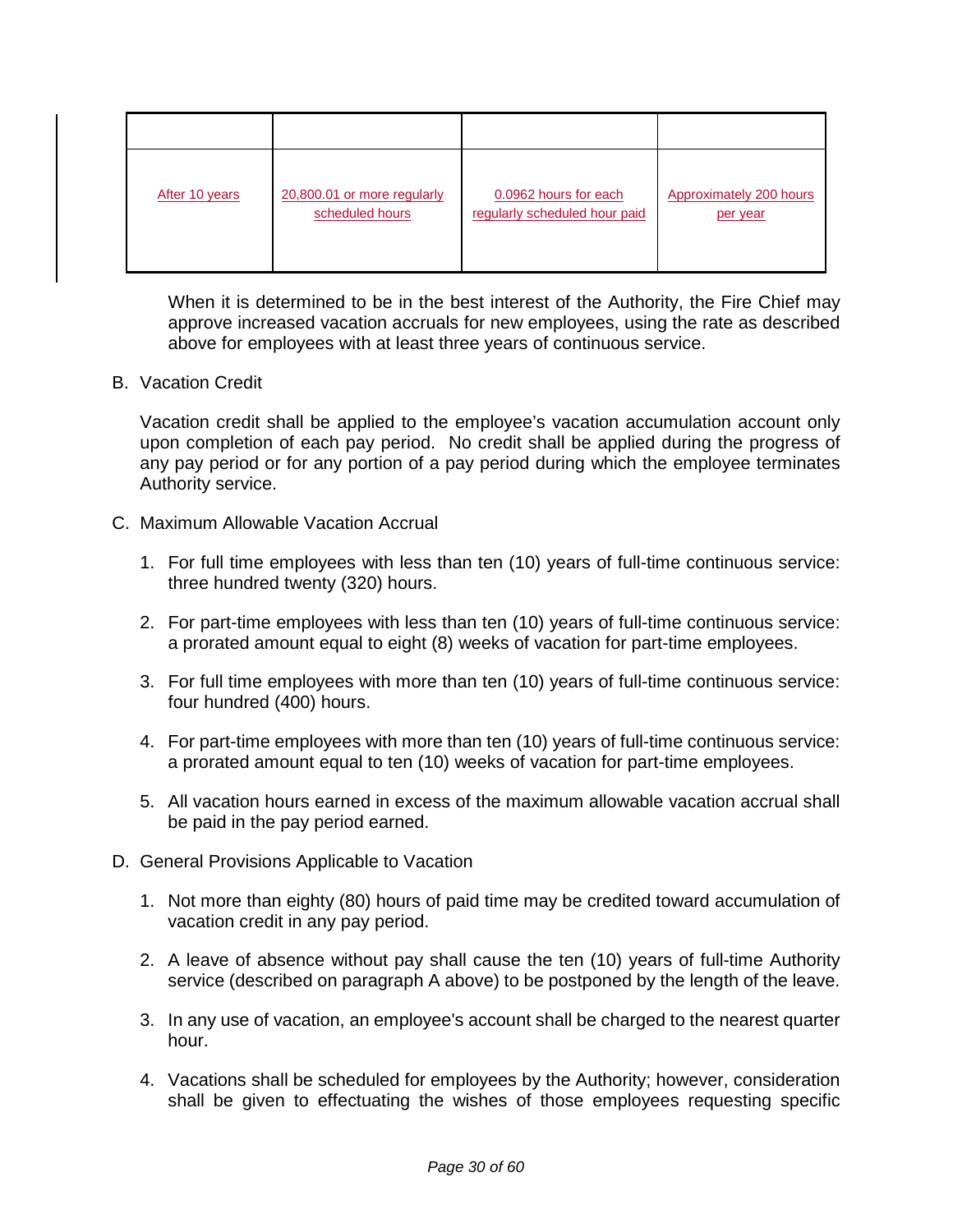| After 10 years | 20,800.01 or more regularly | 0.0962 hours for each         | <b>Approximately 200 hours</b> |
|----------------|-----------------------------|-------------------------------|--------------------------------|
|                | scheduled hours             | regularly scheduled hour paid | per year                       |

When it is determined to be in the best interest of the Authority, the Fire Chief may approve increased vacation accruals for new employees, using the rate as described above for employees with at least three years of continuous service.

#### B. Vacation Credit

Vacation credit shall be applied to the employee's vacation accumulation account only upon completion of each pay period. No credit shall be applied during the progress of any pay period or for any portion of a pay period during which the employee terminates Authority service.

- C. Maximum Allowable Vacation Accrual
	- 1. For full time employees with less than ten (10) years of full-time continuous service: three hundred twenty (320) hours.
	- 2. For part-time employees with less than ten (10) years of full-time continuous service: a prorated amount equal to eight (8) weeks of vacation for part-time employees.
	- 3. For full time employees with more than ten (10) years of full-time continuous service: four hundred (400) hours.
	- 4. For part-time employees with more than ten (10) years of full-time continuous service: a prorated amount equal to ten (10) weeks of vacation for part-time employees.
	- 5. All vacation hours earned in excess of the maximum allowable vacation accrual shall be paid in the pay period earned.
- D. General Provisions Applicable to Vacation
	- 1. Not more than eighty (80) hours of paid time may be credited toward accumulation of vacation credit in any pay period.
	- 2. A leave of absence without pay shall cause the ten (10) years of full-time Authority service (described on paragraph A above) to be postponed by the length of the leave.
	- 3. In any use of vacation, an employee's account shall be charged to the nearest quarter hour.
	- 4. Vacations shall be scheduled for employees by the Authority; however, consideration shall be given to effectuating the wishes of those employees requesting specific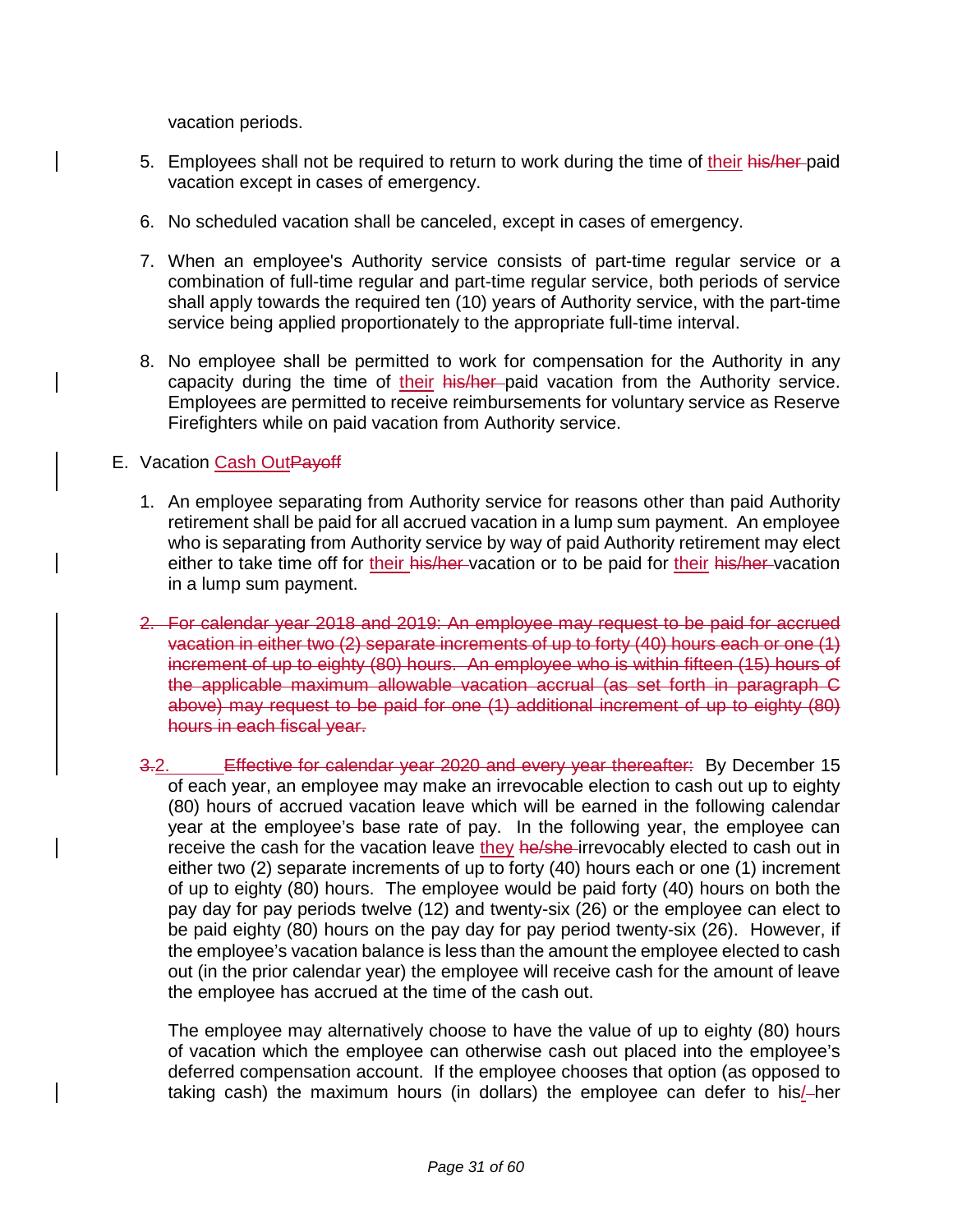vacation periods.

- 5. Employees shall not be required to return to work during the time of their his/her-paid vacation except in cases of emergency.
- 6. No scheduled vacation shall be canceled, except in cases of emergency.
- 7. When an employee's Authority service consists of part-time regular service or a combination of full-time regular and part-time regular service, both periods of service shall apply towards the required ten (10) years of Authority service, with the part-time service being applied proportionately to the appropriate full-time interval.
- 8. No employee shall be permitted to work for compensation for the Authority in any capacity during the time of their his/her paid vacation from the Authority service. Employees are permitted to receive reimbursements for voluntary service as Reserve Firefighters while on paid vacation from Authority service.

#### E. Vacation Cash OutPayoff

- 1. An employee separating from Authority service for reasons other than paid Authority retirement shall be paid for all accrued vacation in a lump sum payment. An employee who is separating from Authority service by way of paid Authority retirement may elect either to take time off for their his/her-vacation or to be paid for their his/her-vacation in a lump sum payment.
- 2. For calendar year 2018 and 2019: An employee may request to be paid for accrued vacation in either two (2) separate increments of up to forty (40) hours each or one (1) increment of up to eighty (80) hours. An employee who is within fifteen (15) hours of the applicable maximum allowable vacation accrual (as set forth in paragraph C above) may request to be paid for one (1) additional increment of up to eighty (80) hours in each fiscal year.
- 3.2. Effective for calendar year 2020 and every year thereafter: By December 15 of each year, an employee may make an irrevocable election to cash out up to eighty (80) hours of accrued vacation leave which will be earned in the following calendar year at the employee's base rate of pay. In the following year, the employee can receive the cash for the vacation leave they he/she-irrevocably elected to cash out in either two (2) separate increments of up to forty (40) hours each or one (1) increment of up to eighty (80) hours. The employee would be paid forty (40) hours on both the pay day for pay periods twelve (12) and twenty-six (26) or the employee can elect to be paid eighty (80) hours on the pay day for pay period twenty-six (26). However, if the employee's vacation balance is less than the amount the employee elected to cash out (in the prior calendar year) the employee will receive cash for the amount of leave the employee has accrued at the time of the cash out.

The employee may alternatively choose to have the value of up to eighty (80) hours of vacation which the employee can otherwise cash out placed into the employee's deferred compensation account. If the employee chooses that option (as opposed to taking cash) the maximum hours (in dollars) the employee can defer to his/-her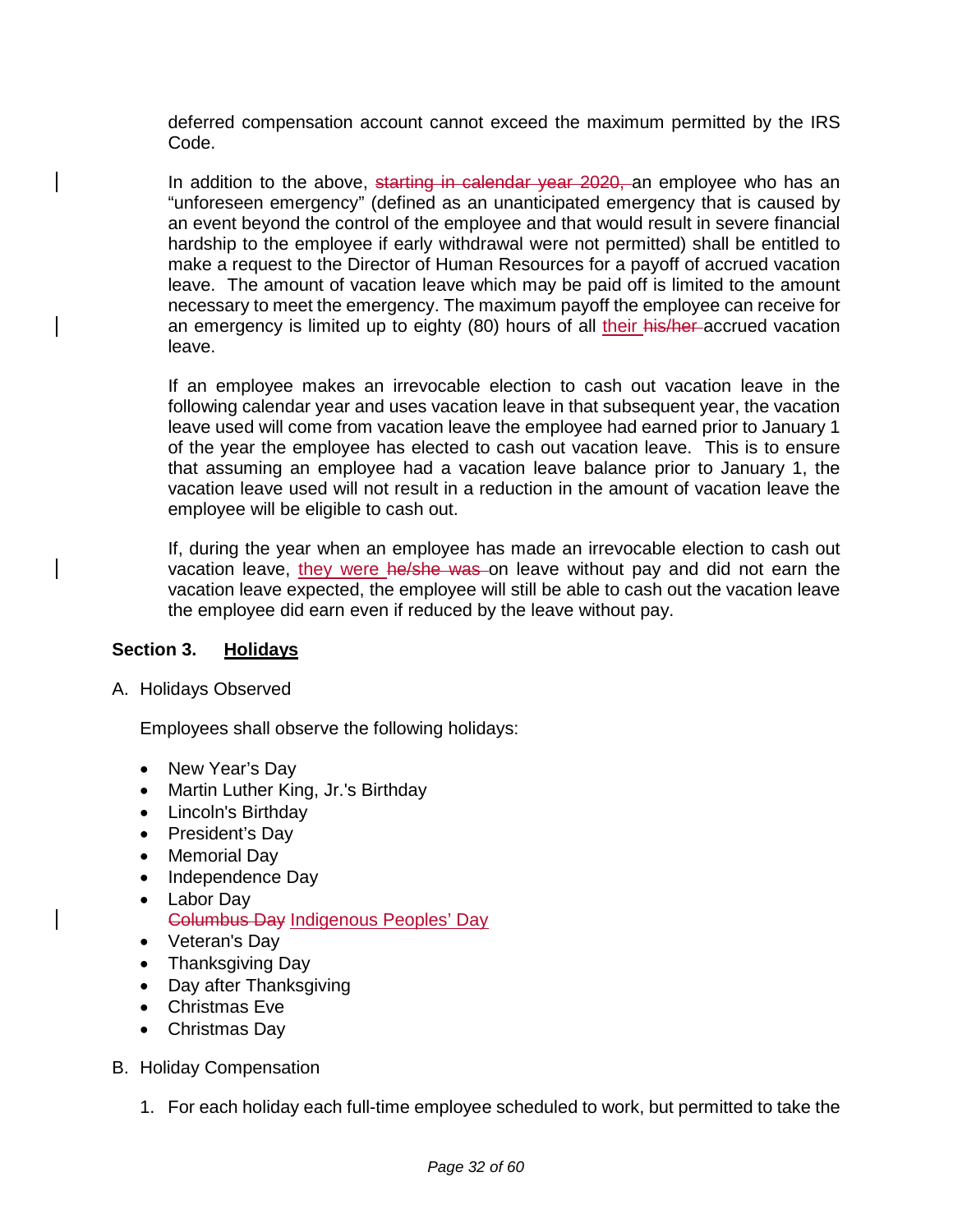deferred compensation account cannot exceed the maximum permitted by the IRS Code.

In addition to the above, starting in calendar year 2020, an employee who has an "unforeseen emergency" (defined as an unanticipated emergency that is caused by an event beyond the control of the employee and that would result in severe financial hardship to the employee if early withdrawal were not permitted) shall be entitled to make a request to the Director of Human Resources for a payoff of accrued vacation leave. The amount of vacation leave which may be paid off is limited to the amount necessary to meet the emergency. The maximum payoff the employee can receive for an emergency is limited up to eighty (80) hours of all their his/her-accrued vacation leave.

If an employee makes an irrevocable election to cash out vacation leave in the following calendar year and uses vacation leave in that subsequent year, the vacation leave used will come from vacation leave the employee had earned prior to January 1 of the year the employee has elected to cash out vacation leave. This is to ensure that assuming an employee had a vacation leave balance prior to January 1, the vacation leave used will not result in a reduction in the amount of vacation leave the employee will be eligible to cash out.

If, during the year when an employee has made an irrevocable election to cash out vacation leave, they were he/she was on leave without pay and did not earn the vacation leave expected, the employee will still be able to cash out the vacation leave the employee did earn even if reduced by the leave without pay.

### **Section 3. Holidays**

A. Holidays Observed

Employees shall observe the following holidays:

- New Year's Day
- Martin Luther King, Jr.'s Birthday
- Lincoln's Birthday
- President's Day
- Memorial Day
- Independence Day
- Labor Day
	- Columbus Day Indigenous Peoples' Day
- Veteran's Day
- Thanksgiving Day
- Day after Thanksgiving
- Christmas Eve
- Christmas Day
- B. Holiday Compensation
	- 1. For each holiday each full-time employee scheduled to work, but permitted to take the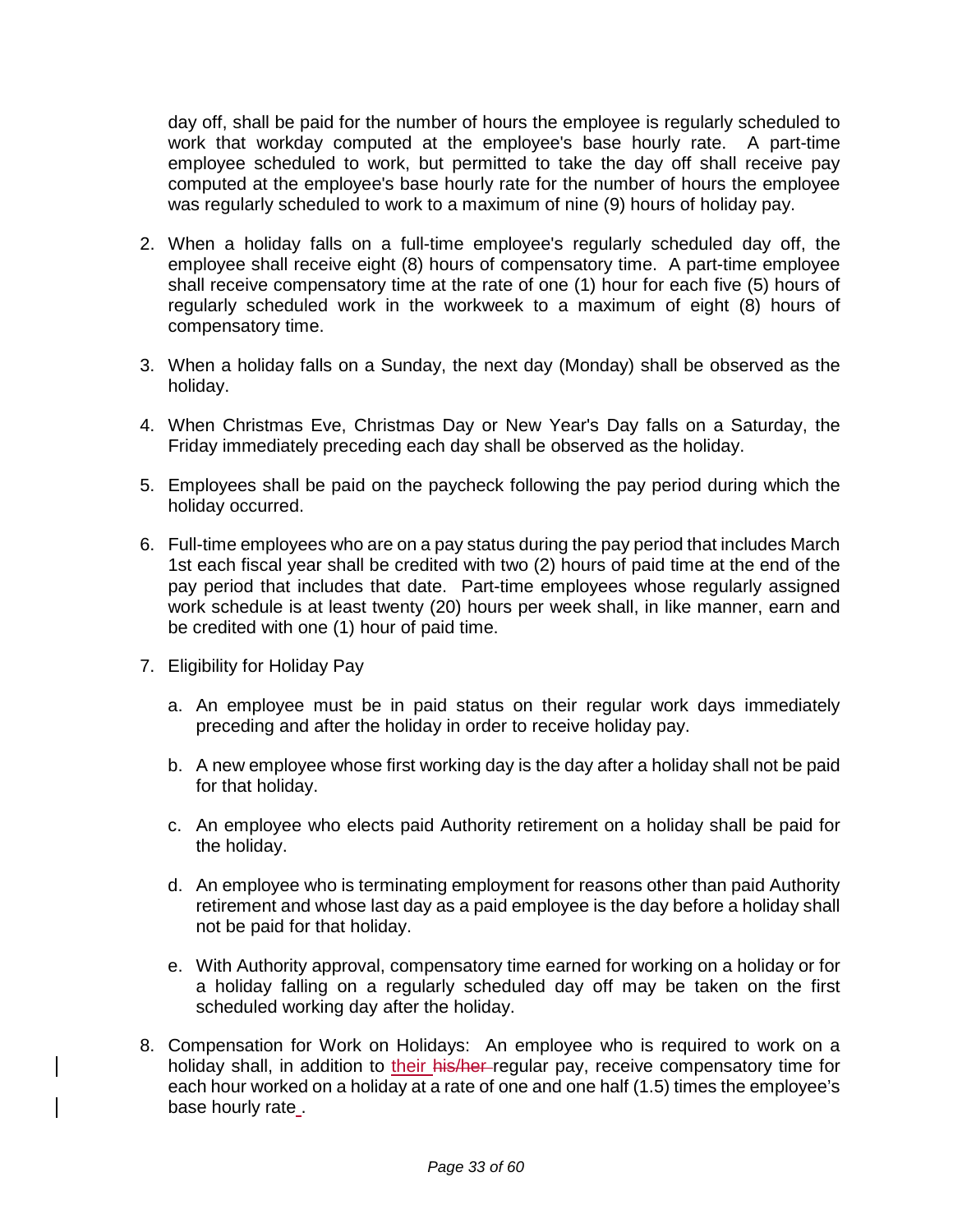day off, shall be paid for the number of hours the employee is regularly scheduled to work that workday computed at the employee's base hourly rate. A part-time employee scheduled to work, but permitted to take the day off shall receive pay computed at the employee's base hourly rate for the number of hours the employee was regularly scheduled to work to a maximum of nine (9) hours of holiday pay.

- 2. When a holiday falls on a full-time employee's regularly scheduled day off, the employee shall receive eight (8) hours of compensatory time. A part-time employee shall receive compensatory time at the rate of one (1) hour for each five (5) hours of regularly scheduled work in the workweek to a maximum of eight (8) hours of compensatory time.
- 3. When a holiday falls on a Sunday, the next day (Monday) shall be observed as the holiday.
- 4. When Christmas Eve, Christmas Day or New Year's Day falls on a Saturday, the Friday immediately preceding each day shall be observed as the holiday.
- 5. Employees shall be paid on the paycheck following the pay period during which the holiday occurred.
- 6. Full-time employees who are on a pay status during the pay period that includes March 1st each fiscal year shall be credited with two (2) hours of paid time at the end of the pay period that includes that date. Part-time employees whose regularly assigned work schedule is at least twenty (20) hours per week shall, in like manner, earn and be credited with one (1) hour of paid time.
- 7. Eligibility for Holiday Pay
	- a. An employee must be in paid status on their regular work days immediately preceding and after the holiday in order to receive holiday pay.
	- b. A new employee whose first working day is the day after a holiday shall not be paid for that holiday.
	- c. An employee who elects paid Authority retirement on a holiday shall be paid for the holiday.
	- d. An employee who is terminating employment for reasons other than paid Authority retirement and whose last day as a paid employee is the day before a holiday shall not be paid for that holiday.
	- e. With Authority approval, compensatory time earned for working on a holiday or for a holiday falling on a regularly scheduled day off may be taken on the first scheduled working day after the holiday.
- 8. Compensation for Work on Holidays: An employee who is required to work on a holiday shall, in addition to their his/her-regular pay, receive compensatory time for each hour worked on a holiday at a rate of one and one half (1.5) times the employee's base hourly rate .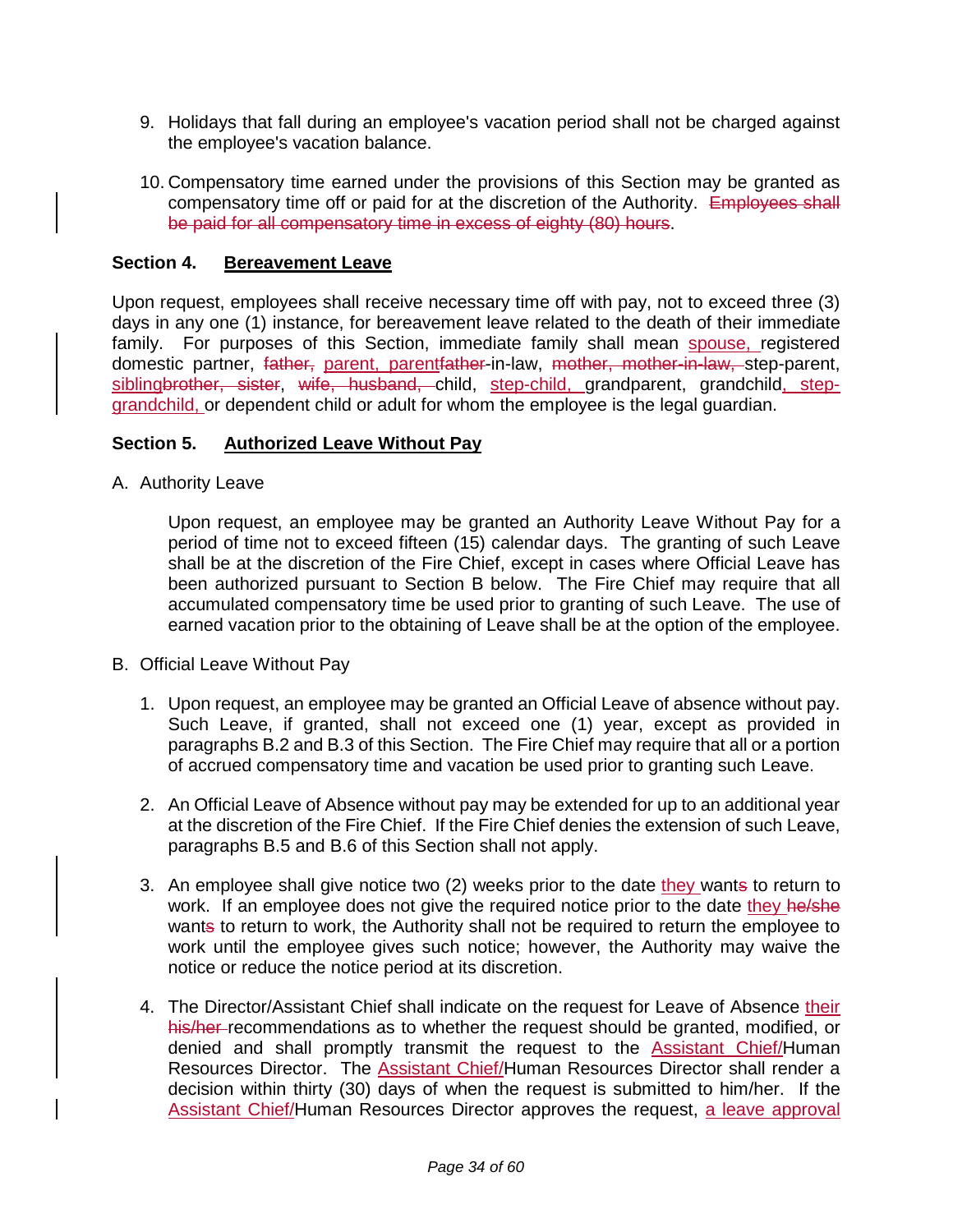- 9. Holidays that fall during an employee's vacation period shall not be charged against the employee's vacation balance.
- 10. Compensatory time earned under the provisions of this Section may be granted as compensatory time off or paid for at the discretion of the Authority. Employees shall be paid for all compensatory time in excess of eighty (80) hours.

#### **Section 4. Bereavement Leave**

Upon request, employees shall receive necessary time off with pay, not to exceed three (3) days in any one (1) instance, for bereavement leave related to the death of their immediate family. For purposes of this Section, immediate family shall mean spouse, registered domestic partner, father, parent, parentfather-in-law, mother, mother-in-law, step-parent, siblingbrother, sister, wife, husband, child, step-child, grandparent, grandchild, stepgrandchild, or dependent child or adult for whom the employee is the legal guardian.

#### **Section 5. Authorized Leave Without Pay**

A. Authority Leave

Upon request, an employee may be granted an Authority Leave Without Pay for a period of time not to exceed fifteen (15) calendar days. The granting of such Leave shall be at the discretion of the Fire Chief, except in cases where Official Leave has been authorized pursuant to Section B below. The Fire Chief may require that all accumulated compensatory time be used prior to granting of such Leave. The use of earned vacation prior to the obtaining of Leave shall be at the option of the employee.

- B. Official Leave Without Pay
	- 1. Upon request, an employee may be granted an Official Leave of absence without pay. Such Leave, if granted, shall not exceed one (1) year, except as provided in paragraphs B.2 and B.3 of this Section. The Fire Chief may require that all or a portion of accrued compensatory time and vacation be used prior to granting such Leave.
	- 2. An Official Leave of Absence without pay may be extended for up to an additional year at the discretion of the Fire Chief. If the Fire Chief denies the extension of such Leave, paragraphs B.5 and B.6 of this Section shall not apply.
	- 3. An employee shall give notice two (2) weeks prior to the date they wants to return to work. If an employee does not give the required notice prior to the date they he/she wants to return to work, the Authority shall not be required to return the employee to work until the employee gives such notice; however, the Authority may waive the notice or reduce the notice period at its discretion.
	- 4. The Director/Assistant Chief shall indicate on the request for Leave of Absence their his/her-recommendations as to whether the request should be granted, modified, or denied and shall promptly transmit the request to the Assistant Chief/Human Resources Director. The **Assistant Chief/Human Resources Director shall render a** decision within thirty (30) days of when the request is submitted to him/her. If the Assistant Chief/Human Resources Director approves the request, a leave approval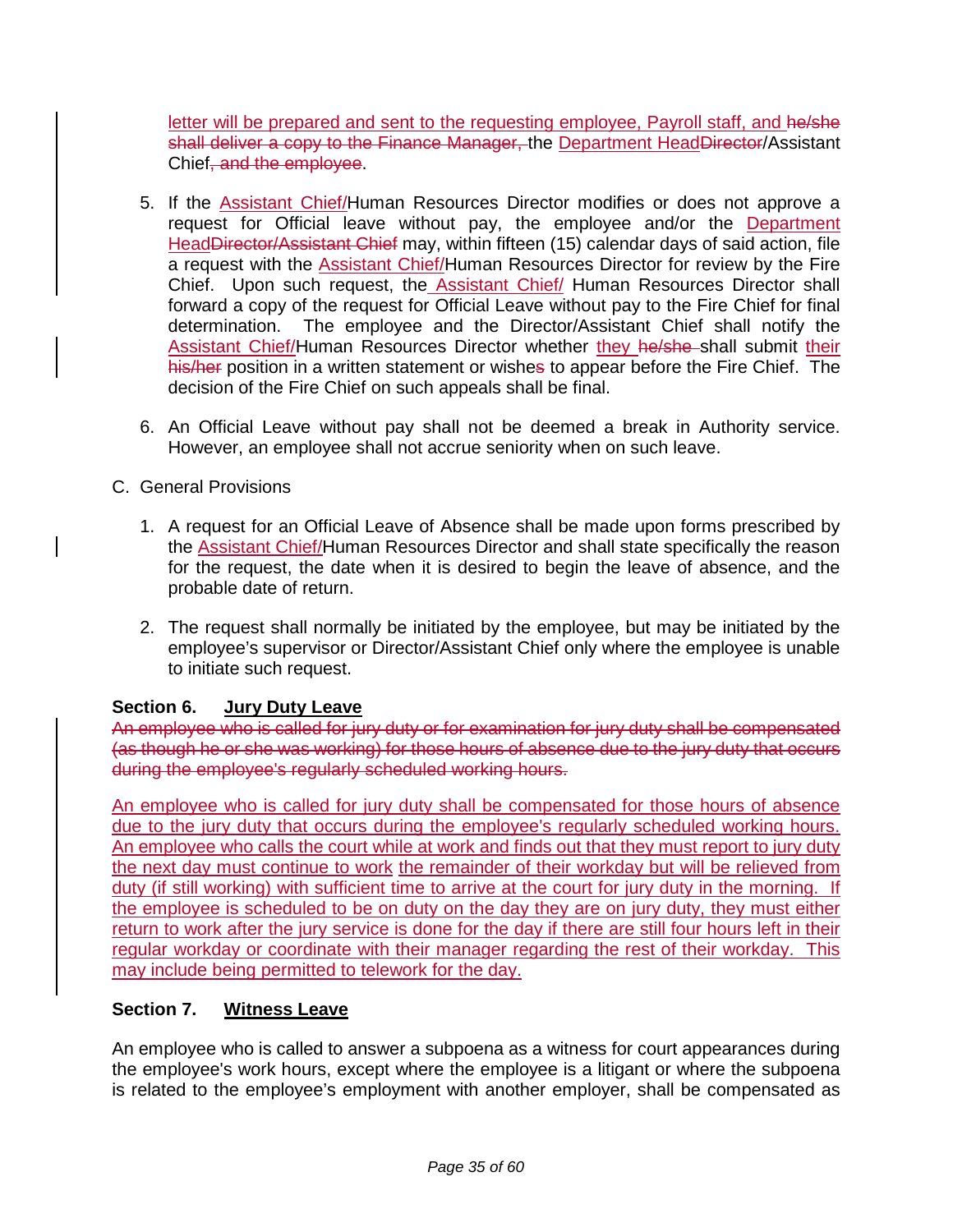letter will be prepared and sent to the requesting employee, Payroll staff, and he/she shall deliver a copy to the Finance Manager, the Department HeadDirector/Assistant Chief, and the employee.

- 5. If the **Assistant Chief/Human Resources Director modifies or does not approve a** request for Official leave without pay, the employee and/or the Department HeadDirector/Assistant Chief may, within fifteen (15) calendar days of said action, file a request with the **Assistant Chief/Human Resources Director for review by the Fire** Chief. Upon such request, the Assistant Chief/ Human Resources Director shall forward a copy of the request for Official Leave without pay to the Fire Chief for final determination. The employee and the Director/Assistant Chief shall notify the Assistant Chief/Human Resources Director whether they he/she shall submit their his/her position in a written statement or wishes to appear before the Fire Chief. The decision of the Fire Chief on such appeals shall be final.
- 6. An Official Leave without pay shall not be deemed a break in Authority service. However, an employee shall not accrue seniority when on such leave.

### C. General Provisions

- 1. A request for an Official Leave of Absence shall be made upon forms prescribed by the Assistant Chief/Human Resources Director and shall state specifically the reason for the request, the date when it is desired to begin the leave of absence, and the probable date of return.
- 2. The request shall normally be initiated by the employee, but may be initiated by the employee's supervisor or Director/Assistant Chief only where the employee is unable to initiate such request.

### **Section 6. Jury Duty Leave**

An employee who is called for jury duty or for examination for jury duty shall be compensated (as though he or she was working) for those hours of absence due to the jury duty that occurs during the employee's regularly scheduled working hours.

An employee who is called for jury duty shall be compensated for those hours of absence due to the jury duty that occurs during the employee's regularly scheduled working hours. An employee who calls the court while at work and finds out that they must report to jury duty the next day must continue to work the remainder of their workday but will be relieved from duty (if still working) with sufficient time to arrive at the court for jury duty in the morning. If the employee is scheduled to be on duty on the day they are on jury duty, they must either return to work after the jury service is done for the day if there are still four hours left in their regular workday or coordinate with their manager regarding the rest of their workday. This may include being permitted to telework for the day.

### **Section 7. Witness Leave**

An employee who is called to answer a subpoena as a witness for court appearances during the employee's work hours, except where the employee is a litigant or where the subpoena is related to the employee's employment with another employer, shall be compensated as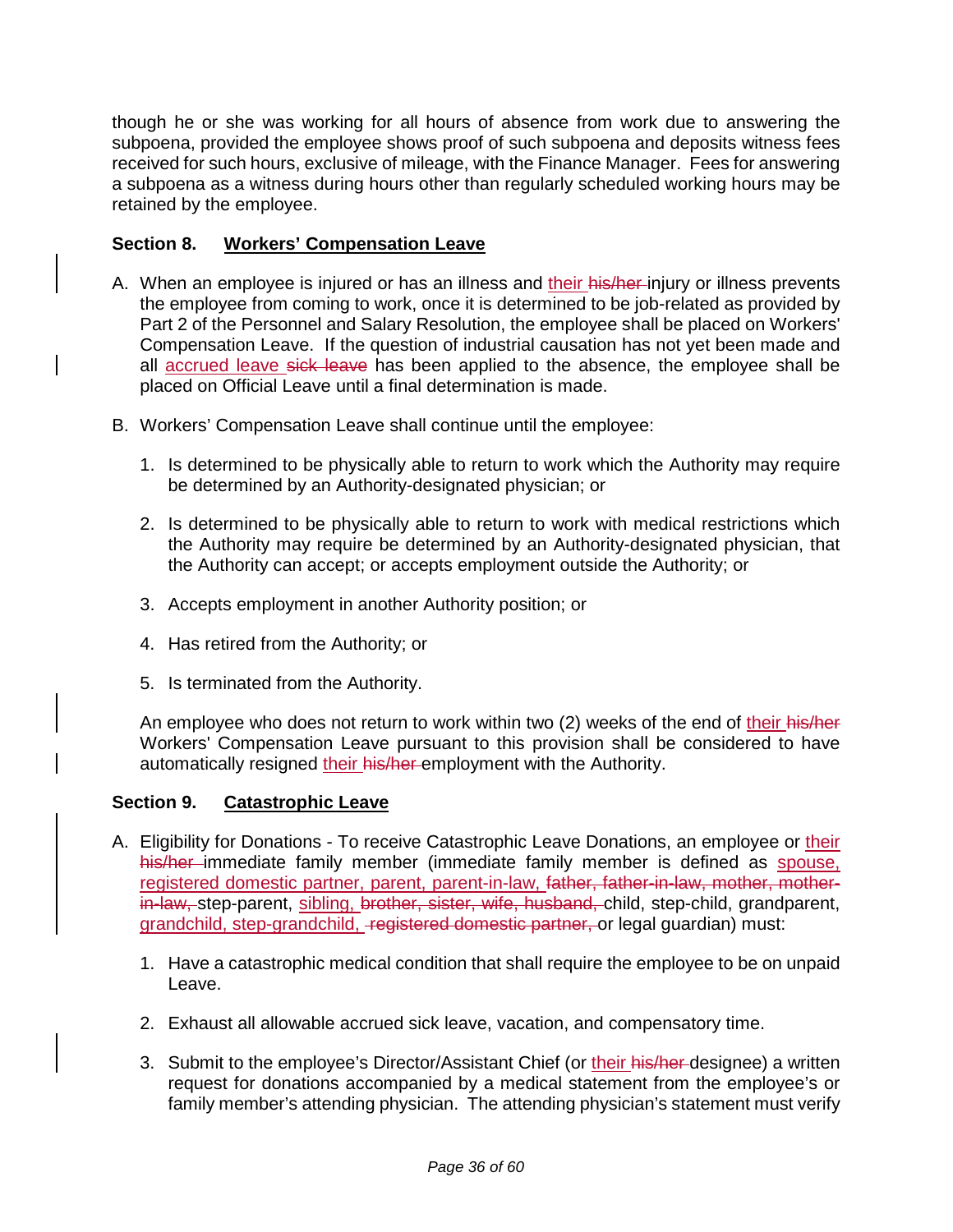though he or she was working for all hours of absence from work due to answering the subpoena, provided the employee shows proof of such subpoena and deposits witness fees received for such hours, exclusive of mileage, with the Finance Manager. Fees for answering a subpoena as a witness during hours other than regularly scheduled working hours may be retained by the employee.

### **Section 8. Workers' Compensation Leave**

- A. When an employee is injured or has an illness and their his/her-injury or illness prevents the employee from coming to work, once it is determined to be job-related as provided by Part 2 of the Personnel and Salary Resolution, the employee shall be placed on Workers' Compensation Leave. If the question of industrial causation has not yet been made and all accrued leave sick leave has been applied to the absence, the employee shall be placed on Official Leave until a final determination is made.
- B. Workers' Compensation Leave shall continue until the employee:
	- 1. Is determined to be physically able to return to work which the Authority may require be determined by an Authority-designated physician; or
	- 2. Is determined to be physically able to return to work with medical restrictions which the Authority may require be determined by an Authority-designated physician, that the Authority can accept; or accepts employment outside the Authority; or
	- 3. Accepts employment in another Authority position; or
	- 4. Has retired from the Authority; or
	- 5. Is terminated from the Authority.

An employee who does not return to work within two (2) weeks of the end of their his/her Workers' Compensation Leave pursuant to this provision shall be considered to have automatically resigned their his/her-employment with the Authority.

#### **Section 9. Catastrophic Leave**

- A. Eligibility for Donations To receive Catastrophic Leave Donations, an employee or their his/her immediate family member (immediate family member is defined as spouse, registered domestic partner, parent, parent-in-law, father, father-in-law, mother, motherin-law, step-parent, sibling, brother, sister, wife, husband, child, step-child, grandparent, grandchild, step-grandchild, registered domestic partner, or legal guardian) must:
	- 1. Have a catastrophic medical condition that shall require the employee to be on unpaid Leave.
	- 2. Exhaust all allowable accrued sick leave, vacation, and compensatory time.
	- 3. Submit to the employee's Director/Assistant Chief (or their his/her-designee) a written request for donations accompanied by a medical statement from the employee's or family member's attending physician. The attending physician's statement must verify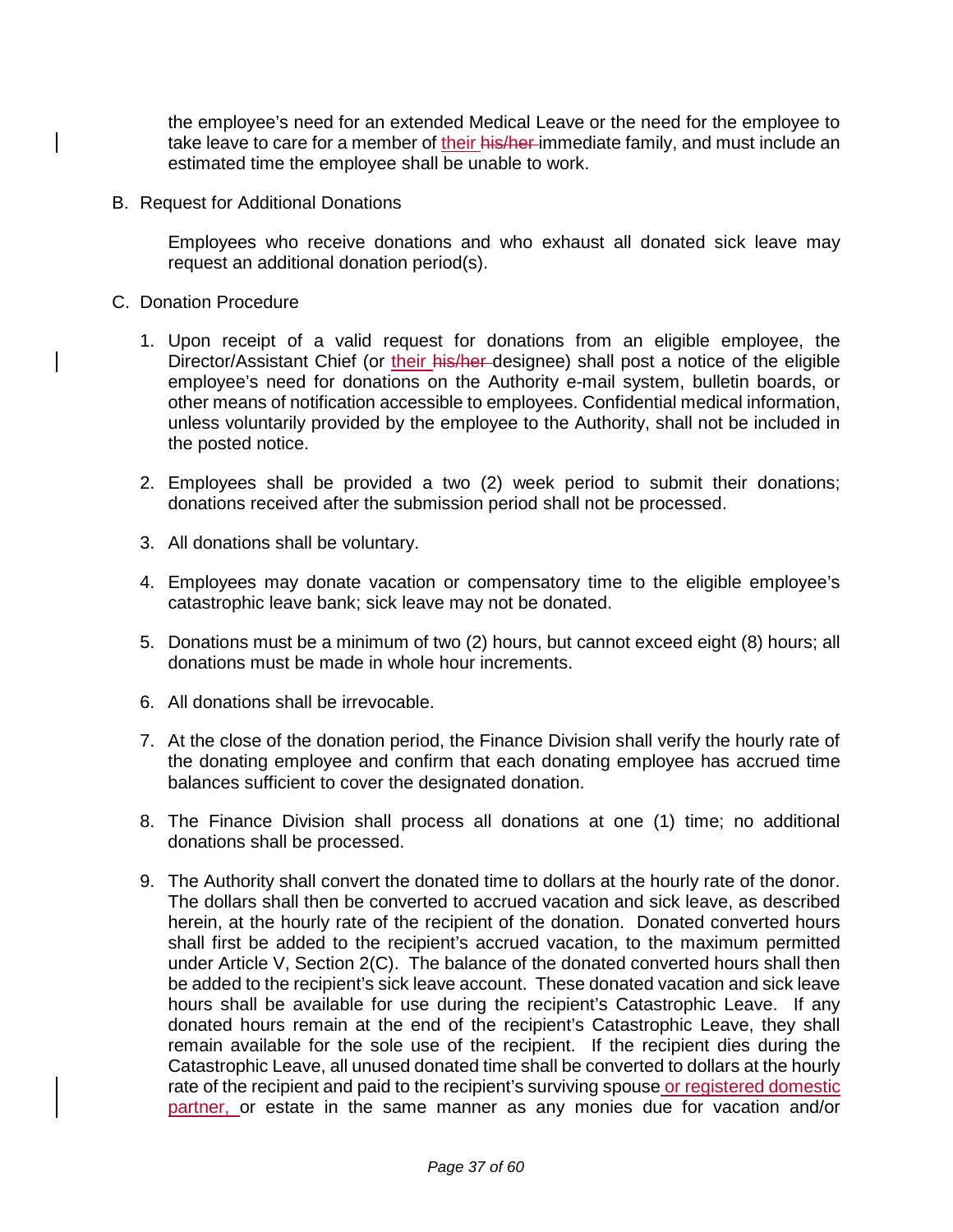the employee's need for an extended Medical Leave or the need for the employee to take leave to care for a member of their his/her-immediate family, and must include an estimated time the employee shall be unable to work.

B. Request for Additional Donations

Employees who receive donations and who exhaust all donated sick leave may request an additional donation period(s).

- C. Donation Procedure
	- 1. Upon receipt of a valid request for donations from an eligible employee, the Director/Assistant Chief (or their his/her designee) shall post a notice of the eligible employee's need for donations on the Authority e-mail system, bulletin boards, or other means of notification accessible to employees. Confidential medical information, unless voluntarily provided by the employee to the Authority, shall not be included in the posted notice.
	- 2. Employees shall be provided a two (2) week period to submit their donations; donations received after the submission period shall not be processed.
	- 3. All donations shall be voluntary.
	- 4. Employees may donate vacation or compensatory time to the eligible employee's catastrophic leave bank; sick leave may not be donated.
	- 5. Donations must be a minimum of two (2) hours, but cannot exceed eight (8) hours; all donations must be made in whole hour increments.
	- 6. All donations shall be irrevocable.
	- 7. At the close of the donation period, the Finance Division shall verify the hourly rate of the donating employee and confirm that each donating employee has accrued time balances sufficient to cover the designated donation.
	- 8. The Finance Division shall process all donations at one (1) time; no additional donations shall be processed.
	- 9. The Authority shall convert the donated time to dollars at the hourly rate of the donor. The dollars shall then be converted to accrued vacation and sick leave, as described herein, at the hourly rate of the recipient of the donation. Donated converted hours shall first be added to the recipient's accrued vacation, to the maximum permitted under Article V, Section 2(C). The balance of the donated converted hours shall then be added to the recipient's sick leave account. These donated vacation and sick leave hours shall be available for use during the recipient's Catastrophic Leave. If any donated hours remain at the end of the recipient's Catastrophic Leave, they shall remain available for the sole use of the recipient. If the recipient dies during the Catastrophic Leave, all unused donated time shall be converted to dollars at the hourly rate of the recipient and paid to the recipient's surviving spouse or registered domestic partner, or estate in the same manner as any monies due for vacation and/or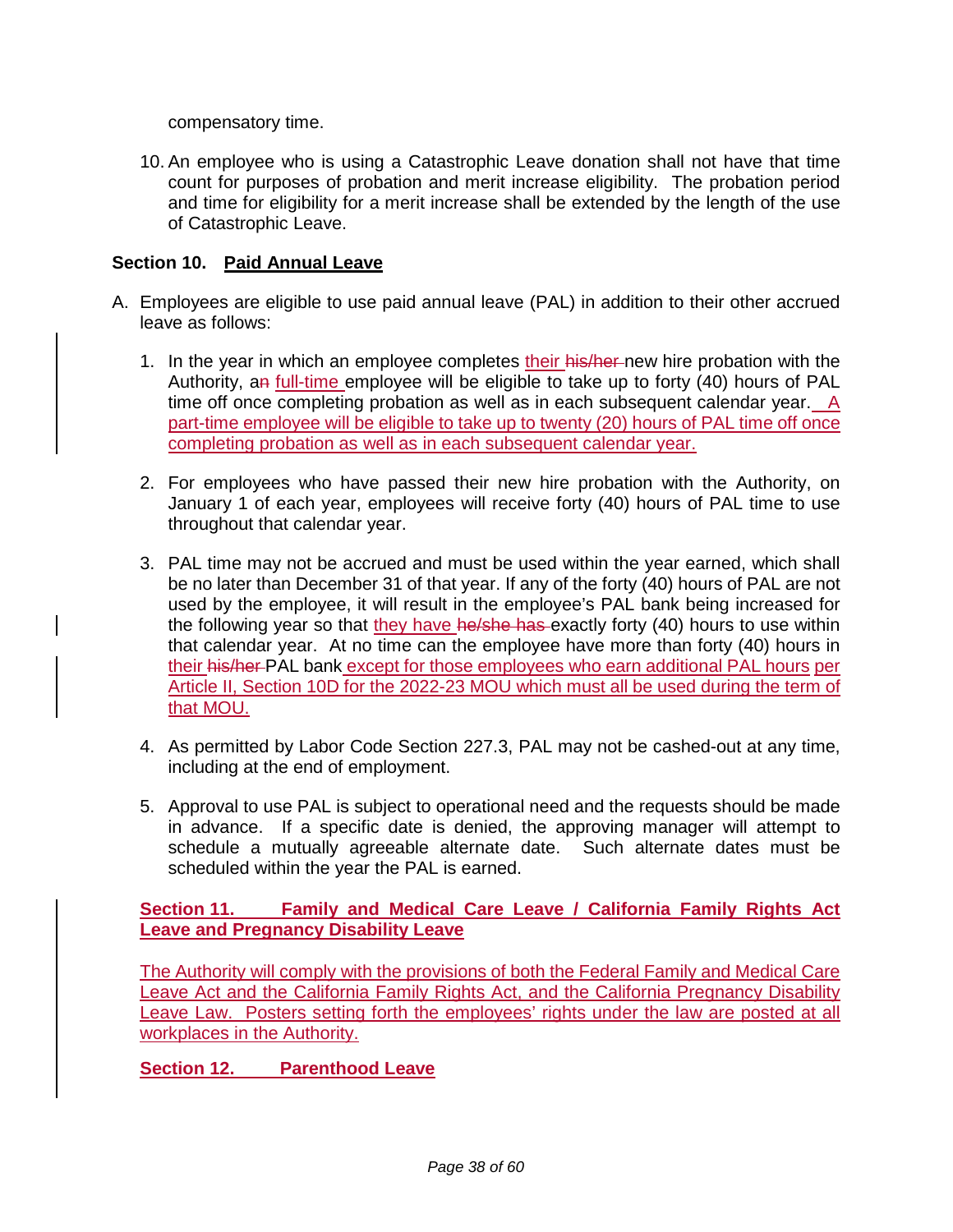compensatory time.

10. An employee who is using a Catastrophic Leave donation shall not have that time count for purposes of probation and merit increase eligibility. The probation period and time for eligibility for a merit increase shall be extended by the length of the use of Catastrophic Leave.

#### **Section 10. Paid Annual Leave**

- A. Employees are eligible to use paid annual leave (PAL) in addition to their other accrued leave as follows:
	- 1. In the year in which an employee completes their his/her-new hire probation with the Authority, an *full-time* employee will be eligible to take up to forty (40) hours of PAL time off once completing probation as well as in each subsequent calendar year. A part-time employee will be eligible to take up to twenty (20) hours of PAL time off once completing probation as well as in each subsequent calendar year.
	- 2. For employees who have passed their new hire probation with the Authority, on January 1 of each year, employees will receive forty (40) hours of PAL time to use throughout that calendar year.
	- 3. PAL time may not be accrued and must be used within the year earned, which shall be no later than December 31 of that year. If any of the forty (40) hours of PAL are not used by the employee, it will result in the employee's PAL bank being increased for the following year so that they have he/she has exactly forty (40) hours to use within that calendar year. At no time can the employee have more than forty (40) hours in their his/her PAL bank except for those employees who earn additional PAL hours per Article II, Section 10D for the 2022-23 MOU which must all be used during the term of that MOU.
	- 4. As permitted by Labor Code Section 227.3, PAL may not be cashed-out at any time, including at the end of employment.
	- 5. Approval to use PAL is subject to operational need and the requests should be made in advance. If a specific date is denied, the approving manager will attempt to schedule a mutually agreeable alternate date. Such alternate dates must be scheduled within the year the PAL is earned.

**Section 11. Family and Medical Care Leave / California Family Rights Act Leave and Pregnancy Disability Leave**

The Authority will comply with the provisions of both the Federal Family and Medical Care Leave Act and the California Family Rights Act, and the California Pregnancy Disability Leave Law. Posters setting forth the employees' rights under the law are posted at all workplaces in the Authority.

**Section 12. Parenthood Leave**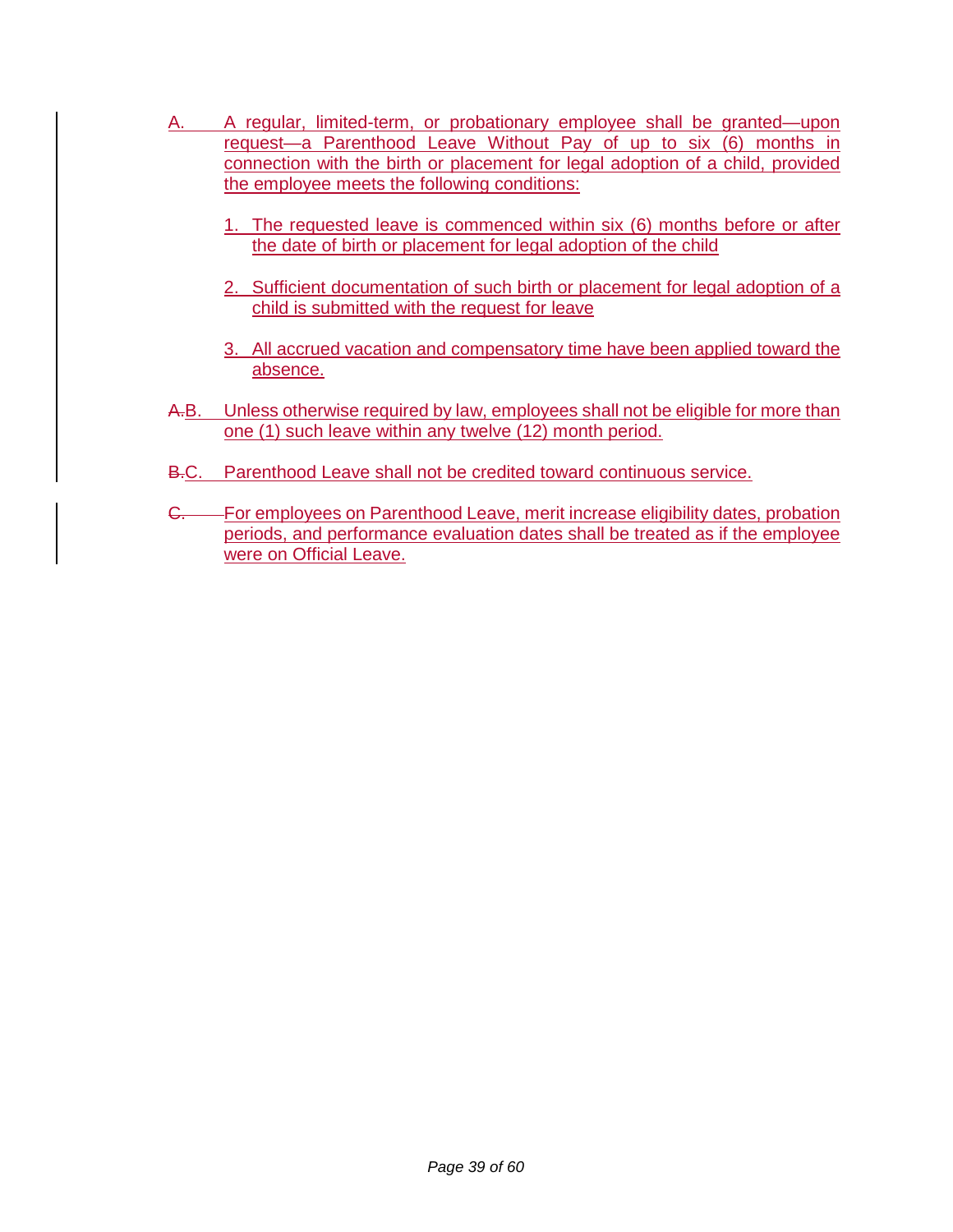- A. A regular, limited-term, or probationary employee shall be granted—upon request—a Parenthood Leave Without Pay of up to six (6) months in connection with the birth or placement for legal adoption of a child, provided the employee meets the following conditions:
	- 1. The requested leave is commenced within six (6) months before or after the date of birth or placement for legal adoption of the child
	- 2. Sufficient documentation of such birth or placement for legal adoption of a child is submitted with the request for leave
	- 3. All accrued vacation and compensatory time have been applied toward the absence.
- A.B. Unless otherwise required by law, employees shall not be eligible for more than one (1) such leave within any twelve (12) month period.
- B.C. Parenthood Leave shall not be credited toward continuous service.
- G. For employees on Parenthood Leave, merit increase eligibility dates, probation periods, and performance evaluation dates shall be treated as if the employee were on Official Leave.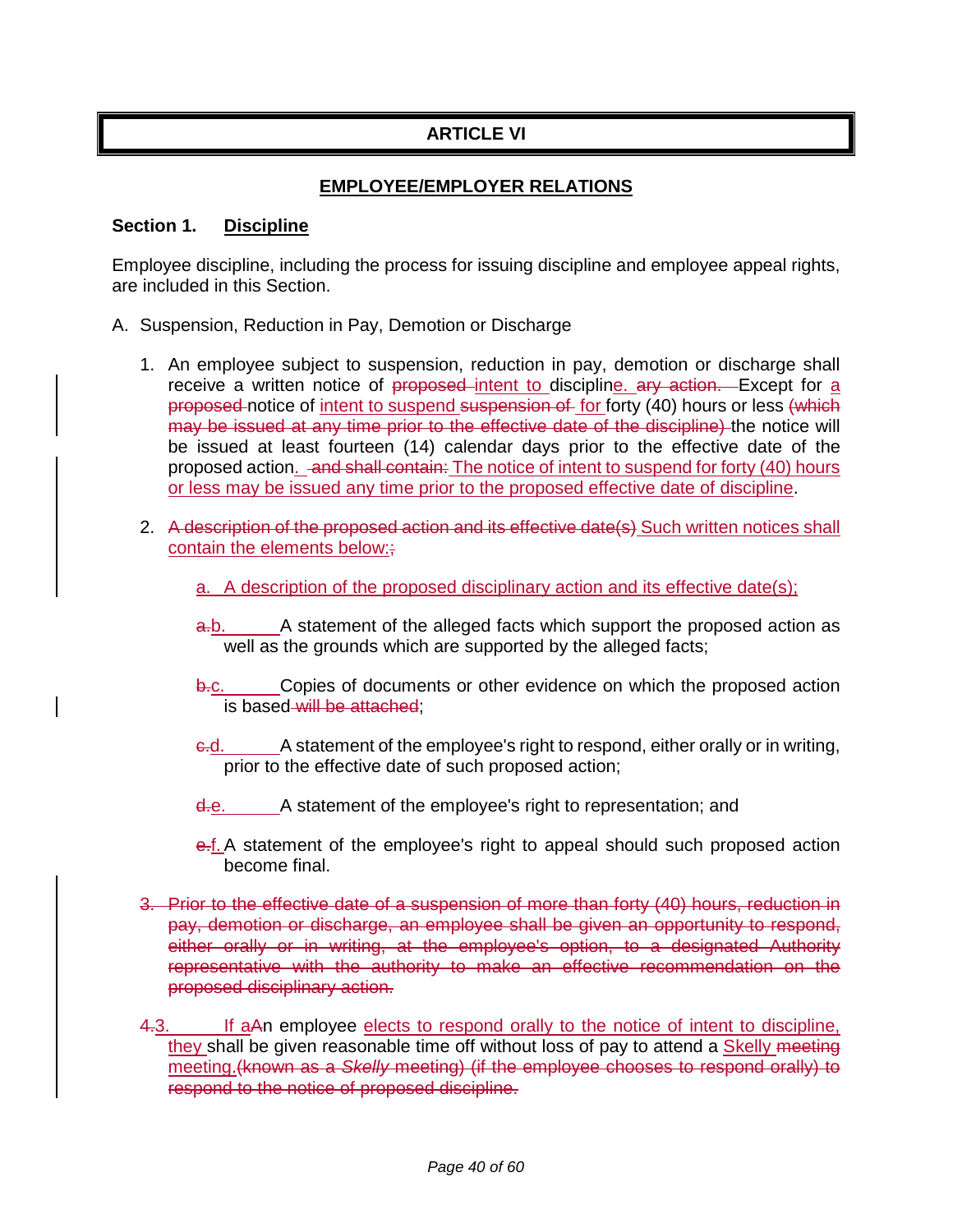# **ARTICLE VI**

### **EMPLOYEE/EMPLOYER RELATIONS**

#### **Section 1. Discipline**

Employee discipline, including the process for issuing discipline and employee appeal rights, are included in this Section.

- A. Suspension, Reduction in Pay, Demotion or Discharge
	- 1. An employee subject to suspension, reduction in pay, demotion or discharge shall receive a written notice of proposed intent to discipline. ary action. Except for a proposed notice of intent to suspend suspension of for forty (40) hours or less (which may be issued at any time prior to the effective date of the discipline) the notice will be issued at least fourteen (14) calendar days prior to the effective date of the proposed action. and shall contain: The notice of intent to suspend for forty (40) hours or less may be issued any time prior to the proposed effective date of discipline.
	- 2. A description of the proposed action and its effective date(s) Such written notices shall contain the elements below:
		- a. A description of the proposed disciplinary action and its effective date(s);
		- a.b. A statement of the alleged facts which support the proposed action as well as the grounds which are supported by the alleged facts;
		- b.c. Copies of documents or other evidence on which the proposed action is based will be attached;
		- c.d. A statement of the employee's right to respond, either orally or in writing, prior to the effective date of such proposed action;
		- d.e. A statement of the employee's right to representation; and
		- e.f. A statement of the employee's right to appeal should such proposed action become final.
	- 3. Prior to the effective date of a suspension of more than forty (40) hours, reduction in pay, demotion or discharge, an employee shall be given an opportunity to respond, either orally or in writing, at the employee's option, to a designated Authority representative with the authority to make an effective recommendation on the proposed disciplinary action.
	- 4.3. If aAn employee elects to respond orally to the notice of intent to discipline, they shall be given reasonable time off without loss of pay to attend a Skelly meeting meeting.(known as a *Skelly* meeting) (if the employee chooses to respond orally) to respond to the notice of proposed discipline.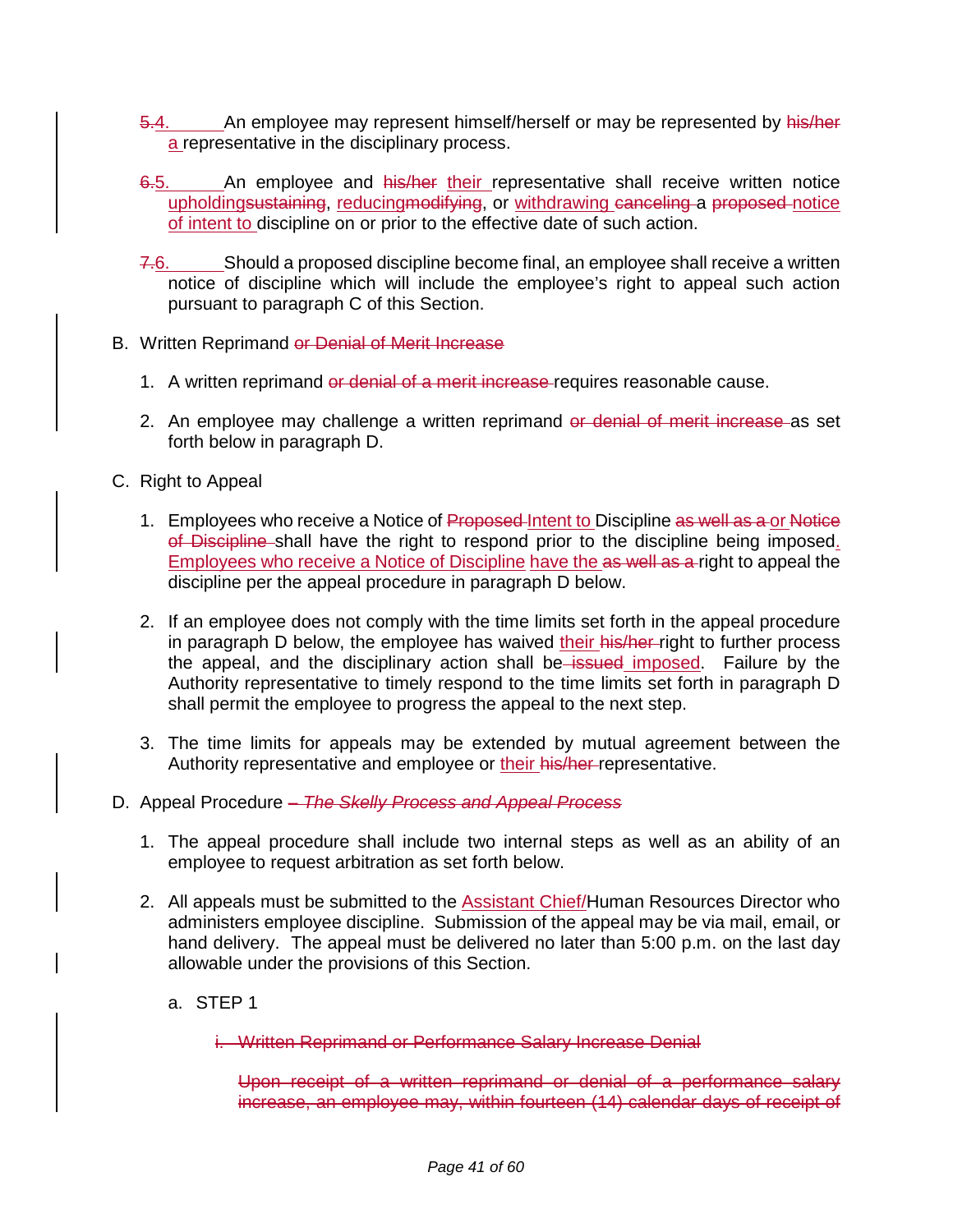- 5.4. An employee may represent himself/herself or may be represented by his/her a representative in the disciplinary process.
- 6.5. An employee and his/her their representative shall receive written notice upholdingsustaining, reducingmodifying, or withdrawing canceling a proposed notice of intent to discipline on or prior to the effective date of such action.
- 7.6. Should a proposed discipline become final, an employee shall receive a written notice of discipline which will include the employee's right to appeal such action pursuant to paragraph C of this Section.
- B. Written Reprimand or Denial of Merit Increase
	- 1. A written reprimand or denial of a merit increase requires reasonable cause.
	- 2. An employee may challenge a written reprimand or denial of merit increase as set forth below in paragraph D.
- C. Right to Appeal
	- 1. Employees who receive a Notice of Proposed-Intent to Discipline as well as a or Notice of Discipline shall have the right to respond prior to the discipline being imposed. Employees who receive a Notice of Discipline have the as well as a right to appeal the discipline per the appeal procedure in paragraph D below.
	- 2. If an employee does not comply with the time limits set forth in the appeal procedure in paragraph D below, the employee has waived their his/her-right to further process the appeal, and the disciplinary action shall be issued imposed. Failure by the Authority representative to timely respond to the time limits set forth in paragraph D shall permit the employee to progress the appeal to the next step.
	- 3. The time limits for appeals may be extended by mutual agreement between the Authority representative and employee or their his/her-representative.
- D. Appeal Procedure *The Skelly Process and Appeal Process*
	- 1. The appeal procedure shall include two internal steps as well as an ability of an employee to request arbitration as set forth below.
	- 2. All appeals must be submitted to the Assistant Chief/Human Resources Director who administers employee discipline. Submission of the appeal may be via mail, email, or hand delivery. The appeal must be delivered no later than 5:00 p.m. on the last day allowable under the provisions of this Section.
		- a. STEP 1

i. Written Reprimand or Performance Salary Increase Denial

Upon receipt of a written reprimand or denial of a performance salary increase, an employee may, within fourteen (14) calendar days of receipt of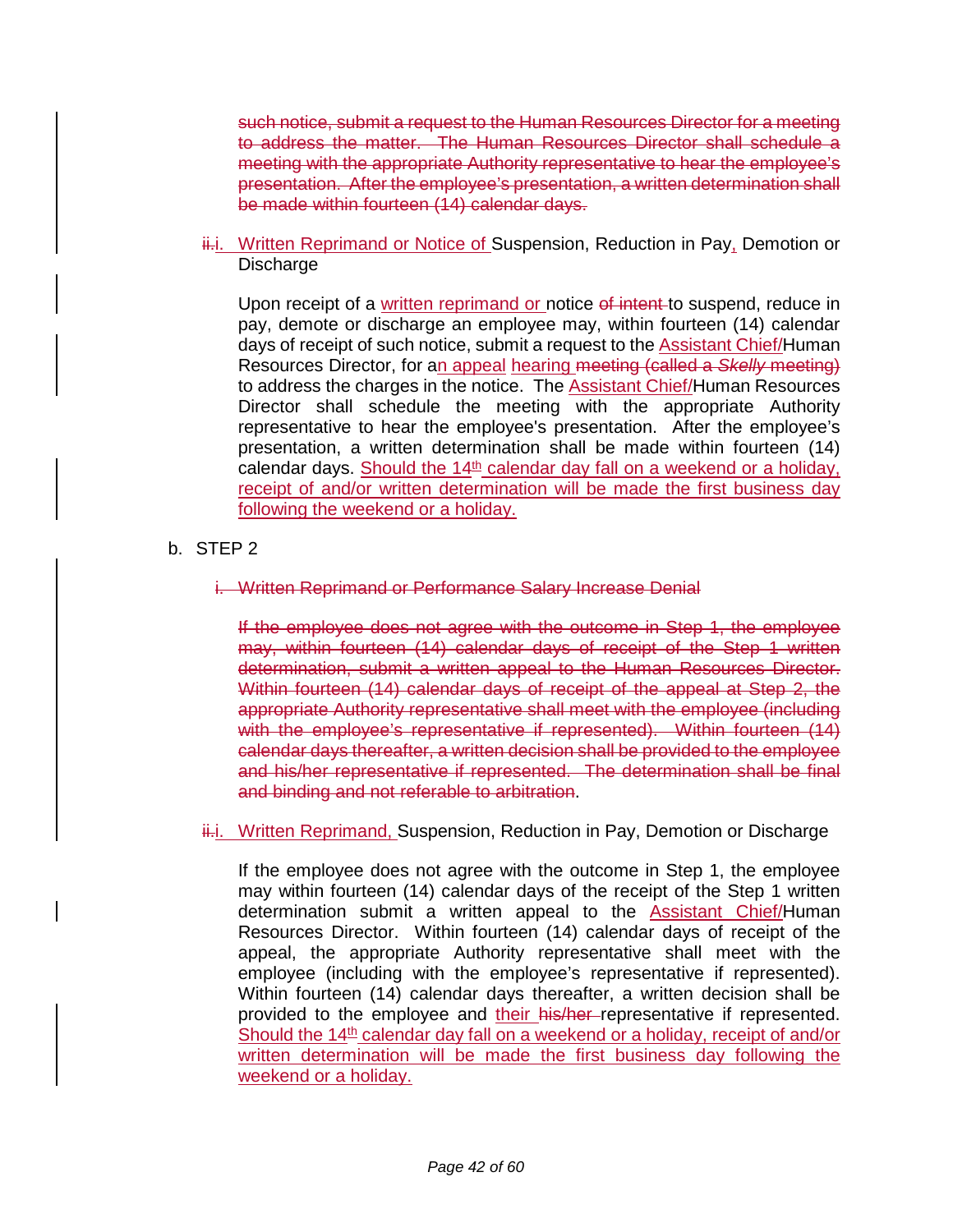such notice, submit a request to the Human Resources Director for a meeting to address the matter. The Human Resources Director shall schedule a meeting with the appropriate Authority representative to hear the employee's presentation. After the employee's presentation, a written determination shall be made within fourteen (14) calendar days.

ii.i. Written Reprimand or Notice of Suspension, Reduction in Pay, Demotion or Discharge

Upon receipt of a written reprimand or notice of intent to suspend, reduce in pay, demote or discharge an employee may, within fourteen (14) calendar days of receipt of such notice, submit a request to the Assistant Chief/Human Resources Director, for an appeal hearing meeting (called a *Skelly* meeting) to address the charges in the notice. The Assistant Chief/Human Resources Director shall schedule the meeting with the appropriate Authority representative to hear the employee's presentation. After the employee's presentation, a written determination shall be made within fourteen (14) calendar days. Should the  $14<sup>th</sup>$  calendar day fall on a weekend or a holiday, receipt of and/or written determination will be made the first business day following the weekend or a holiday.

- b. STEP 2
	- i. Written Reprimand or Performance Salary Increase Denial

If the employee does not agree with the outcome in Step 1, the employee may, within fourteen (14) calendar days of receipt of the Step 1 written determination, submit a written appeal to the Human Resources Director. Within fourteen (14) calendar days of receipt of the appeal at Step 2, the appropriate Authority representative shall meet with the employee (including with the employee's representative if represented). Within fourteen (14) calendar days thereafter, a written decision shall be provided to the employee and his/her representative if represented. The determination shall be final and binding and not referable to arbitration.

i.i. Written Reprimand, Suspension, Reduction in Pay, Demotion or Discharge

If the employee does not agree with the outcome in Step 1, the employee may within fourteen (14) calendar days of the receipt of the Step 1 written determination submit a written appeal to the **Assistant Chief/Human** Resources Director. Within fourteen (14) calendar days of receipt of the appeal, the appropriate Authority representative shall meet with the employee (including with the employee's representative if represented). Within fourteen (14) calendar days thereafter, a written decision shall be provided to the employee and their his/her-representative if represented. Should the 14<sup>th</sup> calendar day fall on a weekend or a holiday, receipt of and/or written determination will be made the first business day following the weekend or a holiday.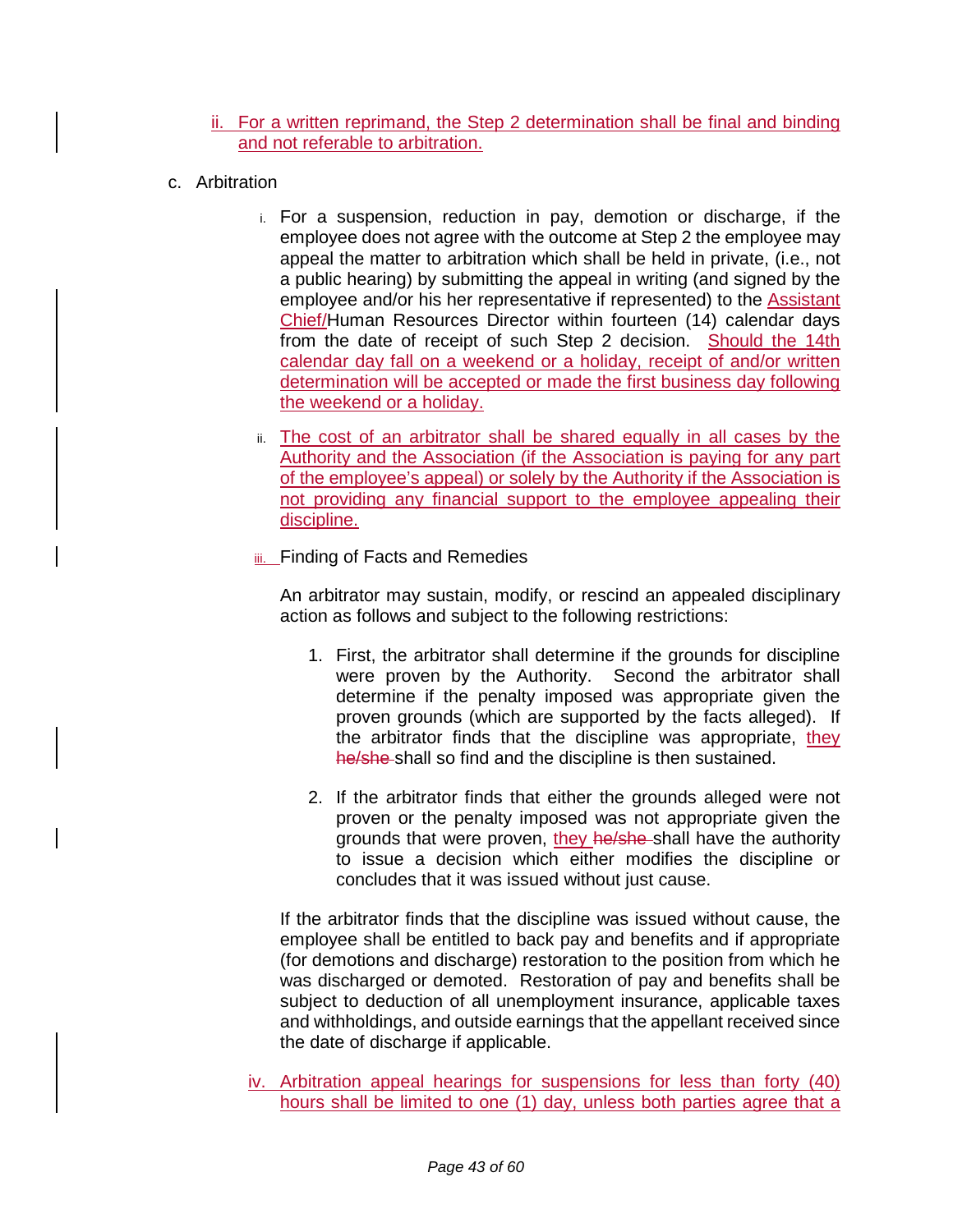- ii. For a written reprimand, the Step 2 determination shall be final and binding and not referable to arbitration.
- c. Arbitration
	- i. For a suspension, reduction in pay, demotion or discharge, if the employee does not agree with the outcome at Step 2 the employee may appeal the matter to arbitration which shall be held in private, (i.e., not a public hearing) by submitting the appeal in writing (and signed by the employee and/or his her representative if represented) to the Assistant Chief/Human Resources Director within fourteen (14) calendar days from the date of receipt of such Step 2 decision. Should the 14th calendar day fall on a weekend or a holiday, receipt of and/or written determination will be accepted or made the first business day following the weekend or a holiday.
	- ii. The cost of an arbitrator shall be shared equally in all cases by the Authority and the Association (if the Association is paying for any part of the employee's appeal) or solely by the Authority if the Association is not providing any financial support to the employee appealing their discipline.
	- iii. Finding of Facts and Remedies

An arbitrator may sustain, modify, or rescind an appealed disciplinary action as follows and subject to the following restrictions:

- 1. First, the arbitrator shall determine if the grounds for discipline were proven by the Authority. Second the arbitrator shall determine if the penalty imposed was appropriate given the proven grounds (which are supported by the facts alleged). If the arbitrator finds that the discipline was appropriate, they he/she-shall so find and the discipline is then sustained.
- 2. If the arbitrator finds that either the grounds alleged were not proven or the penalty imposed was not appropriate given the grounds that were proven, they he/she shall have the authority to issue a decision which either modifies the discipline or concludes that it was issued without just cause.

If the arbitrator finds that the discipline was issued without cause, the employee shall be entitled to back pay and benefits and if appropriate (for demotions and discharge) restoration to the position from which he was discharged or demoted. Restoration of pay and benefits shall be subject to deduction of all unemployment insurance, applicable taxes and withholdings, and outside earnings that the appellant received since the date of discharge if applicable.

iv. Arbitration appeal hearings for suspensions for less than forty (40) hours shall be limited to one (1) day, unless both parties agree that a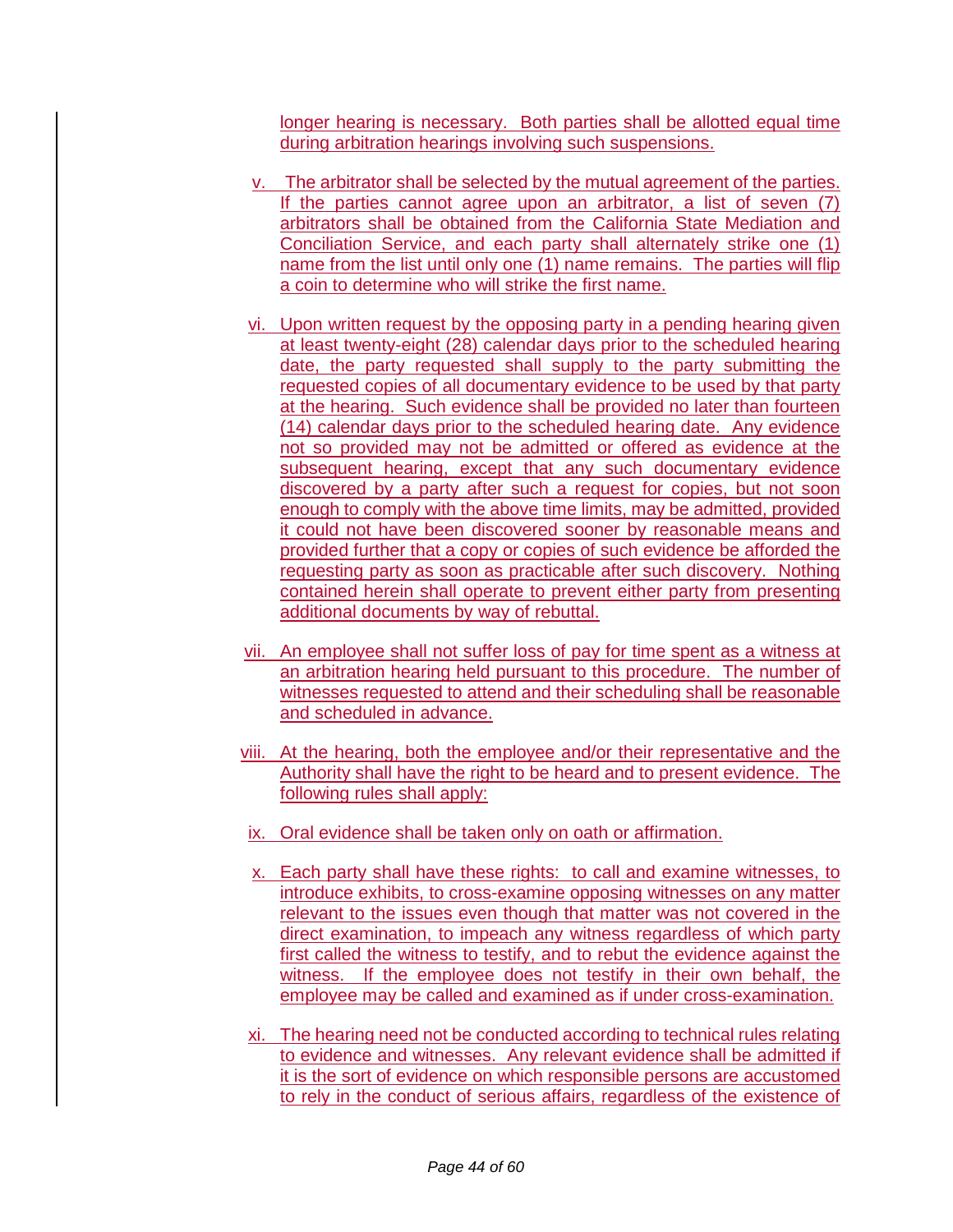longer hearing is necessary. Both parties shall be allotted equal time during arbitration hearings involving such suspensions.

- v. The arbitrator shall be selected by the mutual agreement of the parties. If the parties cannot agree upon an arbitrator, a list of seven (7) arbitrators shall be obtained from the California State Mediation and Conciliation Service, and each party shall alternately strike one (1) name from the list until only one (1) name remains. The parties will flip a coin to determine who will strike the first name.
- vi. Upon written request by the opposing party in a pending hearing given at least twenty-eight (28) calendar days prior to the scheduled hearing date, the party requested shall supply to the party submitting the requested copies of all documentary evidence to be used by that party at the hearing. Such evidence shall be provided no later than fourteen (14) calendar days prior to the scheduled hearing date. Any evidence not so provided may not be admitted or offered as evidence at the subsequent hearing, except that any such documentary evidence discovered by a party after such a request for copies, but not soon enough to comply with the above time limits, may be admitted, provided it could not have been discovered sooner by reasonable means and provided further that a copy or copies of such evidence be afforded the requesting party as soon as practicable after such discovery. Nothing contained herein shall operate to prevent either party from presenting additional documents by way of rebuttal.
- vii. An employee shall not suffer loss of pay for time spent as a witness at an arbitration hearing held pursuant to this procedure. The number of witnesses requested to attend and their scheduling shall be reasonable and scheduled in advance.
- viii. At the hearing, both the employee and/or their representative and the Authority shall have the right to be heard and to present evidence. The following rules shall apply:
- ix. Oral evidence shall be taken only on oath or affirmation.
- x. Each party shall have these rights: to call and examine witnesses, to introduce exhibits, to cross-examine opposing witnesses on any matter relevant to the issues even though that matter was not covered in the direct examination, to impeach any witness regardless of which party first called the witness to testify, and to rebut the evidence against the witness. If the employee does not testify in their own behalf, the employee may be called and examined as if under cross-examination.
- xi. The hearing need not be conducted according to technical rules relating to evidence and witnesses. Any relevant evidence shall be admitted if it is the sort of evidence on which responsible persons are accustomed to rely in the conduct of serious affairs, regardless of the existence of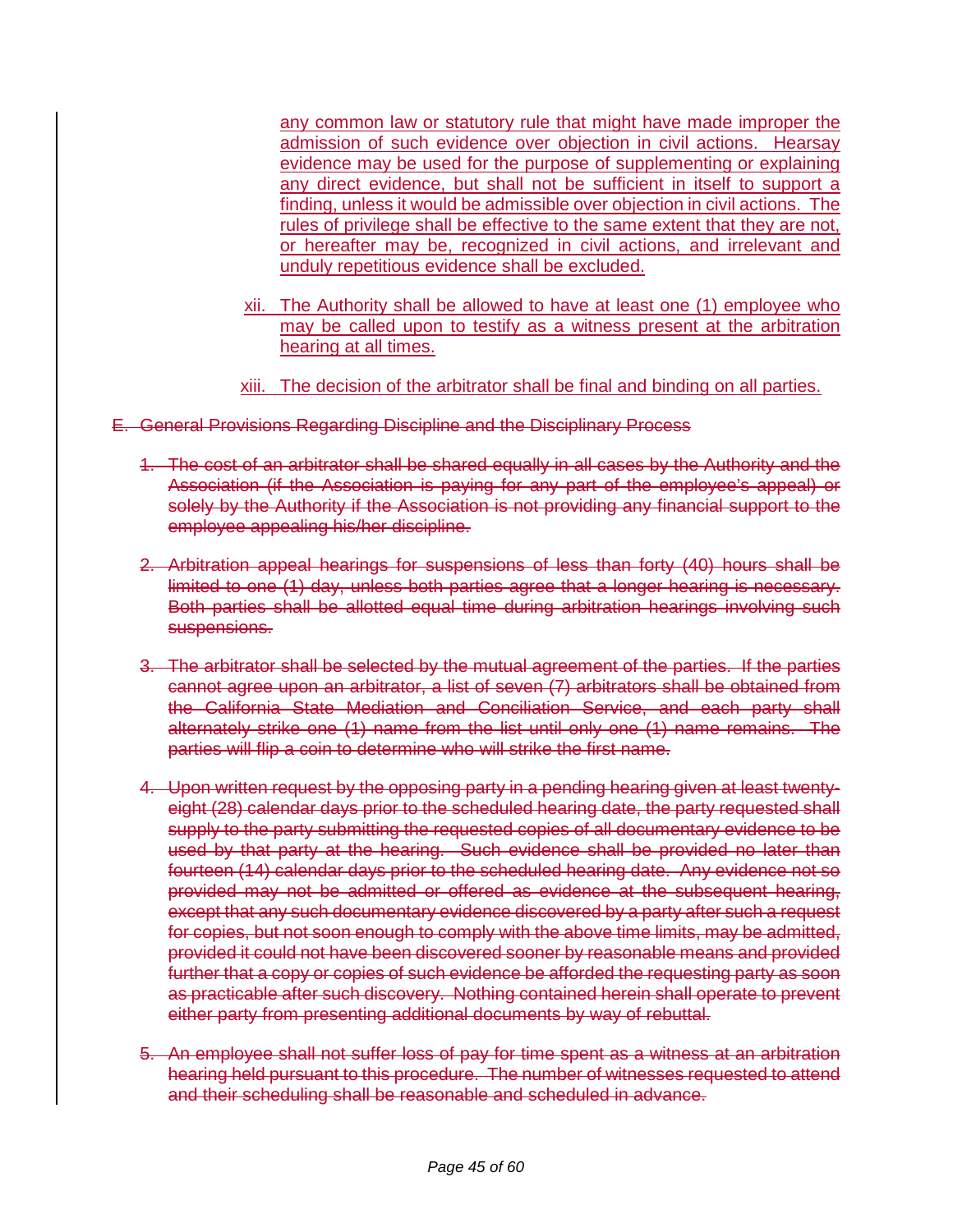any common law or statutory rule that might have made improper the admission of such evidence over objection in civil actions. Hearsay evidence may be used for the purpose of supplementing or explaining any direct evidence, but shall not be sufficient in itself to support a finding, unless it would be admissible over objection in civil actions. The rules of privilege shall be effective to the same extent that they are not, or hereafter may be, recognized in civil actions, and irrelevant and unduly repetitious evidence shall be excluded.

- xii. The Authority shall be allowed to have at least one (1) employee who may be called upon to testify as a witness present at the arbitration hearing at all times.
- xiii. The decision of the arbitrator shall be final and binding on all parties.
- E. General Provisions Regarding Discipline and the Disciplinary Process
	- 1. The cost of an arbitrator shall be shared equally in all cases by the Authority and the Association (if the Association is paying for any part of the employee's appeal) or solely by the Authority if the Association is not providing any financial support to the employee appealing his/her discipline.
	- 2. Arbitration appeal hearings for suspensions of less than forty (40) hours shall be limited to one (1) day, unless both parties agree that a longer hearing is necessary. Both parties shall be allotted equal time during arbitration hearings involving such suspensions.
	- 3. The arbitrator shall be selected by the mutual agreement of the parties. If the parties cannot agree upon an arbitrator, a list of seven (7) arbitrators shall be obtained from the California State Mediation and Conciliation Service, and each party shall alternately strike one (1) name from the list until only one (1) name remains. The parties will flip a coin to determine who will strike the first name.
	- 4. Upon written request by the opposing party in a pending hearing given at least twentyeight (28) calendar days prior to the scheduled hearing date, the party requested shall supply to the party submitting the requested copies of all documentary evidence to be used by that party at the hearing. Such evidence shall be provided no later than fourteen (14) calendar days prior to the scheduled hearing date. Any evidence not so provided may not be admitted or offered as evidence at the subsequent hearing, except that any such documentary evidence discovered by a party after such a request for copies, but not soon enough to comply with the above time limits, may be admitted, provided it could not have been discovered sooner by reasonable means and provided further that a copy or copies of such evidence be afforded the requesting party as soon as practicable after such discovery. Nothing contained herein shall operate to prevent either party from presenting additional documents by way of rebuttal.
	- 5. An employee shall not suffer loss of pay for time spent as a witness at an arbitration hearing held pursuant to this procedure. The number of witnesses requested to attend and their scheduling shall be reasonable and scheduled in advance.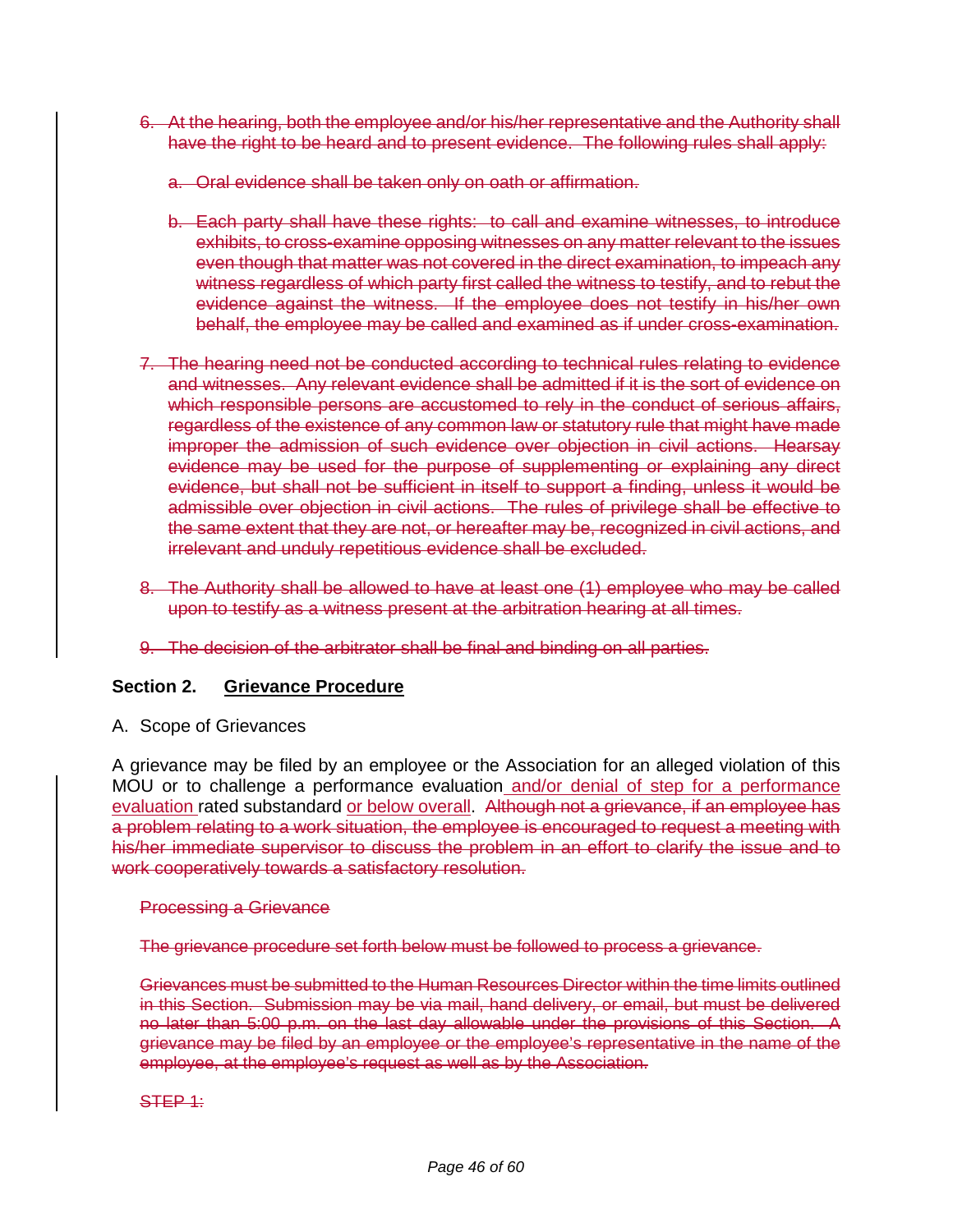- 6. At the hearing, both the employee and/or his/her representative and the Authority shall have the right to be heard and to present evidence. The following rules shall apply:
	- a. Oral evidence shall be taken only on oath or affirmation.
	- b. Each party shall have these rights: to call and examine witnesses, to introduce exhibits, to cross-examine opposing witnesses on any matter relevant to the issues even though that matter was not covered in the direct examination, to impeach any witness regardless of which party first called the witness to testify, and to rebut the evidence against the witness. If the employee does not testify in his/her own behalf, the employee may be called and examined as if under cross-examination.
- 7. The hearing need not be conducted according to technical rules relating to evidence and witnesses. Any relevant evidence shall be admitted if it is the sort of evidence on which responsible persons are accustomed to rely in the conduct of serious affairs, regardless of the existence of any common law or statutory rule that might have made improper the admission of such evidence over objection in civil actions. Hearsay evidence may be used for the purpose of supplementing or explaining any direct evidence, but shall not be sufficient in itself to support a finding, unless it would be admissible over objection in civil actions. The rules of privilege shall be effective to the same extent that they are not, or hereafter may be, recognized in civil actions, and irrelevant and unduly repetitious evidence shall be excluded.
- 8. The Authority shall be allowed to have at least one (1) employee who may be called upon to testify as a witness present at the arbitration hearing at all times.
- 9. The decision of the arbitrator shall be final and binding on all parties.

### **Section 2. Grievance Procedure**

A. Scope of Grievances

A grievance may be filed by an employee or the Association for an alleged violation of this MOU or to challenge a performance evaluation and/or denial of step for a performance evaluation rated substandard or below overall. Although not a grievance, if an employee has a problem relating to a work situation, the employee is encouraged to request a meeting with his/her immediate supervisor to discuss the problem in an effort to clarify the issue and to work cooperatively towards a satisfactory resolution.

#### Processing a Grievance

The grievance procedure set forth below must be followed to process a grievance.

Grievances must be submitted to the Human Resources Director within the time limits outlined in this Section. Submission may be via mail, hand delivery, or email, but must be delivered no later than 5:00 p.m. on the last day allowable under the provisions of this Section. A grievance may be filed by an employee or the employee's representative in the name of the employee, at the employee's request as well as by the Association.

#### STEP 1: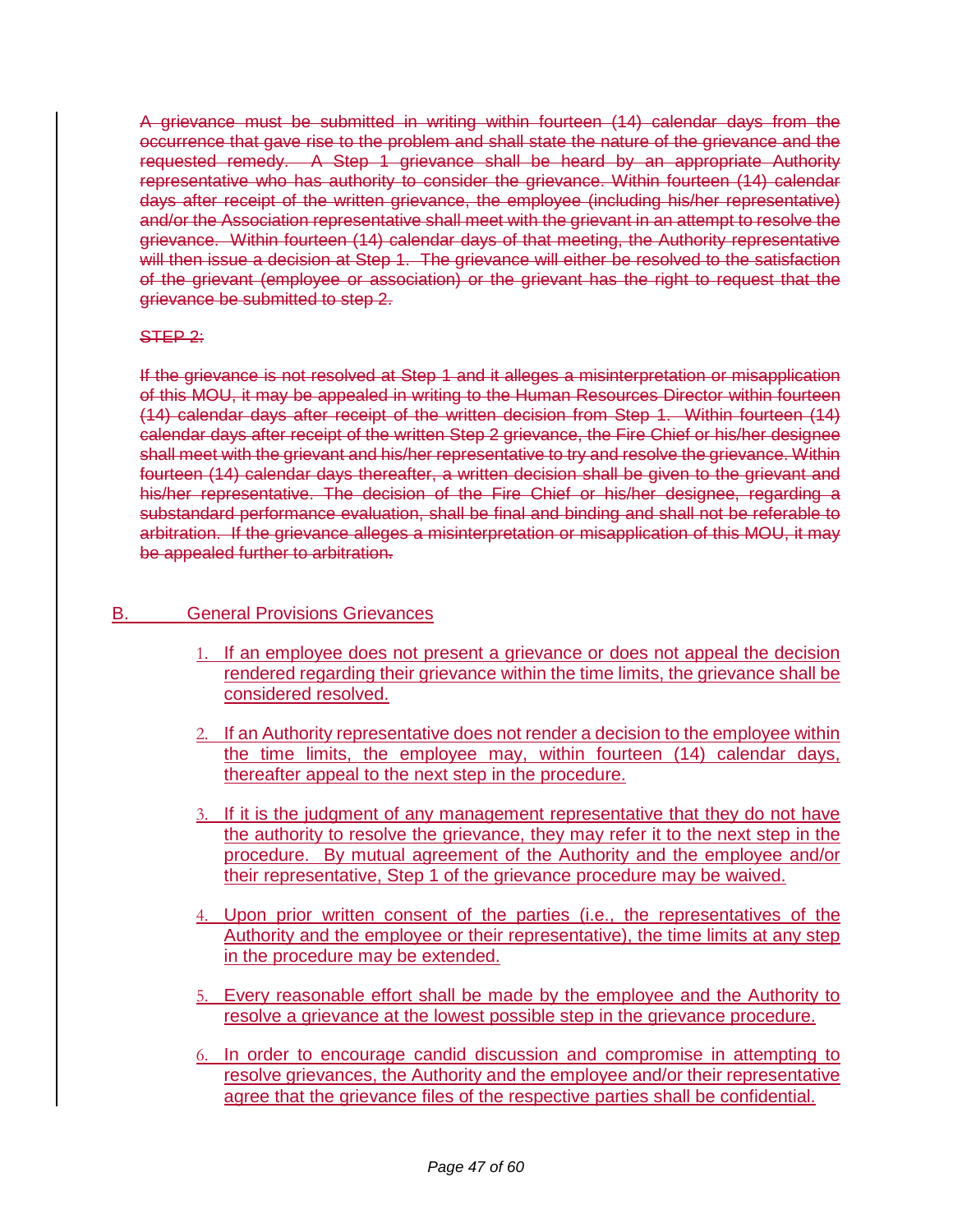A grievance must be submitted in writing within fourteen (14) calendar days from the occurrence that gave rise to the problem and shall state the nature of the grievance and the requested remedy. A Step 1 grievance shall be heard by an appropriate Authority representative who has authority to consider the grievance. Within fourteen (14) calendar days after receipt of the written grievance, the employee (including his/her representative) and/or the Association representative shall meet with the grievant in an attempt to resolve the grievance. Within fourteen (14) calendar days of that meeting, the Authority representative will then issue a decision at Step 1. The grievance will either be resolved to the satisfaction of the grievant (employee or association) or the grievant has the right to request that the grievance be submitted to step 2.

#### STEP<sub>2:</sub>

If the grievance is not resolved at Step 1 and it alleges a misinterpretation or misapplication of this MOU, it may be appealed in writing to the Human Resources Director within fourteen (14) calendar days after receipt of the written decision from Step 1. Within fourteen (14) calendar days after receipt of the written Step 2 grievance, the Fire Chief or his/her designee shall meet with the grievant and his/her representative to try and resolve the grievance. Within fourteen (14) calendar days thereafter, a written decision shall be given to the grievant and his/her representative. The decision of the Fire Chief or his/her designee, regarding a substandard performance evaluation, shall be final and binding and shall not be referable to arbitration. If the grievance alleges a misinterpretation or misapplication of this MOU, it may be appealed further to arbitration.

### B. General Provisions Grievances

- 1. If an employee does not present a grievance or does not appeal the decision rendered regarding their grievance within the time limits, the grievance shall be considered resolved.
- 2. If an Authority representative does not render a decision to the employee within the time limits, the employee may, within fourteen (14) calendar days, thereafter appeal to the next step in the procedure.
- 3. If it is the judgment of any management representative that they do not have the authority to resolve the grievance, they may refer it to the next step in the procedure. By mutual agreement of the Authority and the employee and/or their representative, Step 1 of the grievance procedure may be waived.
- 4. Upon prior written consent of the parties (i.e., the representatives of the Authority and the employee or their representative), the time limits at any step in the procedure may be extended.
- 5. Every reasonable effort shall be made by the employee and the Authority to resolve a grievance at the lowest possible step in the grievance procedure.
- 6. In order to encourage candid discussion and compromise in attempting to resolve grievances, the Authority and the employee and/or their representative agree that the grievance files of the respective parties shall be confidential.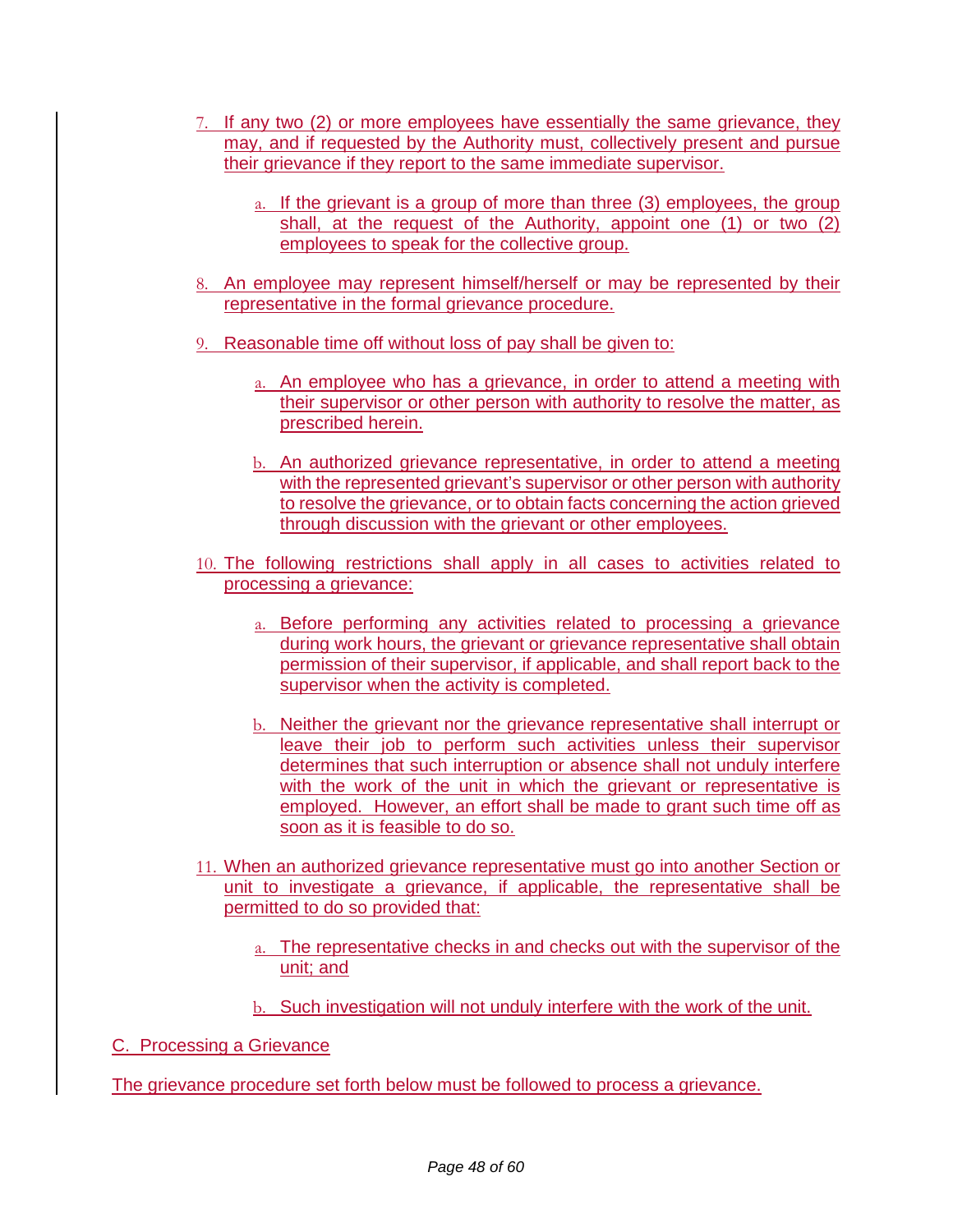- 7. If any two (2) or more employees have essentially the same grievance, they may, and if requested by the Authority must, collectively present and pursue their grievance if they report to the same immediate supervisor.
	- a. If the grievant is a group of more than three (3) employees, the group shall, at the request of the Authority, appoint one (1) or two (2) employees to speak for the collective group.
- 8. An employee may represent himself/herself or may be represented by their representative in the formal grievance procedure.
- 9. Reasonable time off without loss of pay shall be given to:
	- a. An employee who has a grievance, in order to attend a meeting with their supervisor or other person with authority to resolve the matter, as prescribed herein.
	- b. An authorized grievance representative, in order to attend a meeting with the represented grievant's supervisor or other person with authority to resolve the grievance, or to obtain facts concerning the action grieved through discussion with the grievant or other employees.
- 10. The following restrictions shall apply in all cases to activities related to processing a grievance:
	- a. Before performing any activities related to processing a grievance during work hours, the grievant or grievance representative shall obtain permission of their supervisor, if applicable, and shall report back to the supervisor when the activity is completed.
	- b. Neither the grievant nor the grievance representative shall interrupt or leave their job to perform such activities unless their supervisor determines that such interruption or absence shall not unduly interfere with the work of the unit in which the grievant or representative is employed. However, an effort shall be made to grant such time off as soon as it is feasible to do so.
- 11. When an authorized grievance representative must go into another Section or unit to investigate a grievance, if applicable, the representative shall be permitted to do so provided that:
	- a. The representative checks in and checks out with the supervisor of the unit; and
	- b. Such investigation will not unduly interfere with the work of the unit.

C. Processing a Grievance

The grievance procedure set forth below must be followed to process a grievance.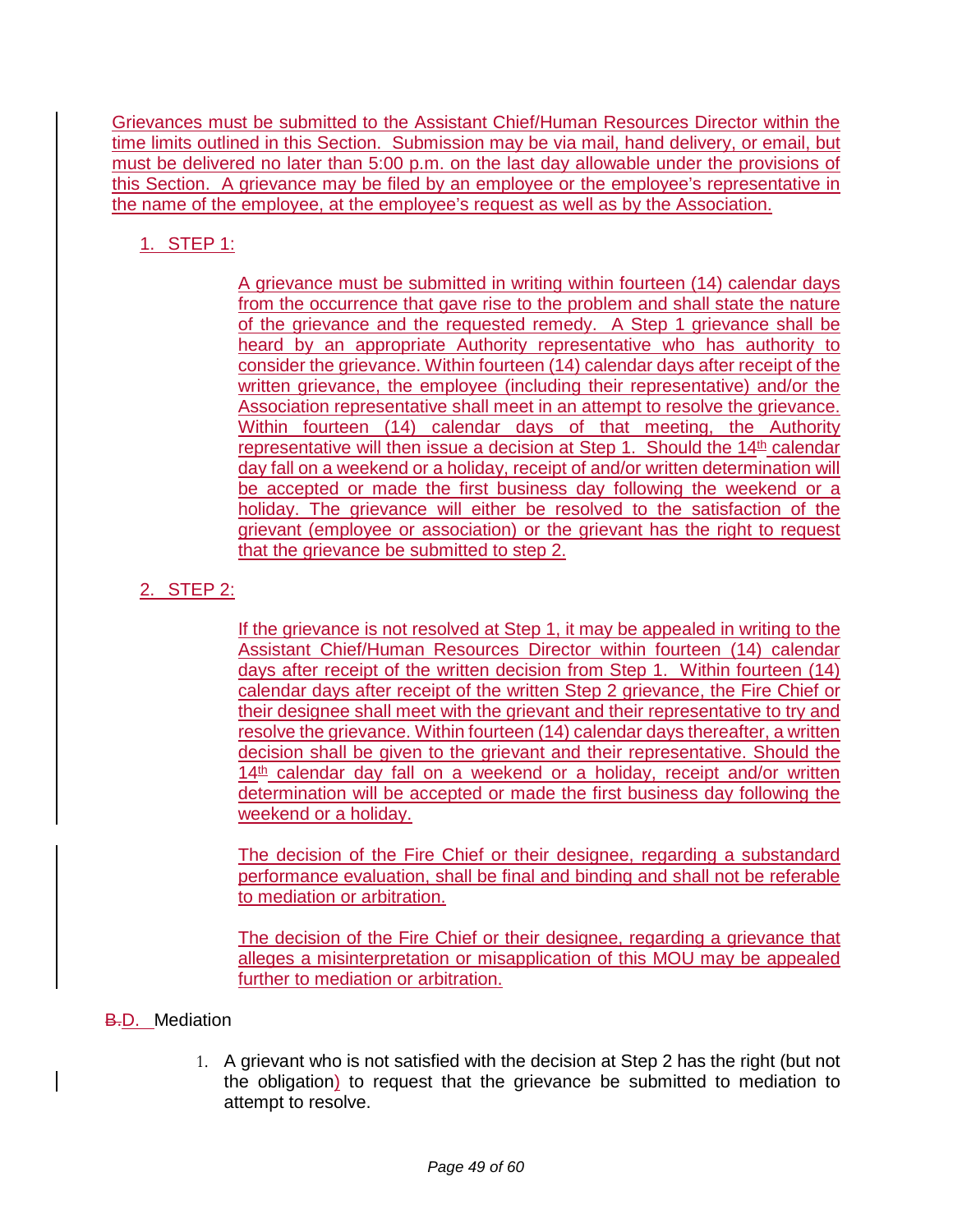Grievances must be submitted to the Assistant Chief/Human Resources Director within the time limits outlined in this Section. Submission may be via mail, hand delivery, or email, but must be delivered no later than 5:00 p.m. on the last day allowable under the provisions of this Section. A grievance may be filed by an employee or the employee's representative in the name of the employee, at the employee's request as well as by the Association.

1. STEP 1:

A grievance must be submitted in writing within fourteen (14) calendar days from the occurrence that gave rise to the problem and shall state the nature of the grievance and the requested remedy. A Step 1 grievance shall be heard by an appropriate Authority representative who has authority to consider the grievance. Within fourteen (14) calendar days after receipt of the written grievance, the employee (including their representative) and/or the Association representative shall meet in an attempt to resolve the grievance. Within fourteen (14) calendar days of that meeting, the Authority representative will then issue a decision at Step 1. Should the  $14<sup>th</sup>$  calendar day fall on a weekend or a holiday, receipt of and/or written determination will be accepted or made the first business day following the weekend or a holiday. The grievance will either be resolved to the satisfaction of the grievant (employee or association) or the grievant has the right to request that the grievance be submitted to step 2.

# 2. STEP 2:

If the grievance is not resolved at Step 1, it may be appealed in writing to the Assistant Chief/Human Resources Director within fourteen (14) calendar days after receipt of the written decision from Step 1. Within fourteen (14) calendar days after receipt of the written Step 2 grievance, the Fire Chief or their designee shall meet with the grievant and their representative to try and resolve the grievance. Within fourteen (14) calendar days thereafter, a written decision shall be given to the grievant and their representative. Should the  $14<sup>th</sup>$  calendar day fall on a weekend or a holiday, receipt and/or written determination will be accepted or made the first business day following the weekend or a holiday.

The decision of the Fire Chief or their designee, regarding a substandard performance evaluation, shall be final and binding and shall not be referable to mediation or arbitration.

The decision of the Fire Chief or their designee, regarding a grievance that alleges a misinterpretation or misapplication of this MOU may be appealed further to mediation or arbitration.

### **B.D.** Mediation

1. A grievant who is not satisfied with the decision at Step 2 has the right (but not the obligation) to request that the grievance be submitted to mediation to attempt to resolve.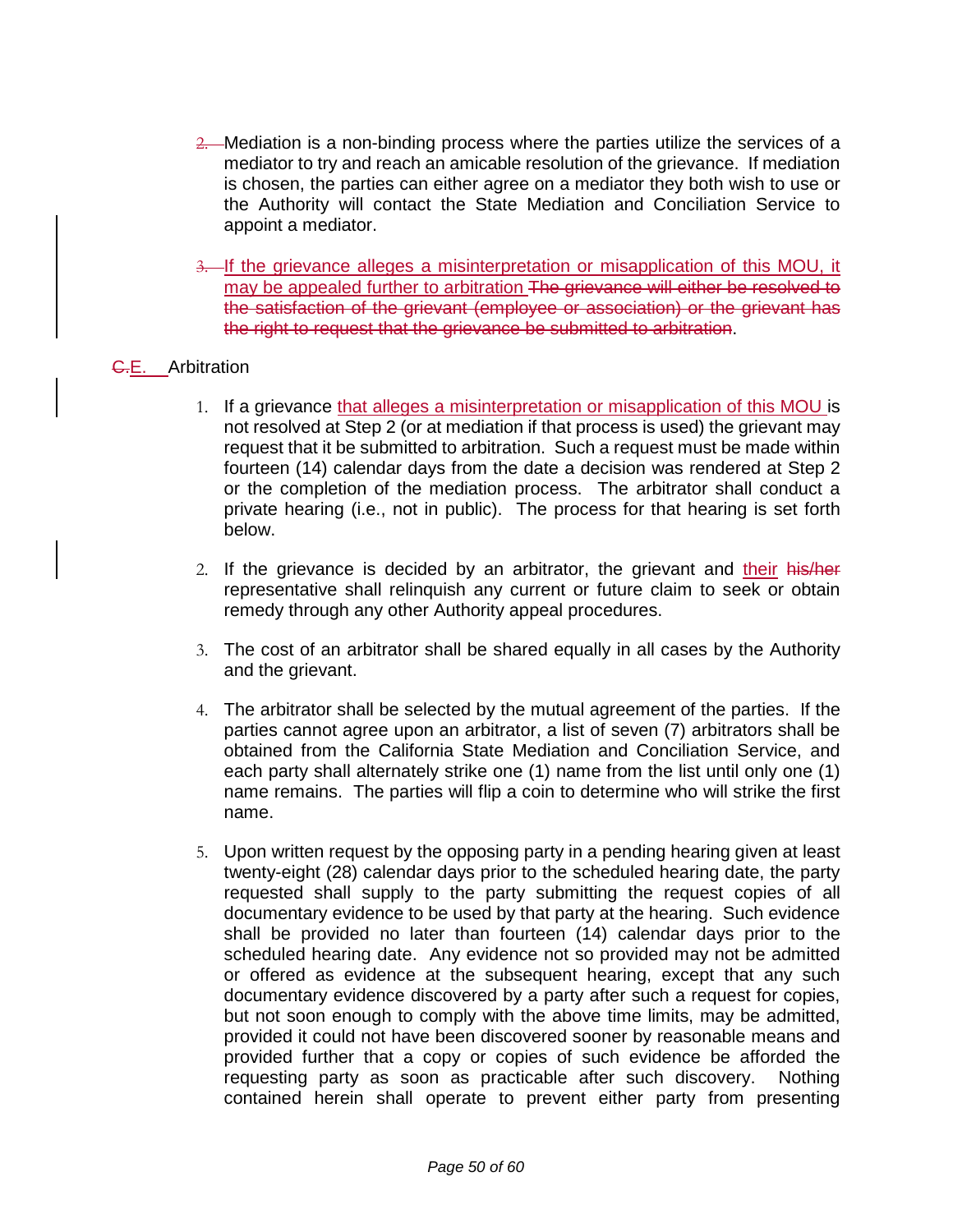- 2. Mediation is a non-binding process where the parties utilize the services of a mediator to try and reach an amicable resolution of the grievance. If mediation is chosen, the parties can either agree on a mediator they both wish to use or the Authority will contact the State Mediation and Conciliation Service to appoint a mediator.
- 3. If the grievance alleges a misinterpretation or misapplication of this MOU, it may be appealed further to arbitration The grievance will either be resolved to the satisfaction of the grievant (employee or association) or the grievant has the right to request that the grievance be submitted to arbitration.

#### G.E. Arbitration

- 1. If a grievance that alleges a misinterpretation or misapplication of this MOU is not resolved at Step 2 (or at mediation if that process is used) the grievant may request that it be submitted to arbitration. Such a request must be made within fourteen (14) calendar days from the date a decision was rendered at Step 2 or the completion of the mediation process. The arbitrator shall conduct a private hearing (i.e., not in public). The process for that hearing is set forth below.
- 2. If the grievance is decided by an arbitrator, the grievant and their his/her representative shall relinquish any current or future claim to seek or obtain remedy through any other Authority appeal procedures.
- 3. The cost of an arbitrator shall be shared equally in all cases by the Authority and the grievant.
- 4. The arbitrator shall be selected by the mutual agreement of the parties. If the parties cannot agree upon an arbitrator, a list of seven (7) arbitrators shall be obtained from the California State Mediation and Conciliation Service, and each party shall alternately strike one (1) name from the list until only one (1) name remains. The parties will flip a coin to determine who will strike the first name.
- 5. Upon written request by the opposing party in a pending hearing given at least twenty-eight (28) calendar days prior to the scheduled hearing date, the party requested shall supply to the party submitting the request copies of all documentary evidence to be used by that party at the hearing. Such evidence shall be provided no later than fourteen (14) calendar days prior to the scheduled hearing date. Any evidence not so provided may not be admitted or offered as evidence at the subsequent hearing, except that any such documentary evidence discovered by a party after such a request for copies, but not soon enough to comply with the above time limits, may be admitted, provided it could not have been discovered sooner by reasonable means and provided further that a copy or copies of such evidence be afforded the requesting party as soon as practicable after such discovery. Nothing contained herein shall operate to prevent either party from presenting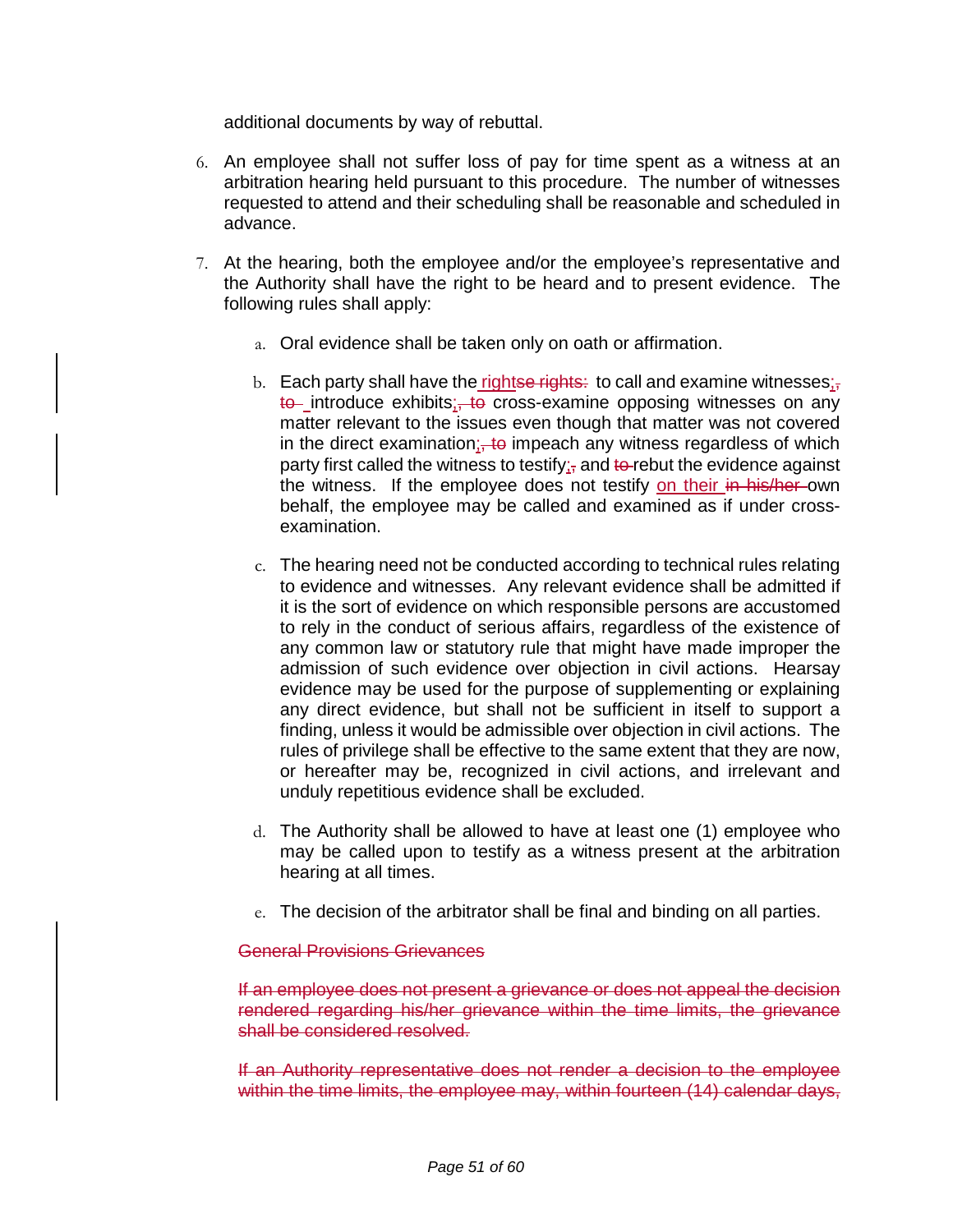additional documents by way of rebuttal.

- 6. An employee shall not suffer loss of pay for time spent as a witness at an arbitration hearing held pursuant to this procedure. The number of witnesses requested to attend and their scheduling shall be reasonable and scheduled in advance.
- 7. At the hearing, both the employee and/or the employee's representative and the Authority shall have the right to be heard and to present evidence. The following rules shall apply:
	- a. Oral evidence shall be taken only on oath or affirmation.
	- b. Each party shall have the rightse rights: to call and examine witnesses $\mathbf{x}_i$ to introduce exhibits; to cross-examine opposing witnesses on any matter relevant to the issues even though that matter was not covered in the direct examination;  $\frac{1}{2}$  impeach any witness regardless of which party first called the witness to testify; and to rebut the evidence against the witness. If the employee does not testify on their in his/her-own behalf, the employee may be called and examined as if under crossexamination.
	- c. The hearing need not be conducted according to technical rules relating to evidence and witnesses. Any relevant evidence shall be admitted if it is the sort of evidence on which responsible persons are accustomed to rely in the conduct of serious affairs, regardless of the existence of any common law or statutory rule that might have made improper the admission of such evidence over objection in civil actions. Hearsay evidence may be used for the purpose of supplementing or explaining any direct evidence, but shall not be sufficient in itself to support a finding, unless it would be admissible over objection in civil actions. The rules of privilege shall be effective to the same extent that they are now, or hereafter may be, recognized in civil actions, and irrelevant and unduly repetitious evidence shall be excluded.
	- d. The Authority shall be allowed to have at least one (1) employee who may be called upon to testify as a witness present at the arbitration hearing at all times.
	- e. The decision of the arbitrator shall be final and binding on all parties.

#### General Provisions Grievances

If an employee does not present a grievance or does not appeal the decision rendered regarding his/her grievance within the time limits, the grievance shall be considered resolved.

If an Authority representative does not render a decision to the employee within the time limits, the employee may, within fourteen (14) calendar days,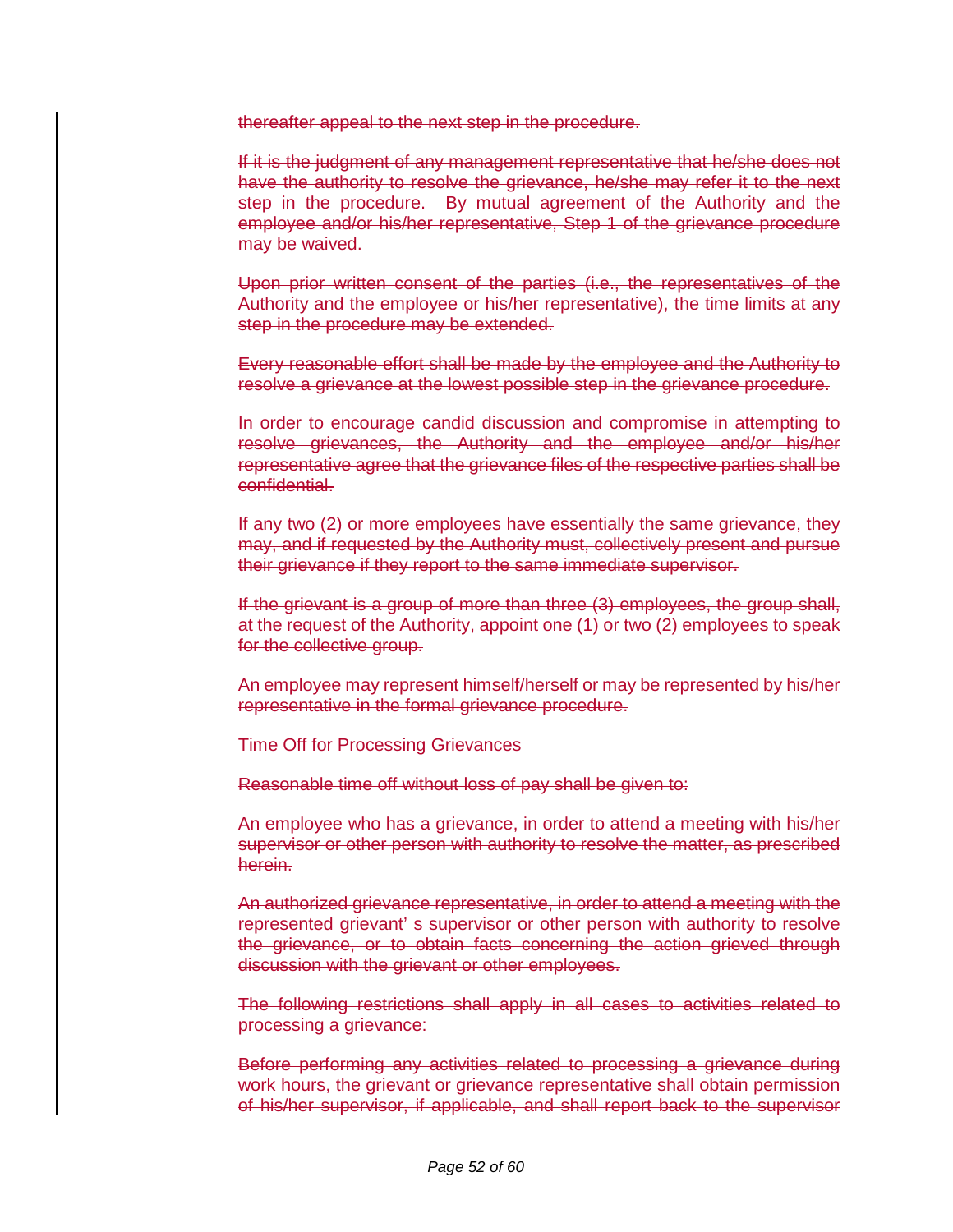thereafter appeal to the next step in the procedure.

If it is the judgment of any management representative that he/she does not have the authority to resolve the grievance, he/she may refer it to the next step in the procedure. By mutual agreement of the Authority and the employee and/or his/her representative, Step 1 of the grievance procedure may be waived.

Upon prior written consent of the parties (i.e., the representatives of the Authority and the employee or his/her representative), the time limits at any step in the procedure may be extended.

Every reasonable effort shall be made by the employee and the Authority to resolve a grievance at the lowest possible step in the grievance procedure.

In order to encourage candid discussion and compromise in attempting to resolve grievances, the Authority and the employee and/or his/her representative agree that the grievance files of the respective parties shall be confidential.

If any two (2) or more employees have essentially the same grievance, they may, and if requested by the Authority must, collectively present and pursue their grievance if they report to the same immediate supervisor.

If the grievant is a group of more than three (3) employees, the group shall, at the request of the Authority, appoint one (1) or two (2) employees to speak for the collective group.

An employee may represent himself/herself or may be represented by his/her representative in the formal grievance procedure.

Time Off for Processing Grievances

Reasonable time off without loss of pay shall be given to:

An employee who has a grievance, in order to attend a meeting with his/her supervisor or other person with authority to resolve the matter, as prescribed herein.

An authorized grievance representative, in order to attend a meeting with the represented grievant' s supervisor or other person with authority to resolve the grievance, or to obtain facts concerning the action grieved through discussion with the grievant or other employees.

The following restrictions shall apply in all cases to activities related to processing a grievance:

Before performing any activities related to processing a grievance during work hours, the grievant or grievance representative shall obtain permission of his/her supervisor, if applicable, and shall report back to the supervisor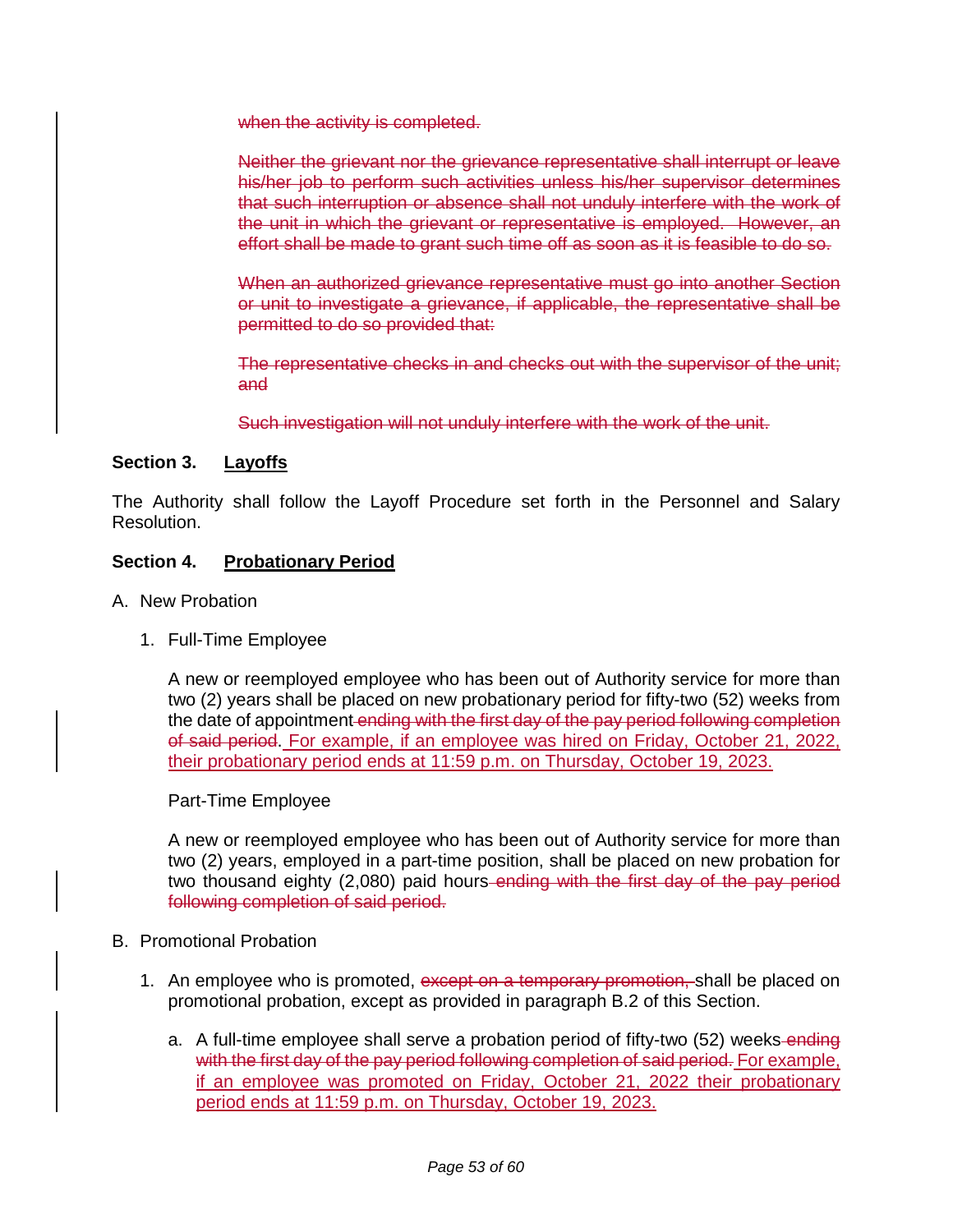when the activity is completed.

Neither the grievant nor the grievance representative shall interrupt or leave his/her job to perform such activities unless his/her supervisor determines that such interruption or absence shall not unduly interfere with the work of the unit in which the grievant or representative is employed. However, an effort shall be made to grant such time off as soon as it is feasible to do so.

When an authorized grievance representative must go into another Section or unit to investigate a grievance, if applicable, the representative shall be permitted to do so provided that:

The representative checks in and checks out with the supervisor of the unit; and

Such investigation will not unduly interfere with the work of the unit.

#### **Section 3. Layoffs**

The Authority shall follow the Layoff Procedure set forth in the Personnel and Salary Resolution.

#### **Section 4. Probationary Period**

- A. New Probation
	- 1. Full-Time Employee

A new or reemployed employee who has been out of Authority service for more than two (2) years shall be placed on new probationary period for fifty-two (52) weeks from the date of appointment ending with the first day of the pay period following completion of said period. For example, if an employee was hired on Friday, October 21, 2022, their probationary period ends at 11:59 p.m. on Thursday, October 19, 2023.

#### Part-Time Employee

A new or reemployed employee who has been out of Authority service for more than two (2) years, employed in a part-time position, shall be placed on new probation for two thousand eighty (2,080) paid hours ending with the first day of the pay period following completion of said period.

- B. Promotional Probation
	- 1. An employee who is promoted, except on a temporary promotion, shall be placed on promotional probation, except as provided in paragraph B.2 of this Section.
		- a. A full-time employee shall serve a probation period of fifty-two (52) weeks-ending with the first day of the pay period following completion of said period. For example, if an employee was promoted on Friday, October 21, 2022 their probationary period ends at 11:59 p.m. on Thursday, October 19, 2023.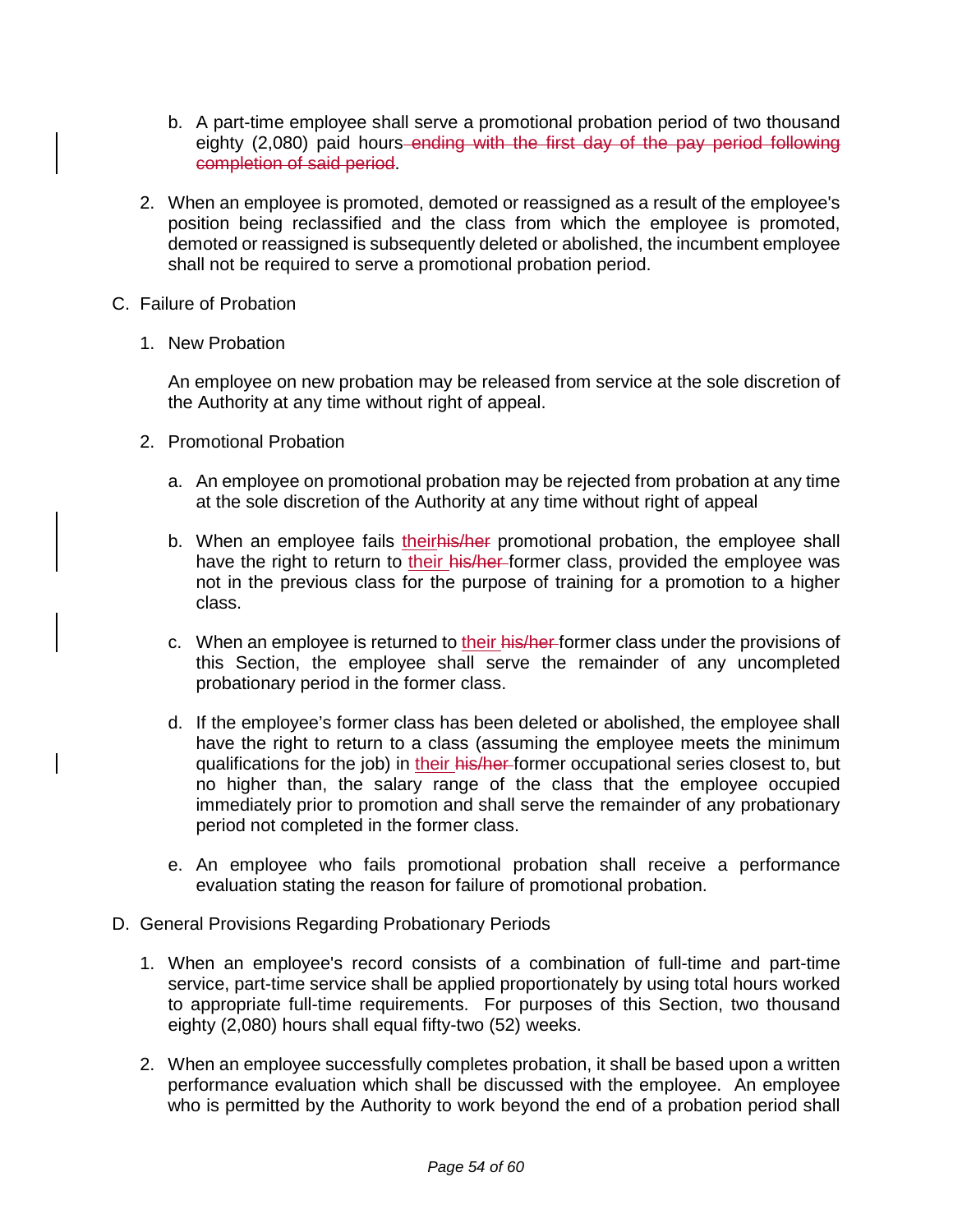- b. A part-time employee shall serve a promotional probation period of two thousand eighty (2,080) paid hours ending with the first day of the pay period following completion of said period.
- 2. When an employee is promoted, demoted or reassigned as a result of the employee's position being reclassified and the class from which the employee is promoted, demoted or reassigned is subsequently deleted or abolished, the incumbent employee shall not be required to serve a promotional probation period.
- C. Failure of Probation
	- 1. New Probation

An employee on new probation may be released from service at the sole discretion of the Authority at any time without right of appeal.

- 2. Promotional Probation
	- a. An employee on promotional probation may be rejected from probation at any time at the sole discretion of the Authority at any time without right of appeal
	- b. When an employee fails theirhis/her promotional probation, the employee shall have the right to return to their his/her-former class, provided the employee was not in the previous class for the purpose of training for a promotion to a higher class.
	- c. When an employee is returned to their his/her-former class under the provisions of this Section, the employee shall serve the remainder of any uncompleted probationary period in the former class.
	- d. If the employee's former class has been deleted or abolished, the employee shall have the right to return to a class (assuming the employee meets the minimum qualifications for the job) in their his/her former occupational series closest to, but no higher than, the salary range of the class that the employee occupied immediately prior to promotion and shall serve the remainder of any probationary period not completed in the former class.
	- e. An employee who fails promotional probation shall receive a performance evaluation stating the reason for failure of promotional probation.
- D. General Provisions Regarding Probationary Periods
	- 1. When an employee's record consists of a combination of full-time and part-time service, part-time service shall be applied proportionately by using total hours worked to appropriate full-time requirements. For purposes of this Section, two thousand eighty (2,080) hours shall equal fifty-two (52) weeks.
	- 2. When an employee successfully completes probation, it shall be based upon a written performance evaluation which shall be discussed with the employee. An employee who is permitted by the Authority to work beyond the end of a probation period shall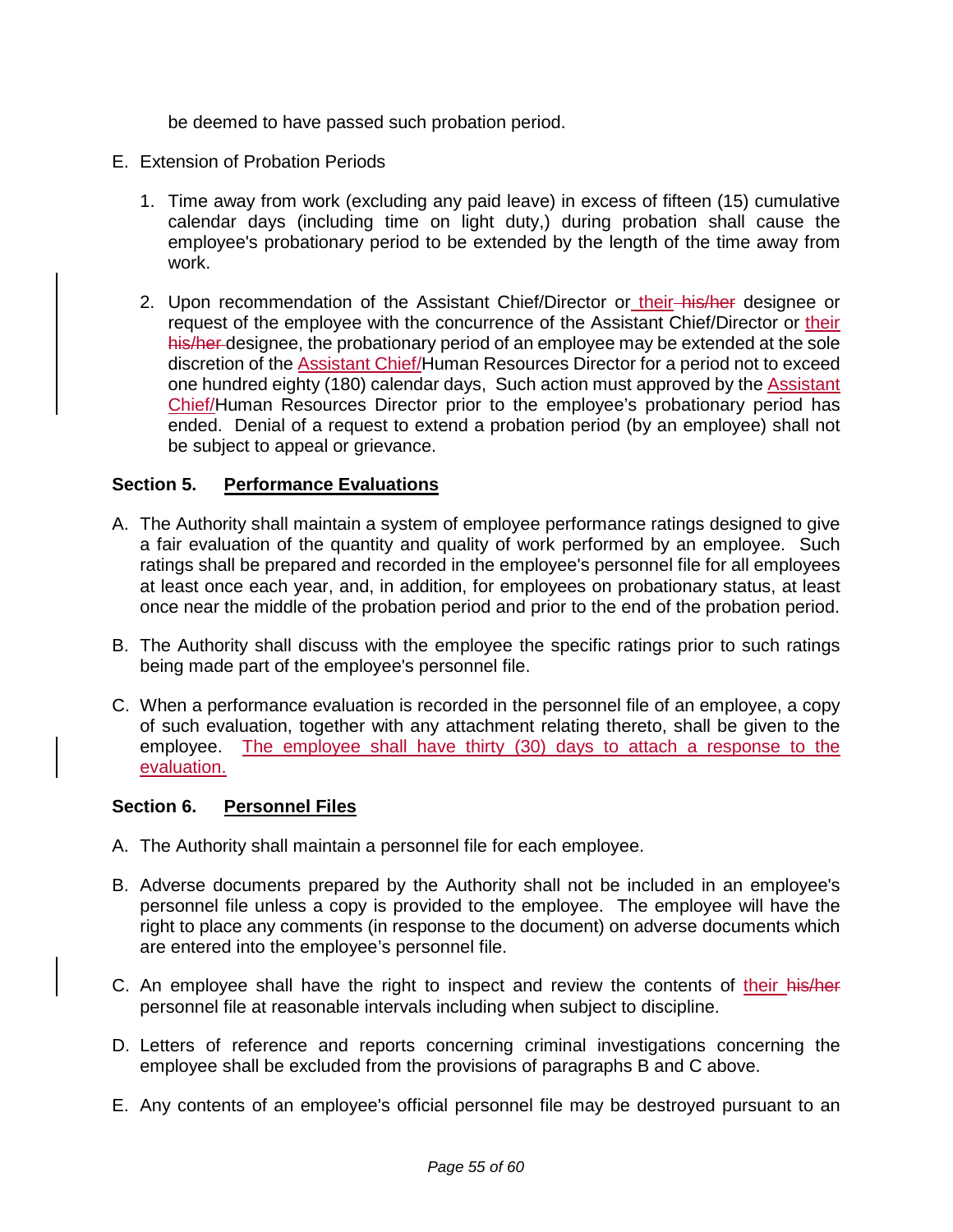be deemed to have passed such probation period.

- E. Extension of Probation Periods
	- 1. Time away from work (excluding any paid leave) in excess of fifteen (15) cumulative calendar days (including time on light duty,) during probation shall cause the employee's probationary period to be extended by the length of the time away from work.
	- 2. Upon recommendation of the Assistant Chief/Director or their-his/her designee or request of the employee with the concurrence of the Assistant Chief/Director or their his/her designee, the probationary period of an employee may be extended at the sole discretion of the Assistant Chief/Human Resources Director for a period not to exceed one hundred eighty (180) calendar days, Such action must approved by the Assistant Chief/Human Resources Director prior to the employee's probationary period has ended. Denial of a request to extend a probation period (by an employee) shall not be subject to appeal or grievance.

#### **Section 5. Performance Evaluations**

- A. The Authority shall maintain a system of employee performance ratings designed to give a fair evaluation of the quantity and quality of work performed by an employee. Such ratings shall be prepared and recorded in the employee's personnel file for all employees at least once each year, and, in addition, for employees on probationary status, at least once near the middle of the probation period and prior to the end of the probation period.
- B. The Authority shall discuss with the employee the specific ratings prior to such ratings being made part of the employee's personnel file.
- C. When a performance evaluation is recorded in the personnel file of an employee, a copy of such evaluation, together with any attachment relating thereto, shall be given to the employee. The employee shall have thirty (30) days to attach a response to the evaluation.

#### **Section 6. Personnel Files**

- A. The Authority shall maintain a personnel file for each employee.
- B. Adverse documents prepared by the Authority shall not be included in an employee's personnel file unless a copy is provided to the employee. The employee will have the right to place any comments (in response to the document) on adverse documents which are entered into the employee's personnel file.
- C. An employee shall have the right to inspect and review the contents of their his/her personnel file at reasonable intervals including when subject to discipline.
- D. Letters of reference and reports concerning criminal investigations concerning the employee shall be excluded from the provisions of paragraphs B and C above.
- E. Any contents of an employee's official personnel file may be destroyed pursuant to an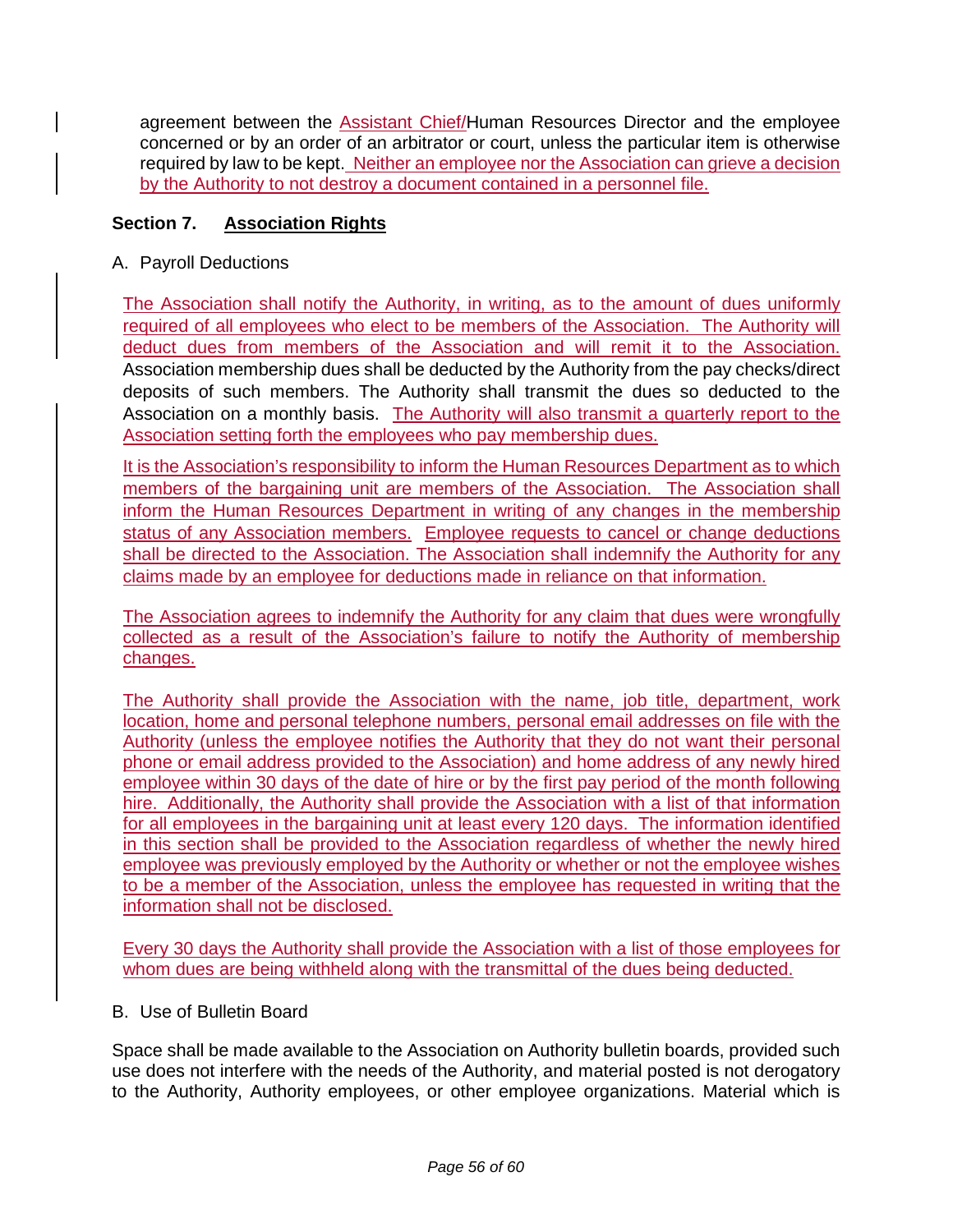agreement between the Assistant Chief/Human Resources Director and the employee concerned or by an order of an arbitrator or court, unless the particular item is otherwise required by law to be kept. Neither an employee nor the Association can grieve a decision by the Authority to not destroy a document contained in a personnel file.

## **Section 7. Association Rights**

A. Payroll Deductions

The Association shall notify the Authority, in writing, as to the amount of dues uniformly required of all employees who elect to be members of the Association. The Authority will deduct dues from members of the Association and will remit it to the Association. Association membership dues shall be deducted by the Authority from the pay checks/direct deposits of such members. The Authority shall transmit the dues so deducted to the Association on a monthly basis. The Authority will also transmit a quarterly report to the Association setting forth the employees who pay membership dues.

It is the Association's responsibility to inform the Human Resources Department as to which members of the bargaining unit are members of the Association. The Association shall inform the Human Resources Department in writing of any changes in the membership status of any Association members. Employee requests to cancel or change deductions shall be directed to the Association. The Association shall indemnify the Authority for any claims made by an employee for deductions made in reliance on that information.

The Association agrees to indemnify the Authority for any claim that dues were wrongfully collected as a result of the Association's failure to notify the Authority of membership changes.

The Authority shall provide the Association with the name, job title, department, work location, home and personal telephone numbers, personal email addresses on file with the Authority (unless the employee notifies the Authority that they do not want their personal phone or email address provided to the Association) and home address of any newly hired employee within 30 days of the date of hire or by the first pay period of the month following hire. Additionally, the Authority shall provide the Association with a list of that information for all employees in the bargaining unit at least every 120 days. The information identified in this section shall be provided to the Association regardless of whether the newly hired employee was previously employed by the Authority or whether or not the employee wishes to be a member of the Association, unless the employee has requested in writing that the information shall not be disclosed.

Every 30 days the Authority shall provide the Association with a list of those employees for whom dues are being withheld along with the transmittal of the dues being deducted.

### B. Use of Bulletin Board

Space shall be made available to the Association on Authority bulletin boards, provided such use does not interfere with the needs of the Authority, and material posted is not derogatory to the Authority, Authority employees, or other employee organizations. Material which is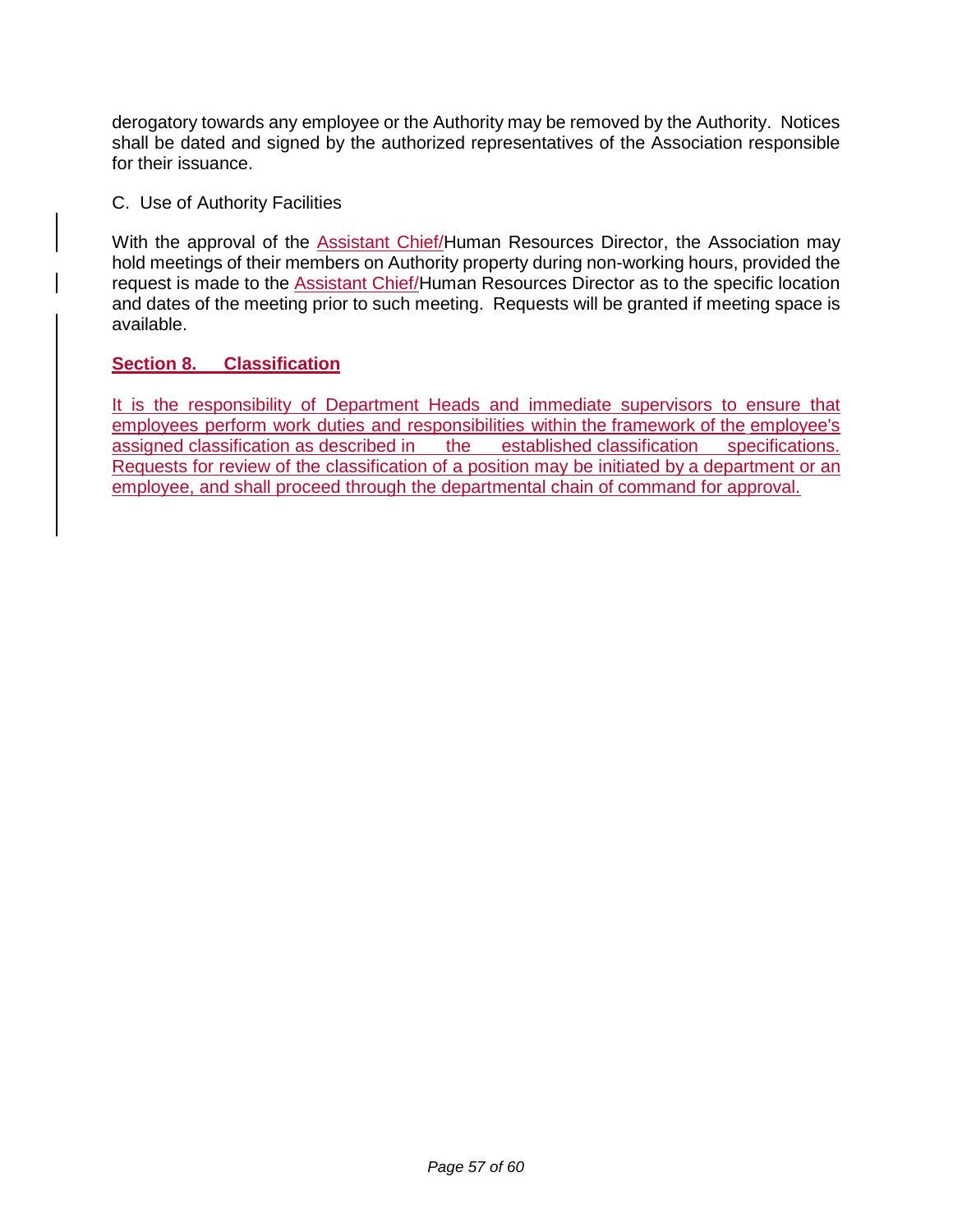derogatory towards any employee or the Authority may be removed by the Authority. Notices shall be dated and signed by the authorized representatives of the Association responsible for their issuance.

C. Use of Authority Facilities

With the approval of the Assistant Chief/Human Resources Director, the Association may hold meetings of their members on Authority property during non-working hours, provided the request is made to the Assistant Chief/Human Resources Director as to the specific location and dates of the meeting prior to such meeting. Requests will be granted if meeting space is available.

### **Section 8. Classification**

It is the responsibility of Department Heads and immediate supervisors to ensure that employees perform work duties and responsibilities within the framework of the employee's assigned classification as described in the established classification specifications. Requests for review of the classification of a position may be initiated by a department or an employee, and shall proceed through the departmental chain of command for approval.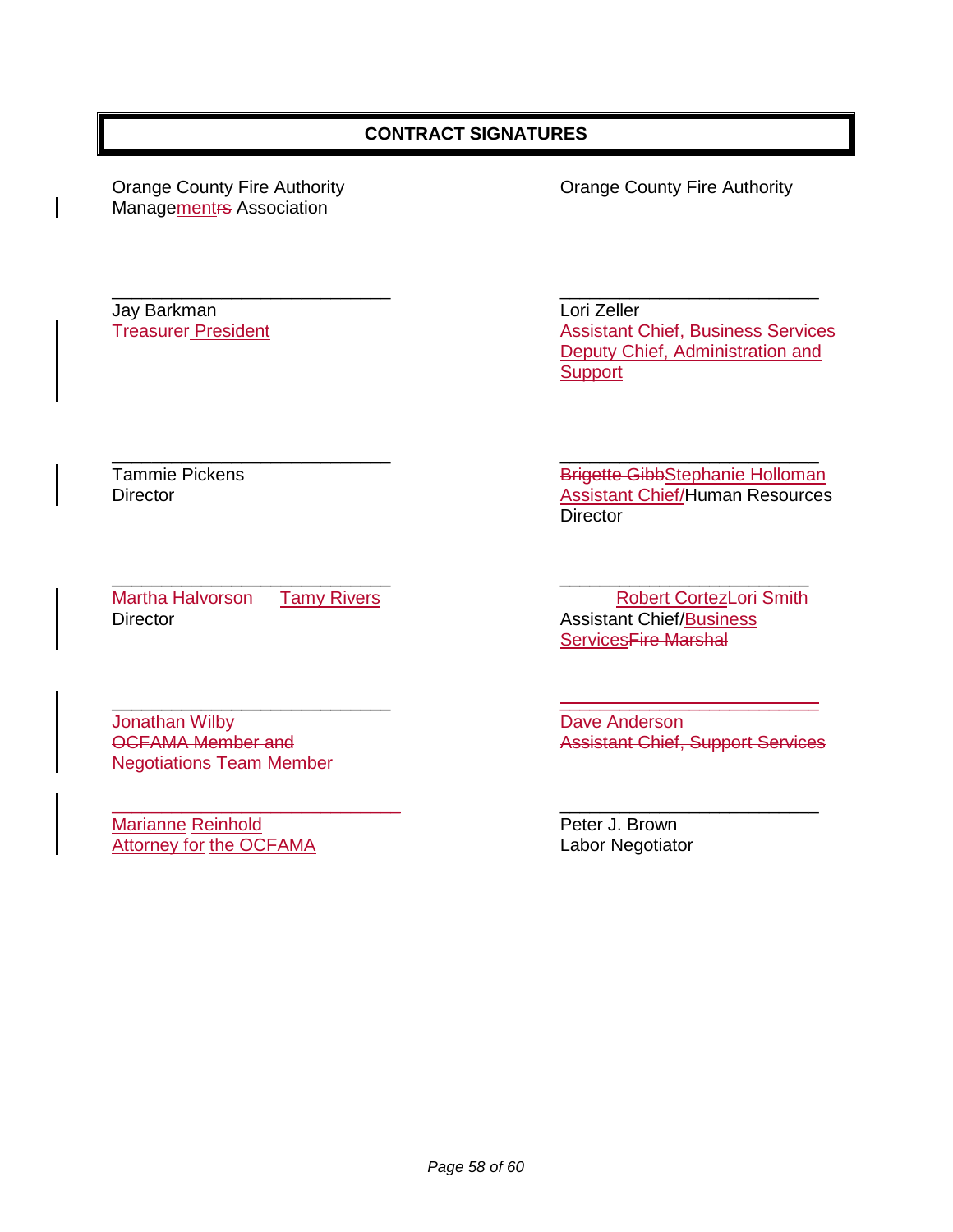### **CONTRACT SIGNATURES**

Managementrs Association

Jay Barkman Lori Zeller

Orange County Fire Authority Orange County Fire Authority

\_\_\_\_\_\_\_\_\_\_\_\_\_\_\_\_\_\_\_\_\_\_\_\_\_\_\_\_ \_\_\_\_\_\_\_\_\_\_\_\_\_\_\_\_\_\_\_\_\_\_\_\_\_\_ Assistant Chief, Business Services Deputy Chief, Administration and **Support** 

\_\_\_\_\_\_\_\_\_\_\_\_\_\_\_\_\_\_\_\_\_\_\_\_\_\_\_\_ \_\_\_\_\_\_\_\_\_\_\_\_\_\_\_\_\_\_\_\_\_\_\_\_\_ Martha Halvorson Tamy Rivers **Robert Cortez-Lori Smith** Director **Assistant Chief/Business** 

Jonathan Wilby **Dave Anderson** Negotiations Team Member

 $\overline{\phantom{a}}$  , and the contract of the contract of the contract of the contract of the contract of the contract of the contract of the contract of the contract of the contract of the contract of the contract of the contrac Marianne Reinhold **Peter J. Brown** Attorney for the OCFAMA Labor Negotiator

\_\_\_\_\_\_\_\_\_\_\_\_\_\_\_\_\_\_\_\_\_\_\_\_\_\_\_\_ \_\_\_\_\_\_\_\_\_\_\_\_\_\_\_\_\_\_\_\_\_\_\_\_\_\_ Tammie Pickens **Brigette Gibb**Stephanie Holloman Director **Assistant Chief/Human Resources Director** 

ServicesFire Marshal

\_\_\_\_\_\_\_\_\_\_\_\_\_\_\_\_\_\_\_\_\_\_\_\_\_\_\_\_ \_\_\_\_\_\_\_\_\_\_\_\_\_\_\_\_\_\_\_\_\_\_\_\_\_\_ OCFAMA Member and **Assistant Chief, Support Services**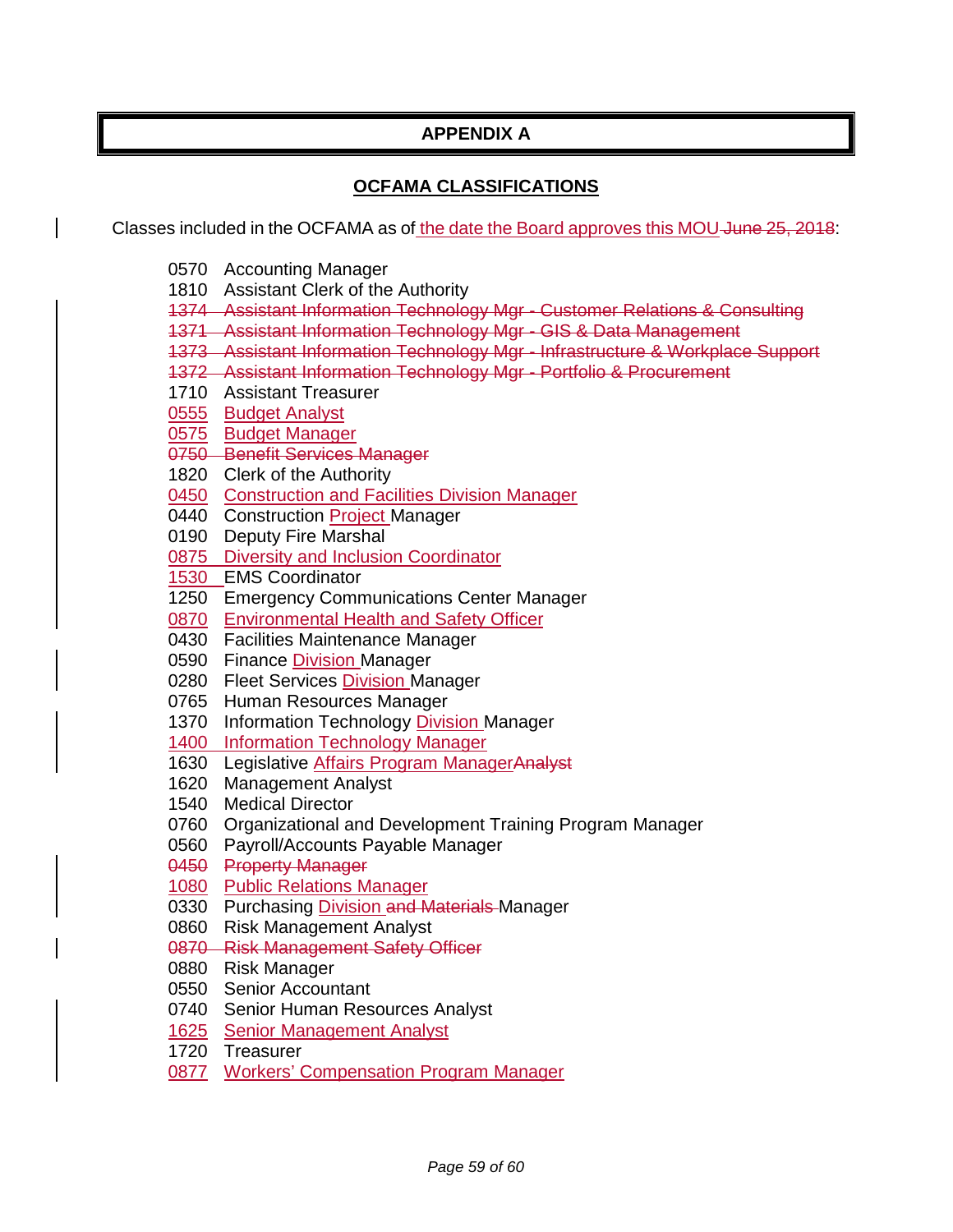# **APPENDIX A**

## **OCFAMA CLASSIFICATIONS**

Classes included in the OCFAMA as of the date the Board approves this MOU June 25, 2018:

- Accounting Manager
- Assistant Clerk of the Authority
- Assistant Information Technology Mgr Customer Relations & Consulting
- Assistant Information Technology Mgr GIS & Data Management
- Assistant Information Technology Mgr Infrastructure & Workplace Support
- Assistant Information Technology Mgr Portfolio & Procurement
- Assistant Treasurer
- Budget Analyst
- 0575 Budget Manager
- Benefit Services Manager
- Clerk of the Authority
- Construction and Facilities Division Manager
- 0440 Construction Project Manager
- Deputy Fire Marshal
- Diversity and Inclusion Coordinator
- EMS Coordinator
- Emergency Communications Center Manager
- Environmental Health and Safety Officer
- Facilities Maintenance Manager
- Finance Division Manager
- 0280 Fleet Services Division Manager
- Human Resources Manager
- Information Technology Division Manager
- Information Technology Manager
- 1630 Legislative Affairs Program ManagerAnalyst
- Management Analyst
- Medical Director
- Organizational and Development Training Program Manager
- Payroll/Accounts Payable Manager
- Property Manager
- 1080 Public Relations Manager
- 0330 Purchasing Division and Materials Manager
- Risk Management Analyst
- Risk Management Safety Officer
- Risk Manager
- Senior Accountant
- Senior Human Resources Analyst
- Senior Management Analyst
- Treasurer
- Workers' Compensation Program Manager